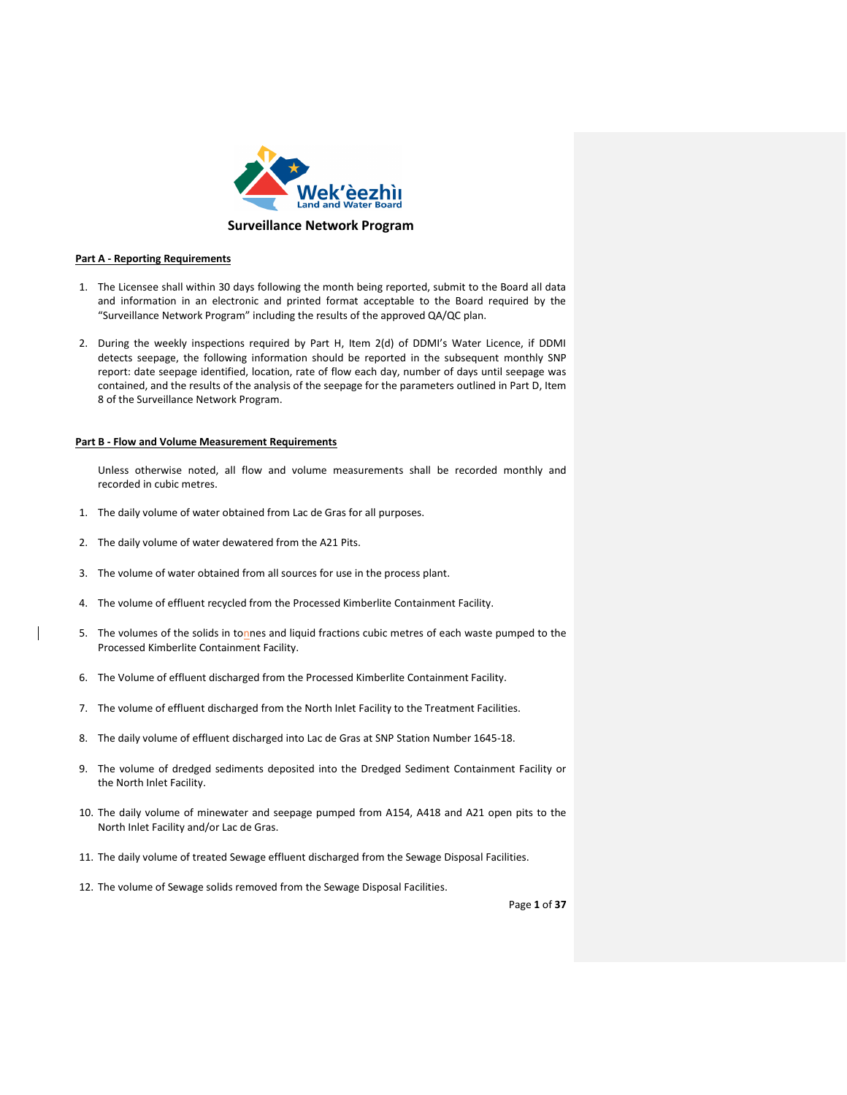

#### **Part A - Reporting Requirements**

- 1. The Licensee shall within 30 days following the month being reported, submit to the Board all data and information in an electronic and printed format acceptable to the Board required by the "Surveillance Network Program" including the results of the approved QA/QC plan.
- 2. During the weekly inspections required by Part H, Item 2(d) of DDMI's Water Licence, if DDMI detects seepage, the following information should be reported in the subsequent monthly SNP report: date seepage identified, location, rate of flow each day, number of days until seepage was contained, and the results of the analysis of the seepage for the parameters outlined in Part D, Item 8 of the Surveillance Network Program.

#### **Part B - Flow and Volume Measurement Requirements**

Unless otherwise noted, all flow and volume measurements shall be recorded monthly and recorded in cubic metres.

- 1. The daily volume of water obtained from Lac de Gras for all purposes.
- 2. The daily volume of water dewatered from the A21 Pits.
- 3. The volume of water obtained from all sources for use in the process plant.
- 4. The volume of effluent recycled from the Processed Kimberlite Containment Facility.
- 5. The volumes of the solids in tonnes and liquid fractions cubic metres of each waste pumped to the Processed Kimberlite Containment Facility.
- 6. The Volume of effluent discharged from the Processed Kimberlite Containment Facility.
- 7. The volume of effluent discharged from the North Inlet Facility to the Treatment Facilities.
- 8. The daily volume of effluent discharged into Lac de Gras at SNP Station Number 1645-18.
- 9. The volume of dredged sediments deposited into the Dredged Sediment Containment Facility or the North Inlet Facility.
- 10. The daily volume of minewater and seepage pumped from A154, A418 and A21 open pits to the North Inlet Facility and/or Lac de Gras.
- 11. The daily volume of treated Sewage effluent discharged from the Sewage Disposal Facilities.
- 12. The volume of Sewage solids removed from the Sewage Disposal Facilities.

Page **1** of **37**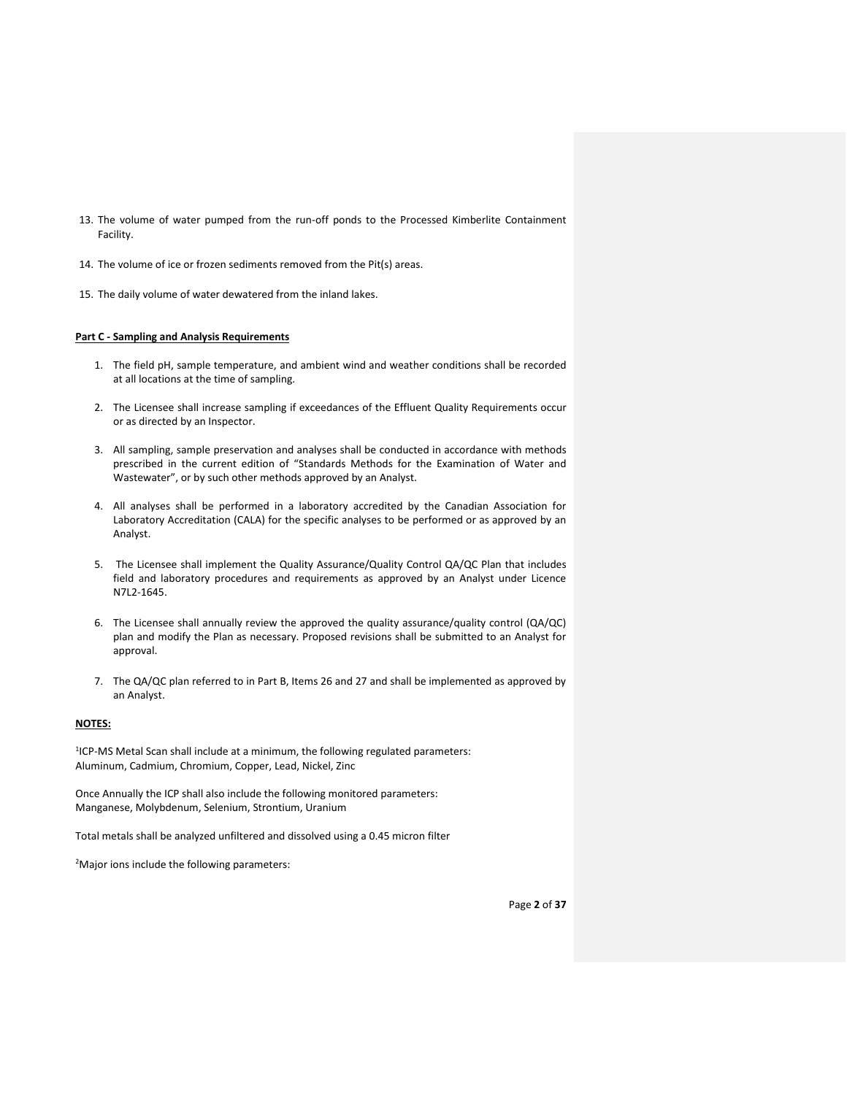- 13. The volume of water pumped from the run-off ponds to the Processed Kimberlite Containment Facility.
- 14. The volume of ice or frozen sediments removed from the Pit(s) areas.
- 15. The daily volume of water dewatered from the inland lakes.

#### **Part C - Sampling and Analysis Requirements**

- 1. The field pH, sample temperature, and ambient wind and weather conditions shall be recorded at all locations at the time of sampling.
- 2. The Licensee shall increase sampling if exceedances of the Effluent Quality Requirements occur or as directed by an Inspector.
- 3. All sampling, sample preservation and analyses shall be conducted in accordance with methods prescribed in the current edition of "Standards Methods for the Examination of Water and Wastewater", or by such other methods approved by an Analyst.
- 4. All analyses shall be performed in a laboratory accredited by the Canadian Association for Laboratory Accreditation (CALA) for the specific analyses to be performed or as approved by an Analyst.
- 5. The Licensee shall implement the Quality Assurance/Quality Control QA/QC Plan that includes field and laboratory procedures and requirements as approved by an Analyst under Licence N7L2-1645.
- 6. The Licensee shall annually review the approved the quality assurance/quality control (QA/QC) plan and modify the Plan as necessary. Proposed revisions shall be submitted to an Analyst for approval.
- 7. The QA/QC plan referred to in Part B, Items 26 and 27 and shall be implemented as approved by an Analyst.

#### **NOTES:**

<sup>1</sup>ICP-MS Metal Scan shall include at a minimum, the following regulated parameters: Aluminum, Cadmium, Chromium, Copper, Lead, Nickel, Zinc

Once Annually the ICP shall also include the following monitored parameters: Manganese, Molybdenum, Selenium, Strontium, Uranium

Total metals shall be analyzed unfiltered and dissolved using a 0.45 micron filter

<sup>2</sup>Major ions include the following parameters: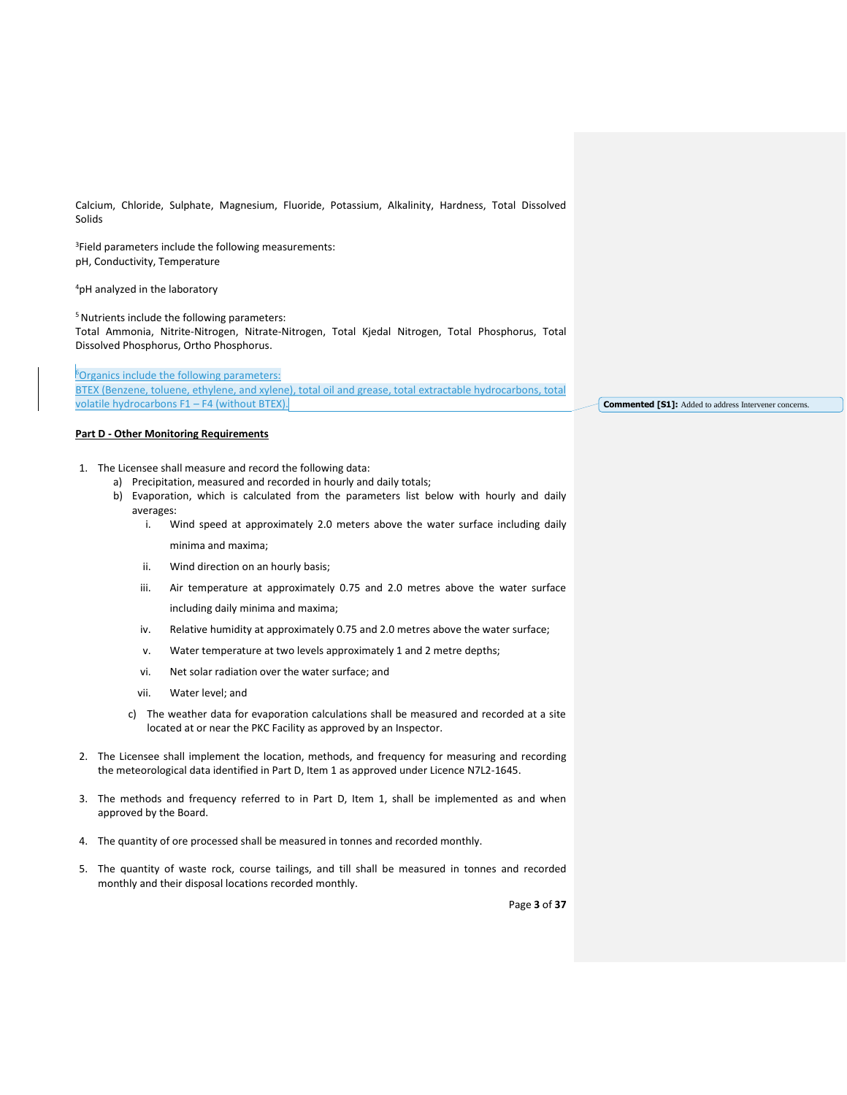Calcium, Chloride, Sulphate, Magnesium, Fluoride, Potassium, Alkalinity, Hardness, Total Dissolved Solids

<sup>3</sup>Field parameters include the following measurements: pH, Conductivity, Temperature

<sup>4</sup>pH analyzed in the laboratory

<sup>5</sup> Nutrients include the following parameters: Total Ammonia, Nitrite-Nitrogen, Nitrate-Nitrogen, Total Kjedal Nitrogen, Total Phosphorus, Total Dissolved Phosphorus, Ortho Phosphorus.

<sup>6</sup>Organics include the following parameters:

BTEX (Benzene, toluene, ethylene, and xylene), total oil and grease, total extractable hydrocarbons, total volatile hydrocarbons F1 – F4 (without BTEX).

**Part D - Other Monitoring Requirements**

- 1. The Licensee shall measure and record the following data:
	- a) Precipitation, measured and recorded in hourly and daily totals;
	- b) Evaporation, which is calculated from the parameters list below with hourly and daily averages:
		- i. Wind speed at approximately 2.0 meters above the water surface including daily minima and maxima;
		- ii. Wind direction on an hourly basis;
		- iii. Air temperature at approximately 0.75 and 2.0 metres above the water surface including daily minima and maxima;
		- iv. Relative humidity at approximately 0.75 and 2.0 metres above the water surface;
		- v. Water temperature at two levels approximately 1 and 2 metre depths;
		- vi. Net solar radiation over the water surface; and
		- vii. Water level; and
		- c) The weather data for evaporation calculations shall be measured and recorded at a site located at or near the PKC Facility as approved by an Inspector.
- 2. The Licensee shall implement the location, methods, and frequency for measuring and recording the meteorological data identified in Part D, Item 1 as approved under Licence N7L2-1645.
- 3. The methods and frequency referred to in Part D, Item 1, shall be implemented as and when approved by the Board.
- 4. The quantity of ore processed shall be measured in tonnes and recorded monthly.
- 5. The quantity of waste rock, course tailings, and till shall be measured in tonnes and recorded monthly and their disposal locations recorded monthly.

Page **3** of **37**

**Commented [S1]:** Added to address Intervener concerns.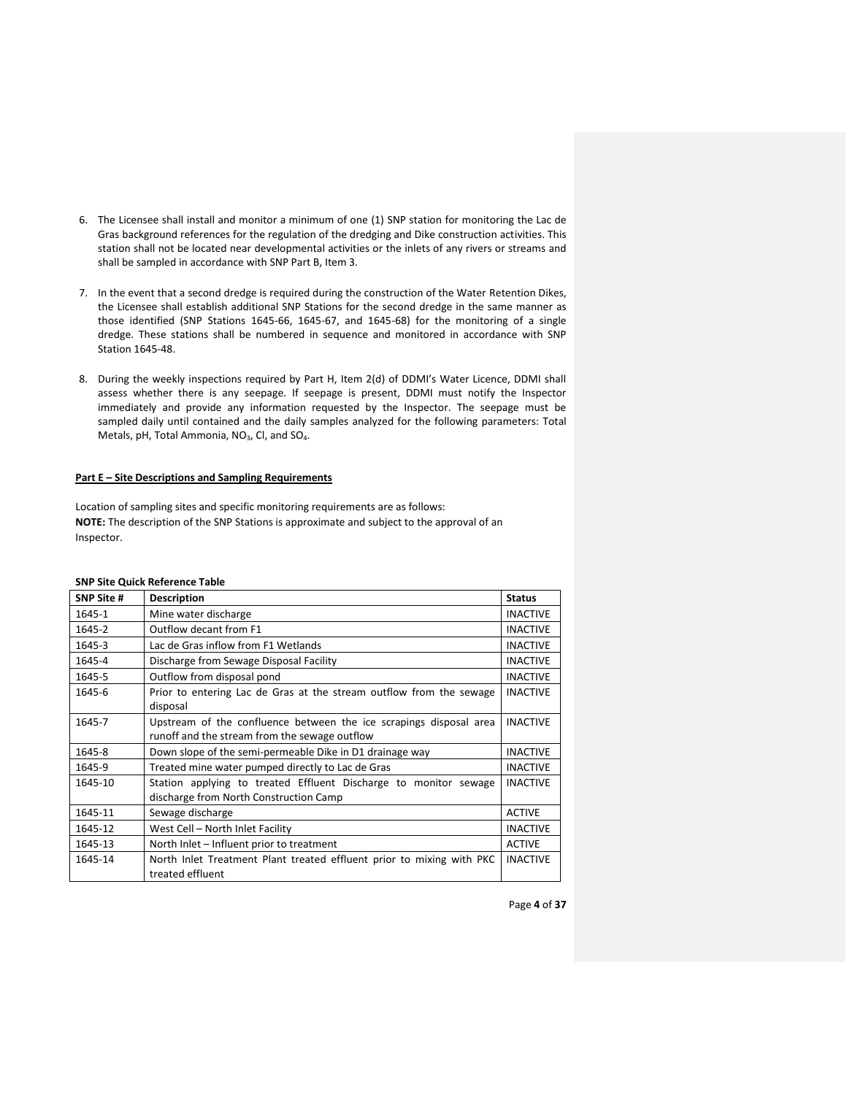- 6. The Licensee shall install and monitor a minimum of one (1) SNP station for monitoring the Lac de Gras background references for the regulation of the dredging and Dike construction activities. This station shall not be located near developmental activities or the inlets of any rivers or streams and shall be sampled in accordance with SNP Part B, Item 3.
- 7. In the event that a second dredge is required during the construction of the Water Retention Dikes, the Licensee shall establish additional SNP Stations for the second dredge in the same manner as those identified (SNP Stations 1645-66, 1645-67, and 1645-68) for the monitoring of a single dredge. These stations shall be numbered in sequence and monitored in accordance with SNP Station 1645-48.
- 8. During the weekly inspections required by Part H, Item 2(d) of DDMI's Water Licence, DDMI shall assess whether there is any seepage. If seepage is present, DDMI must notify the Inspector immediately and provide any information requested by the Inspector. The seepage must be sampled daily until contained and the daily samples analyzed for the following parameters: Total Metals, pH, Total Ammonia, NO<sub>3</sub>, Cl, and SO<sub>4</sub>.

#### **Part E – Site Descriptions and Sampling Requirements**

Location of sampling sites and specific monitoring requirements are as follows: **NOTE:** The description of the SNP Stations is approximate and subject to the approval of an Inspector.

| <b>SNP Site #</b> | <b>Description</b>                                                                                                  | <b>Status</b>   |
|-------------------|---------------------------------------------------------------------------------------------------------------------|-----------------|
| 1645-1            | Mine water discharge                                                                                                | <b>INACTIVE</b> |
| 1645-2            | Outflow decant from F1                                                                                              | <b>INACTIVE</b> |
| 1645-3            | Lac de Gras inflow from F1 Wetlands                                                                                 | <b>INACTIVE</b> |
| 1645-4            | Discharge from Sewage Disposal Facility                                                                             | <b>INACTIVE</b> |
| 1645-5            | Outflow from disposal pond                                                                                          | <b>INACTIVE</b> |
| 1645-6            | Prior to entering Lac de Gras at the stream outflow from the sewage<br>disposal                                     | <b>INACTIVE</b> |
| 1645-7            | Upstream of the confluence between the ice scrapings disposal area<br>runoff and the stream from the sewage outflow | <b>INACTIVE</b> |
| 1645-8            | Down slope of the semi-permeable Dike in D1 drainage way                                                            | <b>INACTIVE</b> |
| 1645-9            | Treated mine water pumped directly to Lac de Gras                                                                   | <b>INACTIVE</b> |
| 1645-10           | Station applying to treated Effluent Discharge to monitor sewage<br>discharge from North Construction Camp          | <b>INACTIVE</b> |
| 1645-11           | Sewage discharge                                                                                                    | <b>ACTIVE</b>   |
| 1645-12           | West Cell - North Inlet Facility                                                                                    | <b>INACTIVE</b> |
| 1645-13           | North Inlet - Influent prior to treatment                                                                           | <b>ACTIVE</b>   |
| 1645-14           | North Inlet Treatment Plant treated effluent prior to mixing with PKC<br>treated effluent                           | <b>INACTIVE</b> |

#### **SNP Site Quick Reference Table**

Page **4** of **37**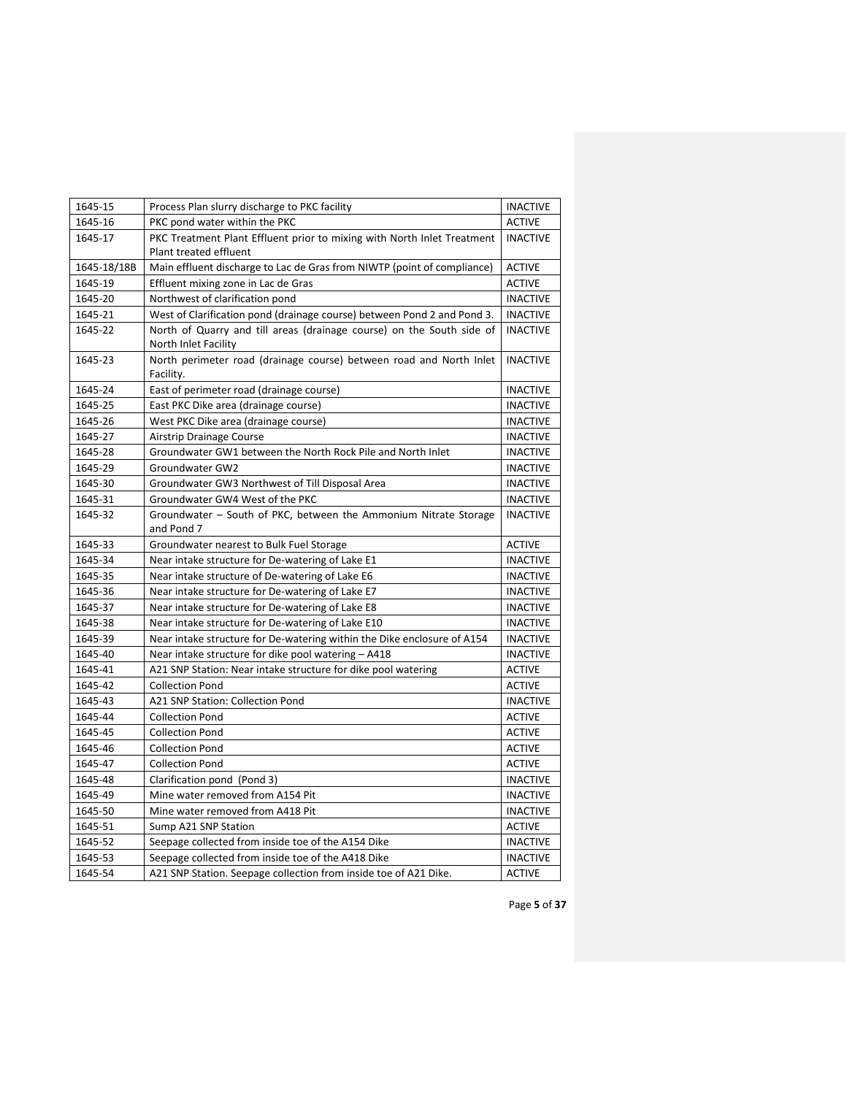| 1645-15     | Process Plan slurry discharge to PKC facility                                    | <b>INACTIVE</b> |
|-------------|----------------------------------------------------------------------------------|-----------------|
| 1645-16     | PKC pond water within the PKC                                                    |                 |
| 1645-17     | PKC Treatment Plant Effluent prior to mixing with North Inlet Treatment          |                 |
|             | Plant treated effluent                                                           | <b>INACTIVE</b> |
| 1645-18/18B | Main effluent discharge to Lac de Gras from NIWTP (point of compliance)          |                 |
| 1645-19     | Effluent mixing zone in Lac de Gras                                              | <b>ACTIVE</b>   |
| 1645-20     | Northwest of clarification pond                                                  | <b>INACTIVE</b> |
| 1645-21     | West of Clarification pond (drainage course) between Pond 2 and Pond 3.          | <b>INACTIVE</b> |
| 1645-22     | North of Quarry and till areas (drainage course) on the South side of            | <b>INACTIVE</b> |
|             | North Inlet Facility                                                             |                 |
| 1645-23     | North perimeter road (drainage course) between road and North Inlet<br>Facility. | <b>INACTIVE</b> |
| 1645-24     | East of perimeter road (drainage course)                                         | <b>INACTIVE</b> |
| 1645-25     | East PKC Dike area (drainage course)                                             | <b>INACTIVE</b> |
| 1645-26     | West PKC Dike area (drainage course)                                             | <b>INACTIVE</b> |
| 1645-27     | Airstrip Drainage Course                                                         | <b>INACTIVE</b> |
| 1645-28     | Groundwater GW1 between the North Rock Pile and North Inlet                      | <b>INACTIVE</b> |
| 1645-29     | Groundwater GW2                                                                  | <b>INACTIVE</b> |
| 1645-30     | Groundwater GW3 Northwest of Till Disposal Area                                  | <b>INACTIVE</b> |
| 1645-31     | Groundwater GW4 West of the PKC                                                  | <b>INACTIVE</b> |
| 1645-32     | Groundwater - South of PKC, between the Ammonium Nitrate Storage                 | <b>INACTIVE</b> |
|             | and Pond 7                                                                       |                 |
| 1645-33     | Groundwater nearest to Bulk Fuel Storage                                         | <b>ACTIVE</b>   |
| 1645-34     | Near intake structure for De-watering of Lake E1                                 | <b>INACTIVE</b> |
| 1645-35     | Near intake structure of De-watering of Lake E6                                  | <b>INACTIVE</b> |
| 1645-36     | Near intake structure for De-watering of Lake E7                                 | <b>INACTIVE</b> |
| 1645-37     | Near intake structure for De-watering of Lake E8                                 | <b>INACTIVE</b> |
| 1645-38     | Near intake structure for De-watering of Lake E10                                | <b>INACTIVE</b> |
| 1645-39     | Near intake structure for De-watering within the Dike enclosure of A154          | <b>INACTIVE</b> |
| 1645-40     | Near intake structure for dike pool watering - A418                              | <b>INACTIVE</b> |
| 1645-41     | A21 SNP Station: Near intake structure for dike pool watering                    | <b>ACTIVE</b>   |
| 1645-42     | <b>Collection Pond</b>                                                           | <b>ACTIVE</b>   |
| 1645-43     | A21 SNP Station: Collection Pond                                                 | <b>INACTIVE</b> |
| 1645-44     | <b>Collection Pond</b>                                                           | <b>ACTIVE</b>   |
| 1645-45     | <b>Collection Pond</b>                                                           | <b>ACTIVE</b>   |
| 1645-46     | <b>Collection Pond</b>                                                           | <b>ACTIVE</b>   |
| 1645-47     | <b>Collection Pond</b>                                                           | <b>ACTIVE</b>   |
| 1645-48     | Clarification pond (Pond 3)                                                      | <b>INACTIVE</b> |
| 1645-49     | Mine water removed from A154 Pit                                                 | <b>INACTIVE</b> |
| 1645-50     | Mine water removed from A418 Pit                                                 | <b>INACTIVE</b> |
| 1645-51     | Sump A21 SNP Station                                                             | <b>ACTIVE</b>   |
| 1645-52     | Seepage collected from inside toe of the A154 Dike                               | <b>INACTIVE</b> |
| 1645-53     | Seepage collected from inside toe of the A418 Dike                               | <b>INACTIVE</b> |
| 1645-54     | A21 SNP Station. Seepage collection from inside toe of A21 Dike.                 | <b>ACTIVE</b>   |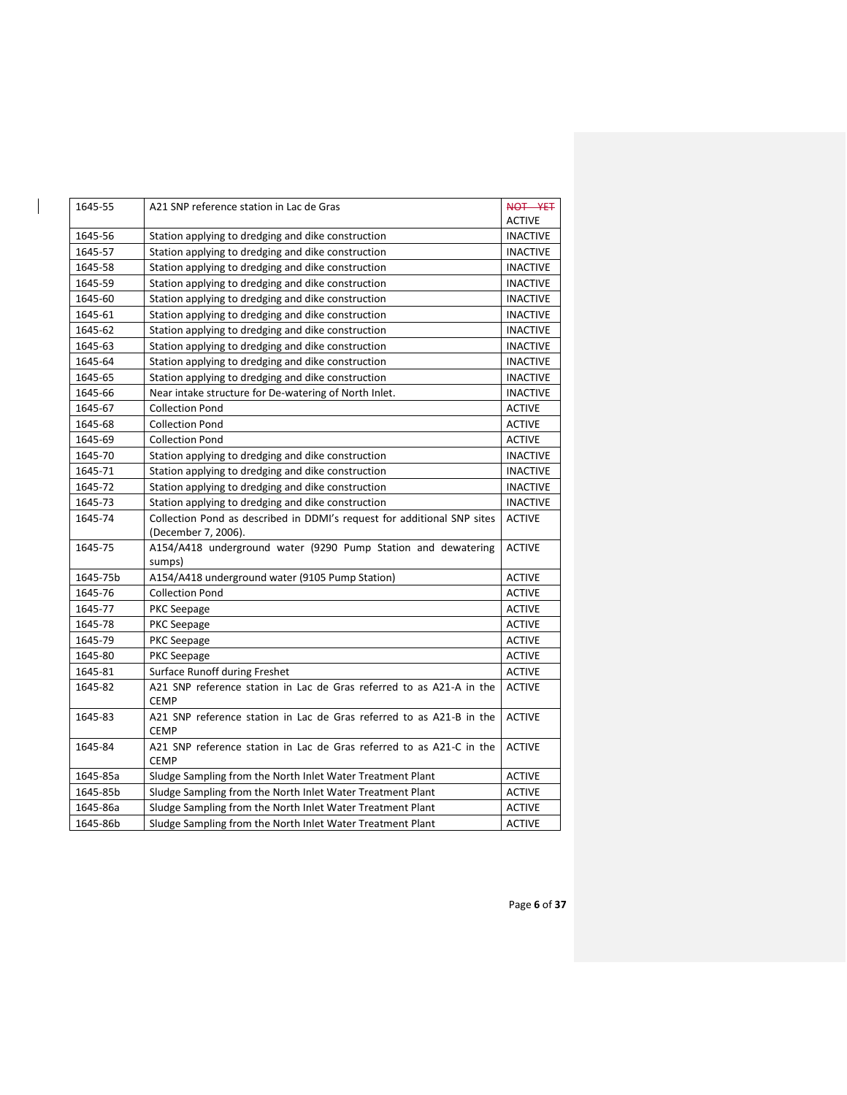| 1645-55<br>A21 SNP reference station in Lac de Gras                                                       | NOT YET         |
|-----------------------------------------------------------------------------------------------------------|-----------------|
|                                                                                                           | <b>ACTIVE</b>   |
| 1645-56<br>Station applying to dredging and dike construction                                             | <b>INACTIVE</b> |
| 1645-57<br>Station applying to dredging and dike construction                                             | <b>INACTIVE</b> |
| 1645-58<br>Station applying to dredging and dike construction                                             | <b>INACTIVE</b> |
| 1645-59<br>Station applying to dredging and dike construction                                             | <b>INACTIVE</b> |
| 1645-60<br>Station applying to dredging and dike construction                                             | <b>INACTIVE</b> |
| 1645-61<br>Station applying to dredging and dike construction                                             | <b>INACTIVE</b> |
| 1645-62<br>Station applying to dredging and dike construction                                             | <b>INACTIVE</b> |
| 1645-63<br>Station applying to dredging and dike construction                                             | <b>INACTIVE</b> |
| 1645-64<br>Station applying to dredging and dike construction                                             | <b>INACTIVE</b> |
| 1645-65<br>Station applying to dredging and dike construction                                             | <b>INACTIVE</b> |
| 1645-66<br>Near intake structure for De-watering of North Inlet.                                          | <b>INACTIVE</b> |
| 1645-67<br><b>Collection Pond</b>                                                                         | <b>ACTIVE</b>   |
| 1645-68<br><b>Collection Pond</b>                                                                         | <b>ACTIVE</b>   |
| 1645-69<br><b>Collection Pond</b>                                                                         | <b>ACTIVE</b>   |
| 1645-70<br>Station applying to dredging and dike construction                                             | <b>INACTIVE</b> |
| 1645-71<br>Station applying to dredging and dike construction                                             | <b>INACTIVE</b> |
| 1645-72<br>Station applying to dredging and dike construction                                             | <b>INACTIVE</b> |
| Station applying to dredging and dike construction<br>1645-73                                             | <b>INACTIVE</b> |
| Collection Pond as described in DDMI's request for additional SNP sites<br>1645-74<br>(December 7, 2006). | <b>ACTIVE</b>   |
| A154/A418 underground water (9290 Pump Station and dewatering<br>1645-75<br>sumps)                        | <b>ACTIVE</b>   |
| A154/A418 underground water (9105 Pump Station)<br>1645-75b                                               | <b>ACTIVE</b>   |
| 1645-76<br><b>Collection Pond</b>                                                                         | <b>ACTIVE</b>   |
| 1645-77<br><b>PKC Seepage</b>                                                                             | <b>ACTIVE</b>   |
| 1645-78<br><b>PKC Seepage</b>                                                                             | <b>ACTIVE</b>   |
| 1645-79<br><b>PKC Seepage</b>                                                                             | <b>ACTIVE</b>   |
| 1645-80<br><b>PKC Seepage</b>                                                                             | <b>ACTIVE</b>   |
| 1645-81<br>Surface Runoff during Freshet                                                                  | <b>ACTIVE</b>   |
| A21 SNP reference station in Lac de Gras referred to as A21-A in the<br>1645-82<br><b>CEMP</b>            | <b>ACTIVE</b>   |
| 1645-83<br>A21 SNP reference station in Lac de Gras referred to as A21-B in the<br><b>CEMP</b>            | <b>ACTIVE</b>   |
| A21 SNP reference station in Lac de Gras referred to as A21-C in the<br>1645-84<br><b>CEMP</b>            | <b>ACTIVE</b>   |
| 1645-85a<br>Sludge Sampling from the North Inlet Water Treatment Plant                                    | <b>ACTIVE</b>   |
|                                                                                                           |                 |
| 1645-85b<br>Sludge Sampling from the North Inlet Water Treatment Plant                                    | <b>ACTIVE</b>   |
| 1645-86a<br>Sludge Sampling from the North Inlet Water Treatment Plant                                    | <b>ACTIVE</b>   |

 $\mathbf{l}$ 

Page **6** of **37**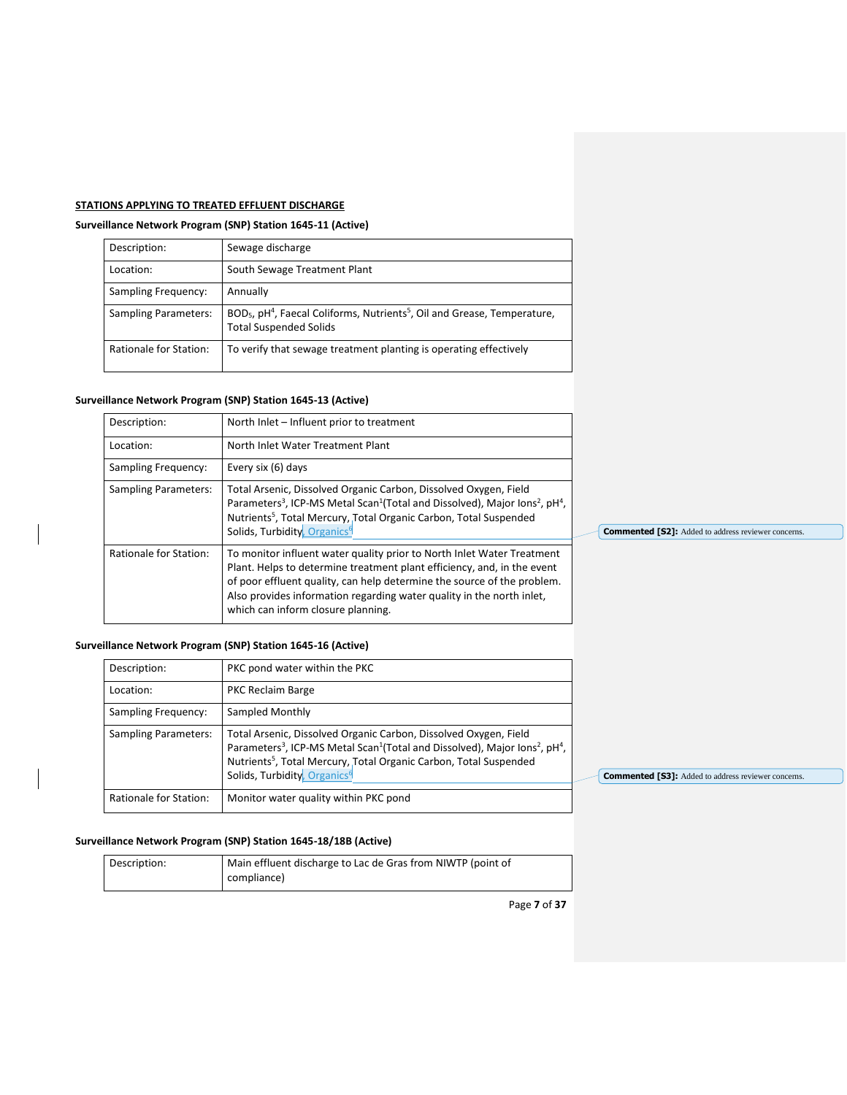## **STATIONS APPLYING TO TREATED EFFLUENT DISCHARGE**

### **Surveillance Network Program (SNP) Station 1645-11 (Active)**

| Description:                | Sewage discharge                                                                                                                              |
|-----------------------------|-----------------------------------------------------------------------------------------------------------------------------------------------|
| Location:                   | South Sewage Treatment Plant                                                                                                                  |
| Sampling Frequency:         | Annually                                                                                                                                      |
|                             |                                                                                                                                               |
| <b>Sampling Parameters:</b> | BOD <sub>5</sub> , pH <sup>4</sup> , Faecal Coliforms, Nutrients <sup>5</sup> , Oil and Grease, Temperature,<br><b>Total Suspended Solids</b> |

### **Surveillance Network Program (SNP) Station 1645-13 (Active)**

| Description:           | North Inlet - Influent prior to treatment                                                                                                                                                                                                                                                                                                   |  |
|------------------------|---------------------------------------------------------------------------------------------------------------------------------------------------------------------------------------------------------------------------------------------------------------------------------------------------------------------------------------------|--|
| Location:              | North Inlet Water Treatment Plant                                                                                                                                                                                                                                                                                                           |  |
| Sampling Frequency:    | Every six (6) days                                                                                                                                                                                                                                                                                                                          |  |
| Sampling Parameters:   | Total Arsenic, Dissolved Organic Carbon, Dissolved Oxygen, Field<br>Parameters <sup>3</sup> , ICP-MS Metal Scan <sup>1</sup> (Total and Dissolved), Major Ions <sup>2</sup> , pH <sup>4</sup> ,<br>Nutrients <sup>5</sup> , Total Mercury, Total Organic Carbon, Total Suspended<br>Solids, Turbidity, Organics <sup>6</sup>                |  |
| Rationale for Station: | To monitor influent water quality prior to North Inlet Water Treatment<br>Plant. Helps to determine treatment plant efficiency, and, in the event<br>of poor effluent quality, can help determine the source of the problem.<br>Also provides information regarding water quality in the north inlet.<br>which can inform closure planning. |  |

### **Surveillance Network Program (SNP) Station 1645-16 (Active)**

| Description:                | PKC pond water within the PKC                                                                                                                                                                                                                                                    |                                                            |
|-----------------------------|----------------------------------------------------------------------------------------------------------------------------------------------------------------------------------------------------------------------------------------------------------------------------------|------------------------------------------------------------|
| Location:                   | <b>PKC Reclaim Barge</b>                                                                                                                                                                                                                                                         |                                                            |
| Sampling Frequency:         | Sampled Monthly                                                                                                                                                                                                                                                                  |                                                            |
| <b>Sampling Parameters:</b> | Total Arsenic, Dissolved Organic Carbon, Dissolved Oxygen, Field<br>Parameters <sup>3</sup> , ICP-MS Metal Scan <sup>1</sup> (Total and Dissolved), Major Ions <sup>2</sup> , pH <sup>4</sup> ,<br>Nutrients <sup>5</sup> , Total Mercury, Total Organic Carbon, Total Suspended |                                                            |
|                             | Solids, Turbidity, Organics <sup>6</sup>                                                                                                                                                                                                                                         | <b>Commented [S3]:</b> Added to address reviewer concerns. |
| Rationale for Station:      | Monitor water quality within PKC pond                                                                                                                                                                                                                                            |                                                            |

## **Surveillance Network Program (SNP) Station 1645-18/18B (Active)**

| Description: | Main effluent discharge to Lac de Gras from NIWTP (point of<br>compliance) |
|--------------|----------------------------------------------------------------------------|
|--------------|----------------------------------------------------------------------------|

Page **7** of **37**

**Commented [S2]:** Added to address reviewer concerns.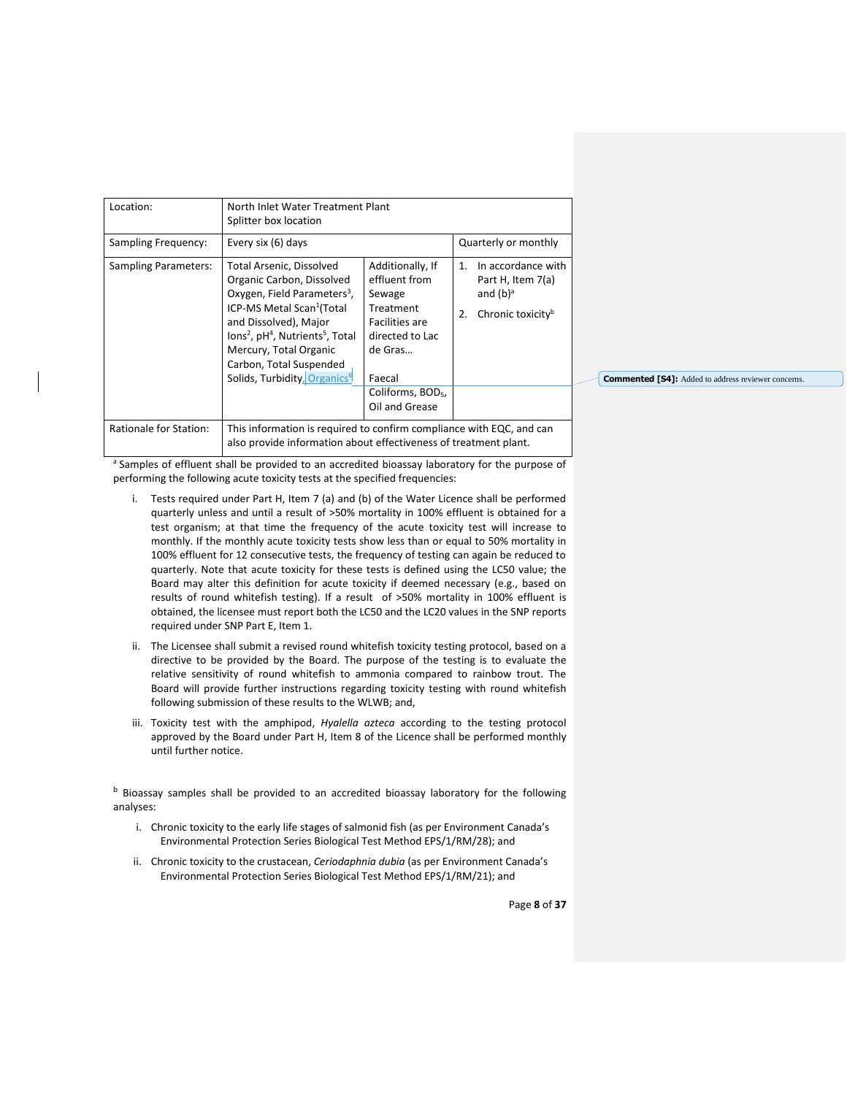| Location:                   | North Inlet Water Treatment Plant<br>Splitter box location                                                                                                                                                                                                                                                                                  |                                                                                                                                                                       |                                                                                                                 |
|-----------------------------|---------------------------------------------------------------------------------------------------------------------------------------------------------------------------------------------------------------------------------------------------------------------------------------------------------------------------------------------|-----------------------------------------------------------------------------------------------------------------------------------------------------------------------|-----------------------------------------------------------------------------------------------------------------|
| Sampling Frequency:         | Every six (6) days                                                                                                                                                                                                                                                                                                                          |                                                                                                                                                                       | Quarterly or monthly                                                                                            |
| <b>Sampling Parameters:</b> | Total Arsenic, Dissolved<br>Organic Carbon, Dissolved<br>Oxygen, Field Parameters <sup>3</sup> ,<br>ICP-MS Metal Scan <sup>1</sup> (Total<br>and Dissolved), Major<br>lons <sup>2</sup> , pH <sup>4</sup> , Nutrients <sup>5</sup> , Total<br>Mercury, Total Organic<br>Carbon, Total Suspended<br>Solids, Turbidity, Organics <sup>6</sup> | Additionally, If<br>effluent from<br>Sewage<br>Treatment<br>Facilities are<br>directed to Lac<br>de Gras<br>Faecal<br>Coliforms, BOD <sub>5</sub> ,<br>Oil and Grease | In accordance with<br>1 <sub>1</sub><br>Part H, Item 7(a)<br>and $(b)^a$<br>Chronic toxicity <sup>b</sup><br>2. |
| Rationale for Station:      | This information is required to confirm compliance with EQC, and can<br>also provide information about effectiveness of treatment plant.                                                                                                                                                                                                    |                                                                                                                                                                       |                                                                                                                 |

**Commented [S4]:** Added to address reviewer concerns.

<sup>a</sup> Samples of effluent shall be provided to an accredited bioassay laboratory for the purpose of performing the following acute toxicity tests at the specified frequencies:

- i. Tests required under Part H, Item 7 (a) and (b) of the Water Licence shall be performed quarterly unless and until a result of >50% mortality in 100% effluent is obtained for a test organism; at that time the frequency of the acute toxicity test will increase to monthly. If the monthly acute toxicity tests show less than or equal to 50% mortality in 100% effluent for 12 consecutive tests, the frequency of testing can again be reduced to quarterly. Note that acute toxicity for these tests is defined using the LC50 value; the Board may alter this definition for acute toxicity if deemed necessary (e.g., based on results of round whitefish testing). If a result of >50% mortality in 100% effluent is obtained, the licensee must report both the LC50 and the LC20 values in the SNP reports required under SNP Part E, Item 1.
- ii. The Licensee shall submit a revised round whitefish toxicity testing protocol, based on a directive to be provided by the Board. The purpose of the testing is to evaluate the relative sensitivity of round whitefish to ammonia compared to rainbow trout. The Board will provide further instructions regarding toxicity testing with round whitefish following submission of these results to the WLWB; and,
- iii. Toxicity test with the amphipod, *Hyalella azteca* according to the testing protocol approved by the Board under Part H, Item 8 of the Licence shall be performed monthly until further notice.

b Bioassay samples shall be provided to an accredited bioassay laboratory for the following analyses:

- i. Chronic toxicity to the early life stages of salmonid fish (as per Environment Canada's Environmental Protection Series Biological Test Method EPS/1/RM/28); and
- ii. Chronic toxicity to the crustacean, *Ceriodaphnia dubia* (as per Environment Canada's Environmental Protection Series Biological Test Method EPS/1/RM/21); and

Page **8** of **37**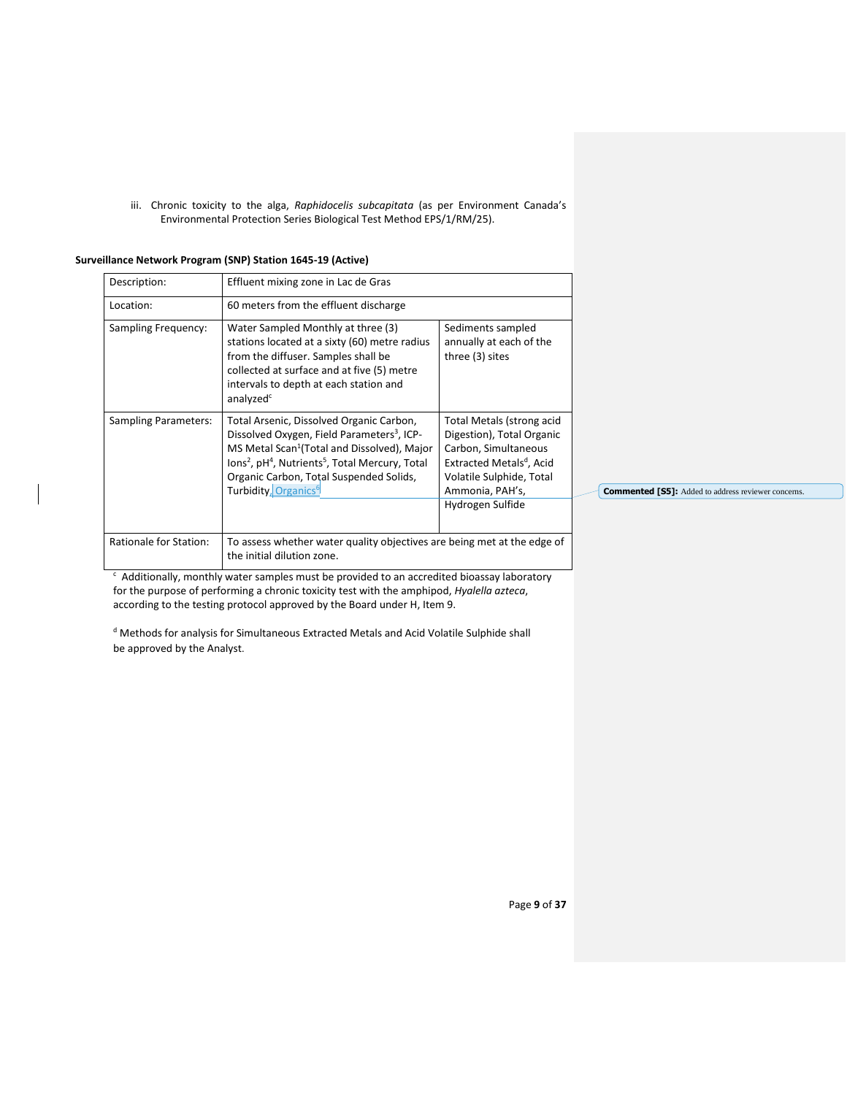iii. Chronic toxicity to the alga, *Raphidocelis subcapitata* (as per Environment Canada's Environmental Protection Series Biological Test Method EPS/1/RM/25).

| Description: | Effluent mixing zone in Lac de Gras   |
|--------------|---------------------------------------|
| Location:    | 60 meters from the effluent discharge |

**Surveillance Network Program (SNP) Station 1645-19 (Active)**

| Location:                   | 60 meters from the effluent discharge                                                                                                                                                                                                                                                                                               |                                                                                                                                                                                           |
|-----------------------------|-------------------------------------------------------------------------------------------------------------------------------------------------------------------------------------------------------------------------------------------------------------------------------------------------------------------------------------|-------------------------------------------------------------------------------------------------------------------------------------------------------------------------------------------|
| Sampling Frequency:         | Water Sampled Monthly at three (3)<br>stations located at a sixty (60) metre radius<br>from the diffuser. Samples shall be<br>collected at surface and at five (5) metre<br>intervals to depth at each station and<br>analyzed <sup>c</sup>                                                                                         | Sediments sampled<br>annually at each of the<br>three (3) sites                                                                                                                           |
| <b>Sampling Parameters:</b> | Total Arsenic, Dissolved Organic Carbon,<br>Dissolved Oxygen, Field Parameters <sup>3</sup> , ICP-<br>MS Metal Scan <sup>1</sup> (Total and Dissolved), Major<br>lons <sup>2</sup> , pH <sup>4</sup> , Nutrients <sup>5</sup> , Total Mercury, Total<br>Organic Carbon, Total Suspended Solids,<br>Turbidity, Organics <sup>6</sup> | Total Metals (strong acid<br>Digestion), Total Organic<br>Carbon, Simultaneous<br>Extracted Metals <sup>d</sup> , Acid<br>Volatile Sulphide, Total<br>Ammonia, PAH's,<br>Hydrogen Sulfide |
| Rationale for Station:      | To assess whether water quality objectives are being met at the edge of<br>the initial dilution zone.                                                                                                                                                                                                                               |                                                                                                                                                                                           |

 $\overline{\phantom{a}}$ <sup>c</sup> Additionally, monthly water samples must be provided to an accredited bioassay laboratory for the purpose of performing a chronic toxicity test with the amphipod, *Hyalella azteca*, according to the testing protocol approved by the Board under H, Item 9.

<sup>d</sup> Methods for analysis for Simultaneous Extracted Metals and Acid Volatile Sulphide shall be approved by the Analyst.

**Commented [S5]:** Added to address reviewer concerns.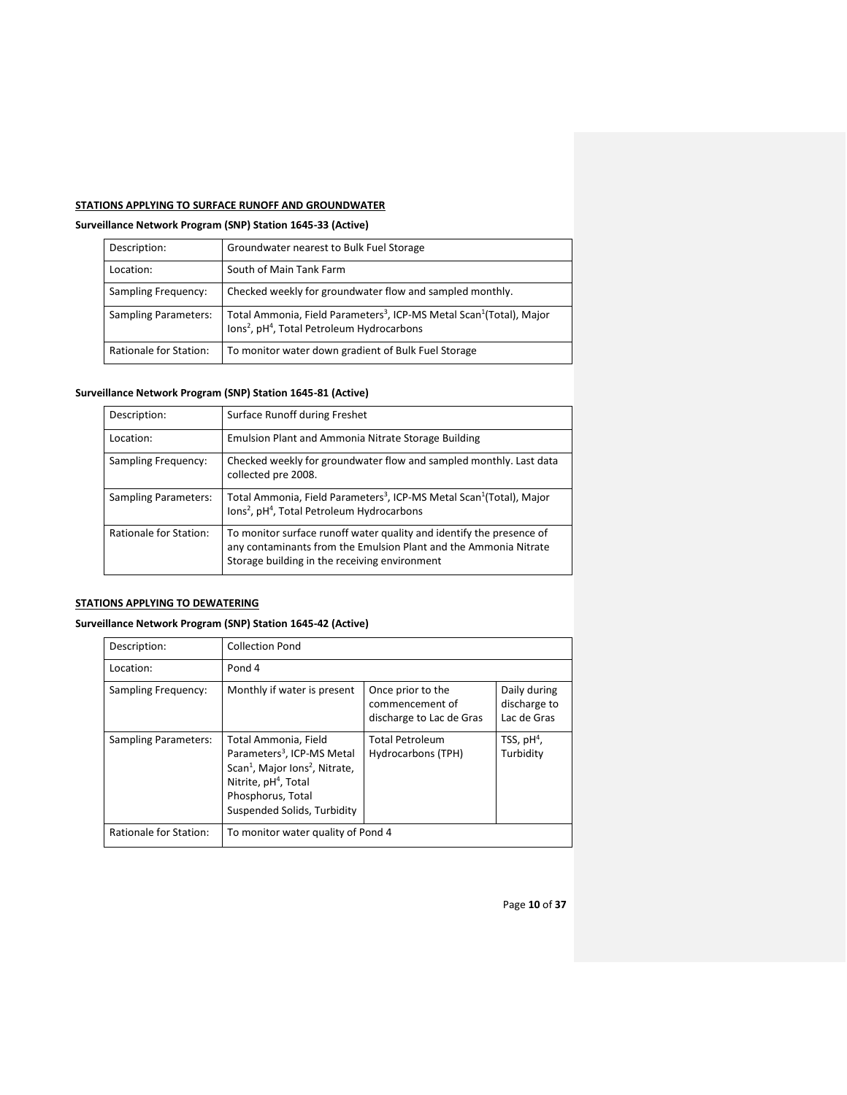# **STATIONS APPLYING TO SURFACE RUNOFF AND GROUNDWATER**

## **Surveillance Network Program (SNP) Station 1645-33 (Active)**

| Description:                | Groundwater nearest to Bulk Fuel Storage                                                                                                                           |
|-----------------------------|--------------------------------------------------------------------------------------------------------------------------------------------------------------------|
| Location:                   | South of Main Tank Farm                                                                                                                                            |
| Sampling Frequency:         | Checked weekly for groundwater flow and sampled monthly.                                                                                                           |
| <b>Sampling Parameters:</b> | Total Ammonia, Field Parameters <sup>3</sup> , ICP-MS Metal Scan <sup>1</sup> (Total), Major<br>lons <sup>2</sup> , pH <sup>4</sup> , Total Petroleum Hydrocarbons |
| Rationale for Station:      | To monitor water down gradient of Bulk Fuel Storage                                                                                                                |

## **Surveillance Network Program (SNP) Station 1645-81 (Active)**

| Description:                  | Surface Runoff during Freshet                                                                                                                                                             |
|-------------------------------|-------------------------------------------------------------------------------------------------------------------------------------------------------------------------------------------|
| Location:                     | Emulsion Plant and Ammonia Nitrate Storage Building                                                                                                                                       |
| Sampling Frequency:           | Checked weekly for groundwater flow and sampled monthly. Last data<br>collected pre 2008.                                                                                                 |
| Sampling Parameters:          | Total Ammonia, Field Parameters <sup>3</sup> , ICP-MS Metal Scan <sup>1</sup> (Total), Major<br>lons <sup>2</sup> , pH <sup>4</sup> , Total Petroleum Hydrocarbons                        |
| <b>Rationale for Station:</b> | To monitor surface runoff water quality and identify the presence of<br>any contaminants from the Emulsion Plant and the Ammonia Nitrate<br>Storage building in the receiving environment |

## **STATIONS APPLYING TO DEWATERING**

# **Surveillance Network Program (SNP) Station 1645-42 (Active)**

| Description:                | <b>Collection Pond</b>                                                                                                                                                                                           |                                                                  |                                             |
|-----------------------------|------------------------------------------------------------------------------------------------------------------------------------------------------------------------------------------------------------------|------------------------------------------------------------------|---------------------------------------------|
| Location:                   | Pond 4                                                                                                                                                                                                           |                                                                  |                                             |
| Sampling Frequency:         | Monthly if water is present                                                                                                                                                                                      | Once prior to the<br>commencement of<br>discharge to Lac de Gras | Daily during<br>discharge to<br>Lac de Gras |
| <b>Sampling Parameters:</b> | Total Ammonia, Field<br>Parameters <sup>3</sup> . ICP-MS Metal<br>Scan <sup>1</sup> , Major Ions <sup>2</sup> , Nitrate,<br>Nitrite, pH <sup>4</sup> , Total<br>Phosphorus, Total<br>Suspended Solids, Turbidity | <b>Total Petroleum</b><br>Hydrocarbons (TPH)                     | TSS, $pH4$ ,<br>Turbidity                   |
| Rationale for Station:      | To monitor water quality of Pond 4                                                                                                                                                                               |                                                                  |                                             |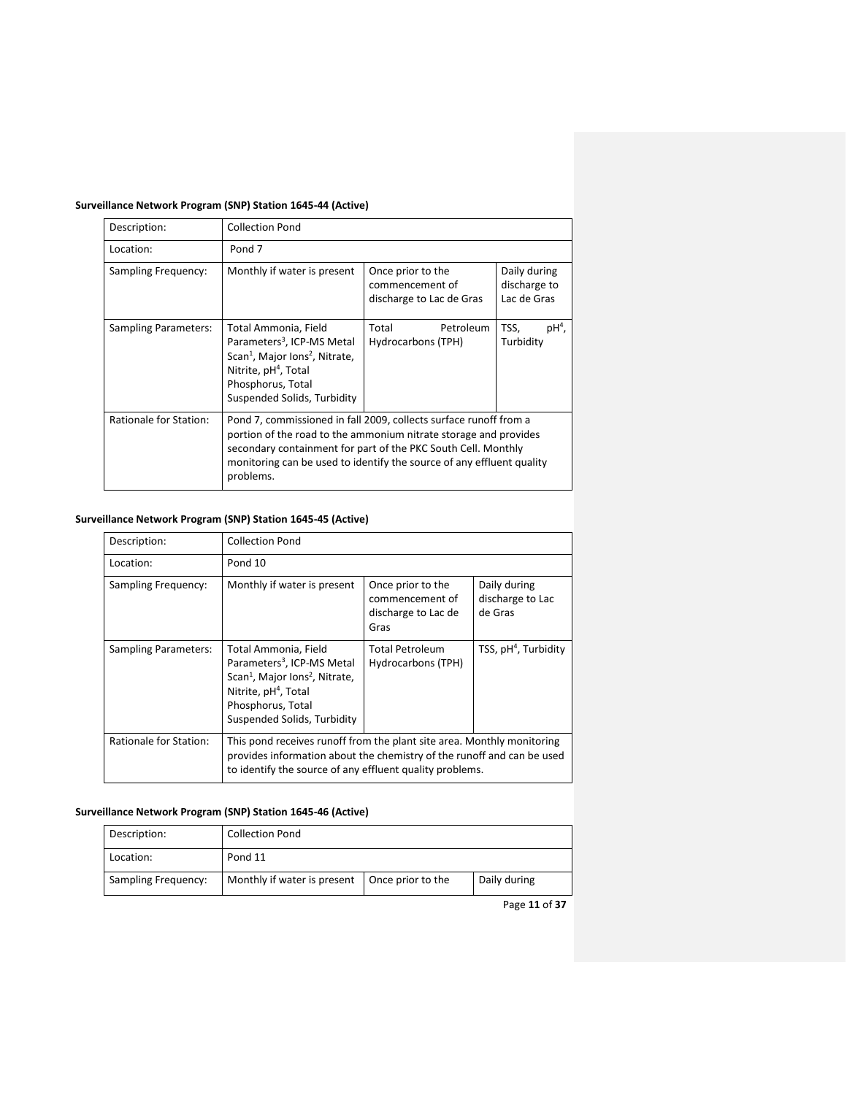# **Surveillance Network Program (SNP) Station 1645-44 (Active)**

| Description:                | <b>Collection Pond</b>                                                                                                                                                                                                                                                                       |                                                                  |                                             |
|-----------------------------|----------------------------------------------------------------------------------------------------------------------------------------------------------------------------------------------------------------------------------------------------------------------------------------------|------------------------------------------------------------------|---------------------------------------------|
| Location:                   | Pond 7                                                                                                                                                                                                                                                                                       |                                                                  |                                             |
| Sampling Frequency:         | Monthly if water is present                                                                                                                                                                                                                                                                  | Once prior to the<br>commencement of<br>discharge to Lac de Gras | Daily during<br>discharge to<br>Lac de Gras |
| <b>Sampling Parameters:</b> | Total Ammonia, Field<br>Parameters <sup>3</sup> , ICP-MS Metal<br>Scan <sup>1</sup> , Major Ions <sup>2</sup> , Nitrate,<br>Nitrite, pH <sup>4</sup> , Total<br>Phosphorus, Total<br>Suspended Solids, Turbidity                                                                             | Total<br>Petroleum<br>Hydrocarbons (TPH)                         | $pH4$ ,<br>TSS,<br>Turbidity                |
| Rationale for Station:      | Pond 7, commissioned in fall 2009, collects surface runoff from a<br>portion of the road to the ammonium nitrate storage and provides<br>secondary containment for part of the PKC South Cell. Monthly<br>monitoring can be used to identify the source of any effluent quality<br>problems. |                                                                  |                                             |

## **Surveillance Network Program (SNP) Station 1645-45 (Active)**

| Description:                | <b>Collection Pond</b>                                                                                                                                                                                           |                                                                     |                                             |
|-----------------------------|------------------------------------------------------------------------------------------------------------------------------------------------------------------------------------------------------------------|---------------------------------------------------------------------|---------------------------------------------|
| Location:                   | Pond 10                                                                                                                                                                                                          |                                                                     |                                             |
| Sampling Frequency:         | Monthly if water is present                                                                                                                                                                                      | Once prior to the<br>commencement of<br>discharge to Lac de<br>Gras | Daily during<br>discharge to Lac<br>de Gras |
| <b>Sampling Parameters:</b> | Total Ammonia, Field<br>Parameters <sup>3</sup> , ICP-MS Metal<br>Scan <sup>1</sup> , Major Ions <sup>2</sup> , Nitrate,<br>Nitrite, pH <sup>4</sup> , Total<br>Phosphorus, Total<br>Suspended Solids, Turbidity | <b>Total Petroleum</b><br>Hydrocarbons (TPH)                        | TSS, $pH4$ , Turbidity                      |
| Rationale for Station:      | This pond receives runoff from the plant site area. Monthly monitoring<br>provides information about the chemistry of the runoff and can be used<br>to identify the source of any effluent quality problems.     |                                                                     |                                             |

## **Surveillance Network Program (SNP) Station 1645-46 (Active)**

| Description:        | <b>Collection Pond</b>      |                   |              |
|---------------------|-----------------------------|-------------------|--------------|
| Location:           | Pond 11                     |                   |              |
| Sampling Frequency: | Monthly if water is present | Once prior to the | Daily during |

Page **11** of **37**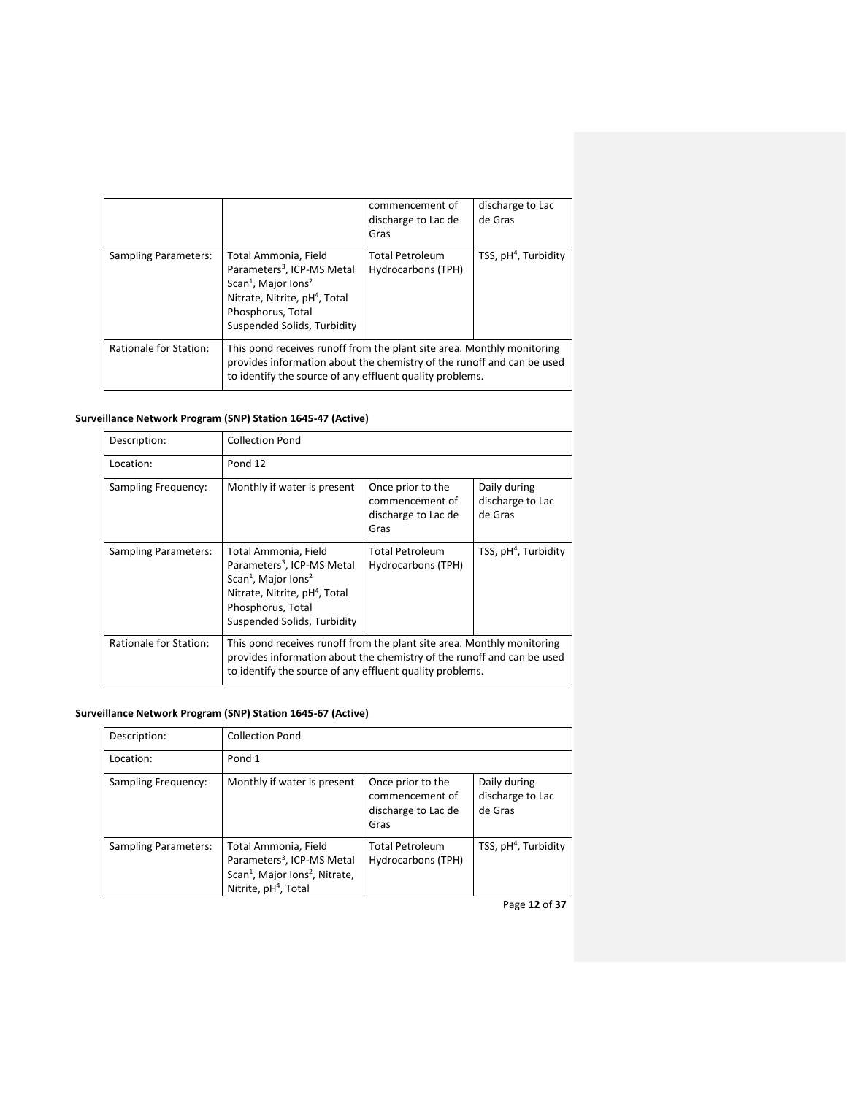|                             |                                                                                                                                                                                                                | commencement of<br>discharge to Lac de<br>Gras | discharge to Lac<br>de Gras      |
|-----------------------------|----------------------------------------------------------------------------------------------------------------------------------------------------------------------------------------------------------------|------------------------------------------------|----------------------------------|
| <b>Sampling Parameters:</b> | Total Ammonia, Field<br>Parameters <sup>3</sup> , ICP-MS Metal<br>Scan <sup>1</sup> , Major lons <sup>2</sup><br>Nitrate, Nitrite, pH <sup>4</sup> , Total<br>Phosphorus, Total<br>Suspended Solids, Turbidity | <b>Total Petroleum</b><br>Hydrocarbons (TPH)   | TSS, pH <sup>4</sup> , Turbidity |
| Rationale for Station:      | This pond receives runoff from the plant site area. Monthly monitoring<br>provides information about the chemistry of the runoff and can be used<br>to identify the source of any effluent quality problems.   |                                                |                                  |

## **Surveillance Network Program (SNP) Station 1645-47 (Active)**

| Description:                | <b>Collection Pond</b>                                                                                                                                                                                         |                                                                     |                                             |
|-----------------------------|----------------------------------------------------------------------------------------------------------------------------------------------------------------------------------------------------------------|---------------------------------------------------------------------|---------------------------------------------|
| Location:                   | Pond 12                                                                                                                                                                                                        |                                                                     |                                             |
| Sampling Frequency:         | Monthly if water is present                                                                                                                                                                                    | Once prior to the<br>commencement of<br>discharge to Lac de<br>Gras | Daily during<br>discharge to Lac<br>de Gras |
| <b>Sampling Parameters:</b> | Total Ammonia, Field<br>Parameters <sup>3</sup> , ICP-MS Metal<br>Scan <sup>1</sup> , Major lons <sup>2</sup><br>Nitrate, Nitrite, pH <sup>4</sup> , Total<br>Phosphorus, Total<br>Suspended Solids, Turbidity | <b>Total Petroleum</b><br>Hydrocarbons (TPH)                        | TSS, $pH4$ , Turbidity                      |
| Rationale for Station:      | This pond receives runoff from the plant site area. Monthly monitoring<br>provides information about the chemistry of the runoff and can be used<br>to identify the source of any effluent quality problems.   |                                                                     |                                             |

# **Surveillance Network Program (SNP) Station 1645-67 (Active)**

| Description:                | <b>Collection Pond</b>                                                                                                                                       |                                                                     |                                             |
|-----------------------------|--------------------------------------------------------------------------------------------------------------------------------------------------------------|---------------------------------------------------------------------|---------------------------------------------|
| Location:                   | Pond 1                                                                                                                                                       |                                                                     |                                             |
| Sampling Frequency:         | Monthly if water is present                                                                                                                                  | Once prior to the<br>commencement of<br>discharge to Lac de<br>Gras | Daily during<br>discharge to Lac<br>de Gras |
| <b>Sampling Parameters:</b> | Total Ammonia, Field<br>Parameters <sup>3</sup> , ICP-MS Metal<br>Scan <sup>1</sup> , Major Ions <sup>2</sup> , Nitrate,<br>Nitrite, pH <sup>4</sup> , Total | <b>Total Petroleum</b><br>Hydrocarbons (TPH)                        | TSS, $pH4$ , Turbidity                      |

Page **12** of **37**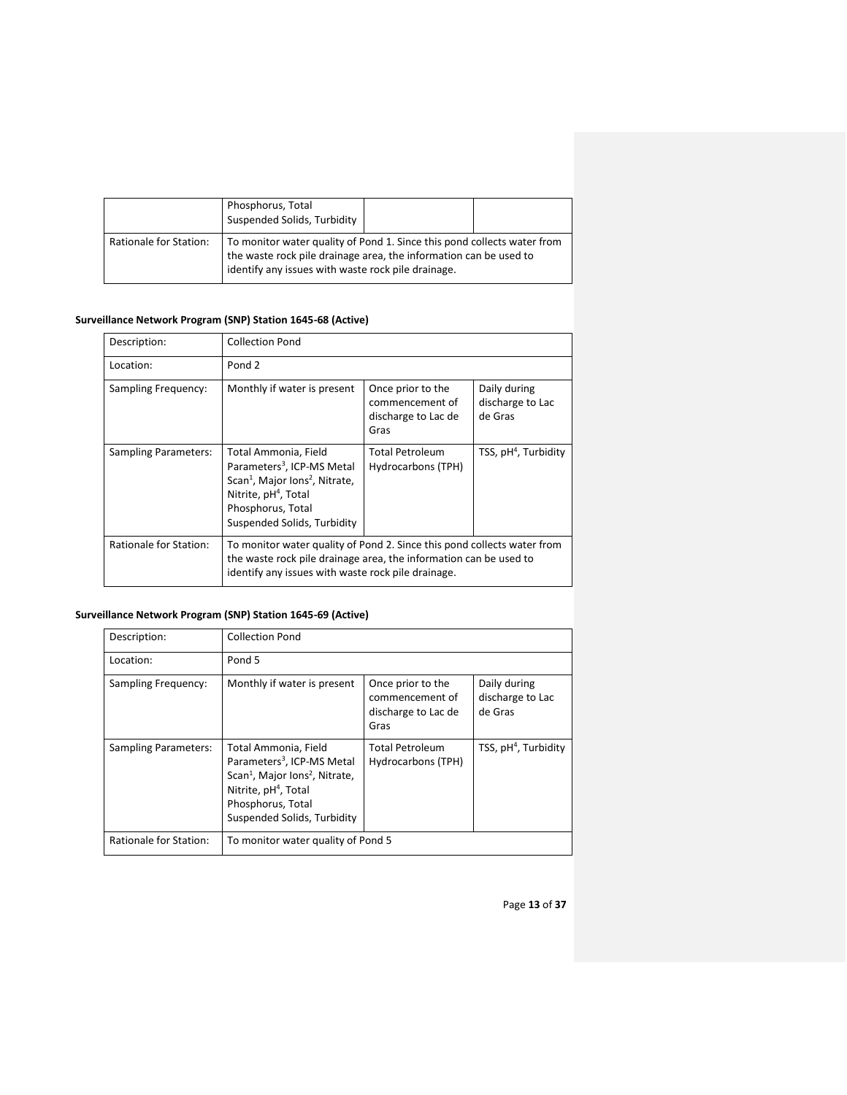|                        | Phosphorus, Total<br>Suspended Solids, Turbidity                                                                                                                                                   |  |
|------------------------|----------------------------------------------------------------------------------------------------------------------------------------------------------------------------------------------------|--|
| Rationale for Station: | To monitor water quality of Pond 1. Since this pond collects water from<br>the waste rock pile drainage area, the information can be used to<br>identify any issues with waste rock pile drainage. |  |

# **Surveillance Network Program (SNP) Station 1645-68 (Active)**

| Description:                | <b>Collection Pond</b>                                                                                                                                                                                           |                                                                     |                                             |
|-----------------------------|------------------------------------------------------------------------------------------------------------------------------------------------------------------------------------------------------------------|---------------------------------------------------------------------|---------------------------------------------|
| Location:                   | Pond 2                                                                                                                                                                                                           |                                                                     |                                             |
| Sampling Frequency:         | Monthly if water is present                                                                                                                                                                                      | Once prior to the<br>commencement of<br>discharge to Lac de<br>Gras | Daily during<br>discharge to Lac<br>de Gras |
| <b>Sampling Parameters:</b> | Total Ammonia, Field<br>Parameters <sup>3</sup> , ICP-MS Metal<br>Scan <sup>1</sup> , Major Ions <sup>2</sup> , Nitrate,<br>Nitrite, pH <sup>4</sup> , Total<br>Phosphorus, Total<br>Suspended Solids, Turbidity | <b>Total Petroleum</b><br>Hydrocarbons (TPH)                        | TSS, pH <sup>4</sup> , Turbidity            |
| Rationale for Station:      | To monitor water quality of Pond 2. Since this pond collects water from<br>the waste rock pile drainage area, the information can be used to<br>identify any issues with waste rock pile drainage.               |                                                                     |                                             |

# **Surveillance Network Program (SNP) Station 1645-69 (Active)**

| Description:           | <b>Collection Pond</b>                                                                                                                                                                                           |                                                                     |                                             |
|------------------------|------------------------------------------------------------------------------------------------------------------------------------------------------------------------------------------------------------------|---------------------------------------------------------------------|---------------------------------------------|
| Location:              | Pond 5                                                                                                                                                                                                           |                                                                     |                                             |
| Sampling Frequency:    | Monthly if water is present                                                                                                                                                                                      | Once prior to the<br>commencement of<br>discharge to Lac de<br>Gras | Daily during<br>discharge to Lac<br>de Gras |
| Sampling Parameters:   | Total Ammonia, Field<br>Parameters <sup>3</sup> , ICP-MS Metal<br>Scan <sup>1</sup> , Major Ions <sup>2</sup> , Nitrate,<br>Nitrite, pH <sup>4</sup> , Total<br>Phosphorus, Total<br>Suspended Solids, Turbidity | <b>Total Petroleum</b><br>Hydrocarbons (TPH)                        | TSS, $pH4$ , Turbidity                      |
| Rationale for Station: | To monitor water quality of Pond 5                                                                                                                                                                               |                                                                     |                                             |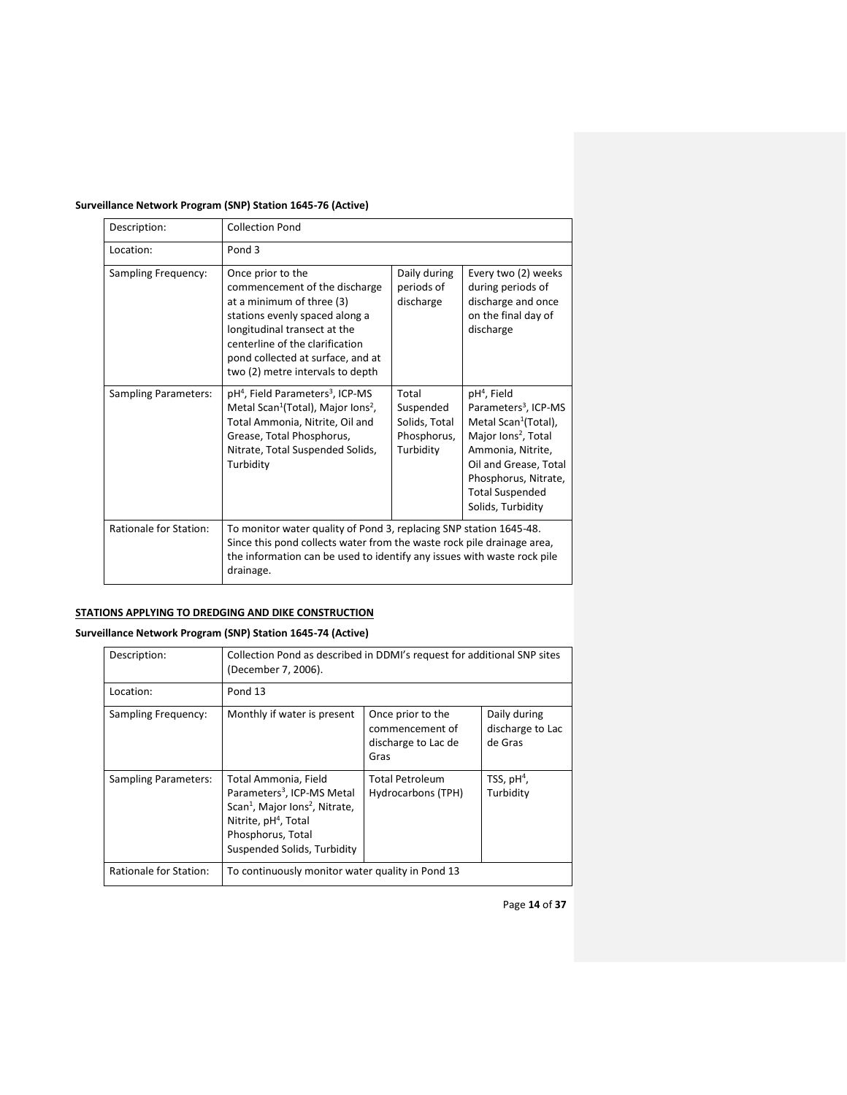# **Surveillance Network Program (SNP) Station 1645-76 (Active)**

| Description:                | <b>Collection Pond</b>                                                                                                                                                                                                                                        |                                                                 |                                                                                                                                                                                                                                                         |
|-----------------------------|---------------------------------------------------------------------------------------------------------------------------------------------------------------------------------------------------------------------------------------------------------------|-----------------------------------------------------------------|---------------------------------------------------------------------------------------------------------------------------------------------------------------------------------------------------------------------------------------------------------|
| Location:                   | Pond <sub>3</sub>                                                                                                                                                                                                                                             |                                                                 |                                                                                                                                                                                                                                                         |
| Sampling Frequency:         | Once prior to the<br>commencement of the discharge<br>at a minimum of three (3)<br>stations evenly spaced along a<br>longitudinal transect at the<br>centerline of the clarification<br>pond collected at surface, and at<br>two (2) metre intervals to depth | Daily during<br>periods of<br>discharge                         | Every two (2) weeks<br>during periods of<br>discharge and once<br>on the final day of<br>discharge                                                                                                                                                      |
| <b>Sampling Parameters:</b> | pH <sup>4</sup> , Field Parameters <sup>3</sup> , ICP-MS<br>Metal Scan <sup>1</sup> (Total), Major Ions <sup>2</sup> ,<br>Total Ammonia, Nitrite, Oil and<br>Grease, Total Phosphorus,<br>Nitrate, Total Suspended Solids,<br>Turbidity                       | Total<br>Suspended<br>Solids, Total<br>Phosphorus,<br>Turbidity | pH <sup>4</sup> , Field<br>Parameters <sup>3</sup> , ICP-MS<br>Metal Scan <sup>1</sup> (Total),<br>Major lons <sup>2</sup> , Total<br>Ammonia, Nitrite,<br>Oil and Grease, Total<br>Phosphorus, Nitrate,<br><b>Total Suspended</b><br>Solids, Turbidity |
| Rationale for Station:      | To monitor water quality of Pond 3, replacing SNP station 1645-48.<br>Since this pond collects water from the waste rock pile drainage area,<br>the information can be used to identify any issues with waste rock pile<br>drainage.                          |                                                                 |                                                                                                                                                                                                                                                         |

# **STATIONS APPLYING TO DREDGING AND DIKE CONSTRUCTION**

## **Surveillance Network Program (SNP) Station 1645-74 (Active)**

| Description:           | Collection Pond as described in DDMI's request for additional SNP sites<br>(December 7, 2006).                                                                                                                   |                                                                     |                                             |
|------------------------|------------------------------------------------------------------------------------------------------------------------------------------------------------------------------------------------------------------|---------------------------------------------------------------------|---------------------------------------------|
| Location:              | Pond 13                                                                                                                                                                                                          |                                                                     |                                             |
| Sampling Frequency:    | Monthly if water is present                                                                                                                                                                                      | Once prior to the<br>commencement of<br>discharge to Lac de<br>Gras | Daily during<br>discharge to Lac<br>de Gras |
| Sampling Parameters:   | Total Ammonia, Field<br>Parameters <sup>3</sup> , ICP-MS Metal<br>Scan <sup>1</sup> , Major Ions <sup>2</sup> , Nitrate,<br>Nitrite, pH <sup>4</sup> , Total<br>Phosphorus, Total<br>Suspended Solids, Turbidity | <b>Total Petroleum</b><br>Hydrocarbons (TPH)                        | TSS, $pH4$ ,<br>Turbidity                   |
| Rationale for Station: | To continuously monitor water quality in Pond 13                                                                                                                                                                 |                                                                     |                                             |

Page **14** of **37**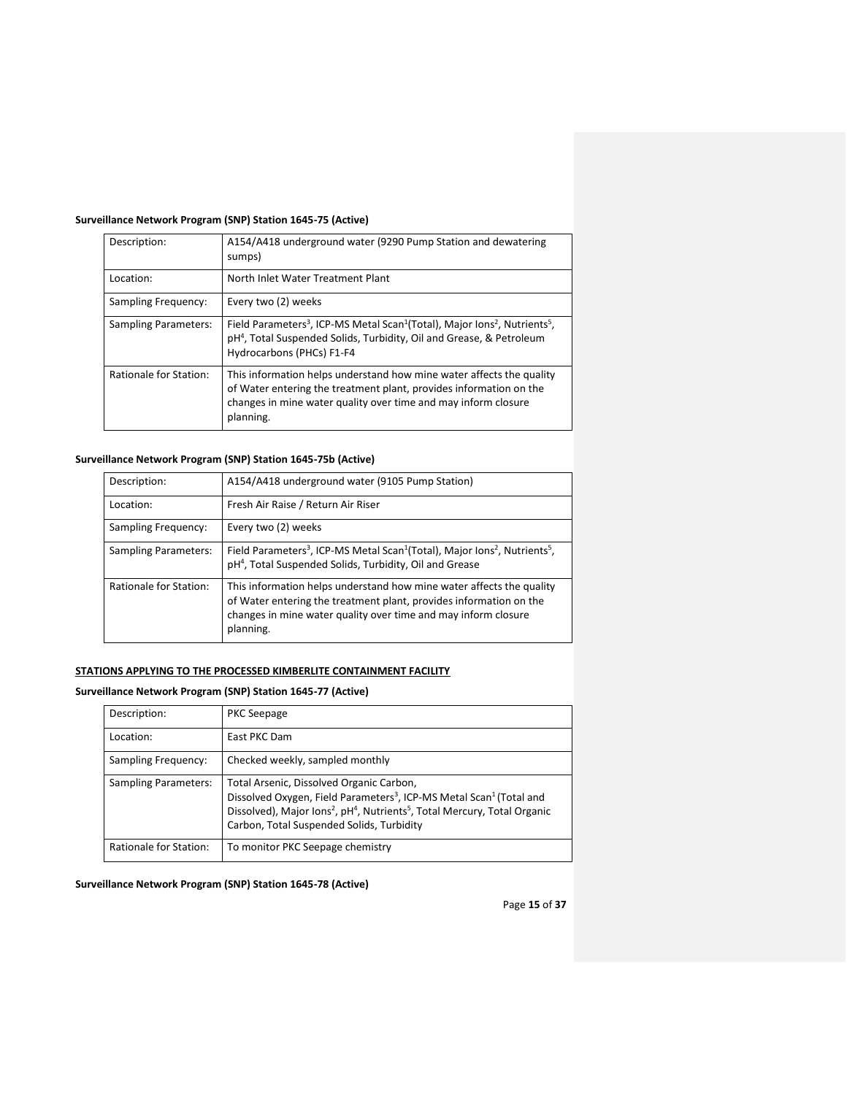# **Surveillance Network Program (SNP) Station 1645-75 (Active)**

| Description:                | A154/A418 underground water (9290 Pump Station and dewatering<br>sumps)                                                                                                                                                                     |
|-----------------------------|---------------------------------------------------------------------------------------------------------------------------------------------------------------------------------------------------------------------------------------------|
| Location:                   | North Inlet Water Treatment Plant                                                                                                                                                                                                           |
| Sampling Frequency:         | Every two (2) weeks                                                                                                                                                                                                                         |
| <b>Sampling Parameters:</b> | Field Parameters <sup>3</sup> , ICP-MS Metal Scan <sup>1</sup> (Total), Major Ions <sup>2</sup> , Nutrients <sup>5</sup> ,<br>pH <sup>4</sup> , Total Suspended Solids, Turbidity, Oil and Grease, & Petroleum<br>Hydrocarbons (PHCs) F1-F4 |
| Rationale for Station:      | This information helps understand how mine water affects the quality<br>of Water entering the treatment plant, provides information on the<br>changes in mine water quality over time and may inform closure<br>planning.                   |

## **Surveillance Network Program (SNP) Station 1645-75b (Active)**

| Description:                | A154/A418 underground water (9105 Pump Station)                                                                                                                                                                           |
|-----------------------------|---------------------------------------------------------------------------------------------------------------------------------------------------------------------------------------------------------------------------|
| Location:                   | Fresh Air Raise / Return Air Riser                                                                                                                                                                                        |
| Sampling Frequency:         | Every two (2) weeks                                                                                                                                                                                                       |
| <b>Sampling Parameters:</b> | Field Parameters <sup>3</sup> , ICP-MS Metal Scan <sup>1</sup> (Total), Major Ions <sup>2</sup> , Nutrients <sup>5</sup> ,<br>pH <sup>4</sup> , Total Suspended Solids, Turbidity, Oil and Grease                         |
| Rationale for Station:      | This information helps understand how mine water affects the quality<br>of Water entering the treatment plant, provides information on the<br>changes in mine water quality over time and may inform closure<br>planning. |

### **STATIONS APPLYING TO THE PROCESSED KIMBERLITE CONTAINMENT FACILITY**

## **Surveillance Network Program (SNP) Station 1645-77 (Active)**

| Description:                | <b>PKC Seepage</b>                                                                                                                                                                                                                                                                                    |
|-----------------------------|-------------------------------------------------------------------------------------------------------------------------------------------------------------------------------------------------------------------------------------------------------------------------------------------------------|
| Location:                   | East PKC Dam                                                                                                                                                                                                                                                                                          |
| Sampling Frequency:         | Checked weekly, sampled monthly                                                                                                                                                                                                                                                                       |
| <b>Sampling Parameters:</b> | Total Arsenic, Dissolved Organic Carbon,<br>Dissolved Oxygen, Field Parameters <sup>3</sup> , ICP-MS Metal Scan <sup>1</sup> (Total and<br>Dissolved), Major Ions <sup>2</sup> , pH <sup>4</sup> , Nutrients <sup>5</sup> , Total Mercury, Total Organic<br>Carbon, Total Suspended Solids, Turbidity |
| Rationale for Station:      | To monitor PKC Seepage chemistry                                                                                                                                                                                                                                                                      |

**Surveillance Network Program (SNP) Station 1645-78 (Active)**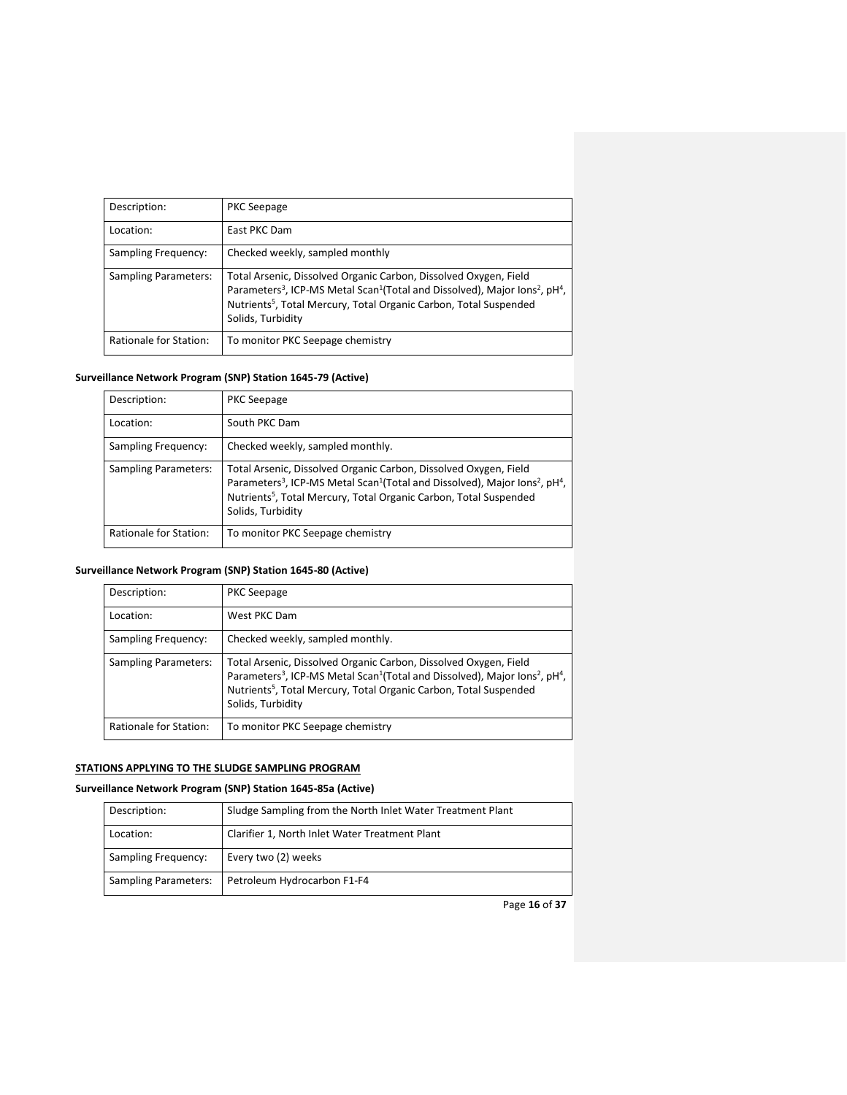| Description:                | <b>PKC Seepage</b>                                                                                                                                                                                                                                                                                    |
|-----------------------------|-------------------------------------------------------------------------------------------------------------------------------------------------------------------------------------------------------------------------------------------------------------------------------------------------------|
| Location:                   | East PKC Dam                                                                                                                                                                                                                                                                                          |
| Sampling Frequency:         | Checked weekly, sampled monthly                                                                                                                                                                                                                                                                       |
| <b>Sampling Parameters:</b> | Total Arsenic, Dissolved Organic Carbon, Dissolved Oxygen, Field<br>Parameters <sup>3</sup> , ICP-MS Metal Scan <sup>1</sup> (Total and Dissolved), Major Ions <sup>2</sup> , pH <sup>4</sup> ,<br>Nutrients <sup>5</sup> , Total Mercury, Total Organic Carbon, Total Suspended<br>Solids, Turbidity |
| Rationale for Station:      | To monitor PKC Seepage chemistry                                                                                                                                                                                                                                                                      |

## **Surveillance Network Program (SNP) Station 1645-79 (Active)**

| Description:                | <b>PKC Seepage</b>                                                                                                                                                                                                                                                                                    |
|-----------------------------|-------------------------------------------------------------------------------------------------------------------------------------------------------------------------------------------------------------------------------------------------------------------------------------------------------|
| Location:                   | South PKC Dam                                                                                                                                                                                                                                                                                         |
| Sampling Frequency:         | Checked weekly, sampled monthly.                                                                                                                                                                                                                                                                      |
| <b>Sampling Parameters:</b> | Total Arsenic, Dissolved Organic Carbon, Dissolved Oxygen, Field<br>Parameters <sup>3</sup> , ICP-MS Metal Scan <sup>1</sup> (Total and Dissolved), Major Ions <sup>2</sup> , pH <sup>4</sup> ,<br>Nutrients <sup>5</sup> , Total Mercury, Total Organic Carbon, Total Suspended<br>Solids, Turbidity |
| Rationale for Station:      | To monitor PKC Seepage chemistry                                                                                                                                                                                                                                                                      |

## **Surveillance Network Program (SNP) Station 1645-80 (Active)**

| Description:                | <b>PKC Seepage</b>                                                                                                                                                                                                                                                                                    |
|-----------------------------|-------------------------------------------------------------------------------------------------------------------------------------------------------------------------------------------------------------------------------------------------------------------------------------------------------|
| Location:                   | West PKC Dam                                                                                                                                                                                                                                                                                          |
| Sampling Frequency:         | Checked weekly, sampled monthly.                                                                                                                                                                                                                                                                      |
| <b>Sampling Parameters:</b> | Total Arsenic, Dissolved Organic Carbon, Dissolved Oxygen, Field<br>Parameters <sup>3</sup> , ICP-MS Metal Scan <sup>1</sup> (Total and Dissolved), Major Ions <sup>2</sup> , pH <sup>4</sup> ,<br>Nutrients <sup>5</sup> , Total Mercury, Total Organic Carbon, Total Suspended<br>Solids, Turbidity |
| Rationale for Station:      | To monitor PKC Seepage chemistry                                                                                                                                                                                                                                                                      |

## **STATIONS APPLYING TO THE SLUDGE SAMPLING PROGRAM**

## **Surveillance Network Program (SNP) Station 1645-85a (Active)**

| Description:                | Sludge Sampling from the North Inlet Water Treatment Plant |
|-----------------------------|------------------------------------------------------------|
| Location:                   | Clarifier 1, North Inlet Water Treatment Plant             |
| Sampling Frequency:         | Every two (2) weeks                                        |
| <b>Sampling Parameters:</b> | Petroleum Hydrocarbon F1-F4                                |

Page **16** of **37**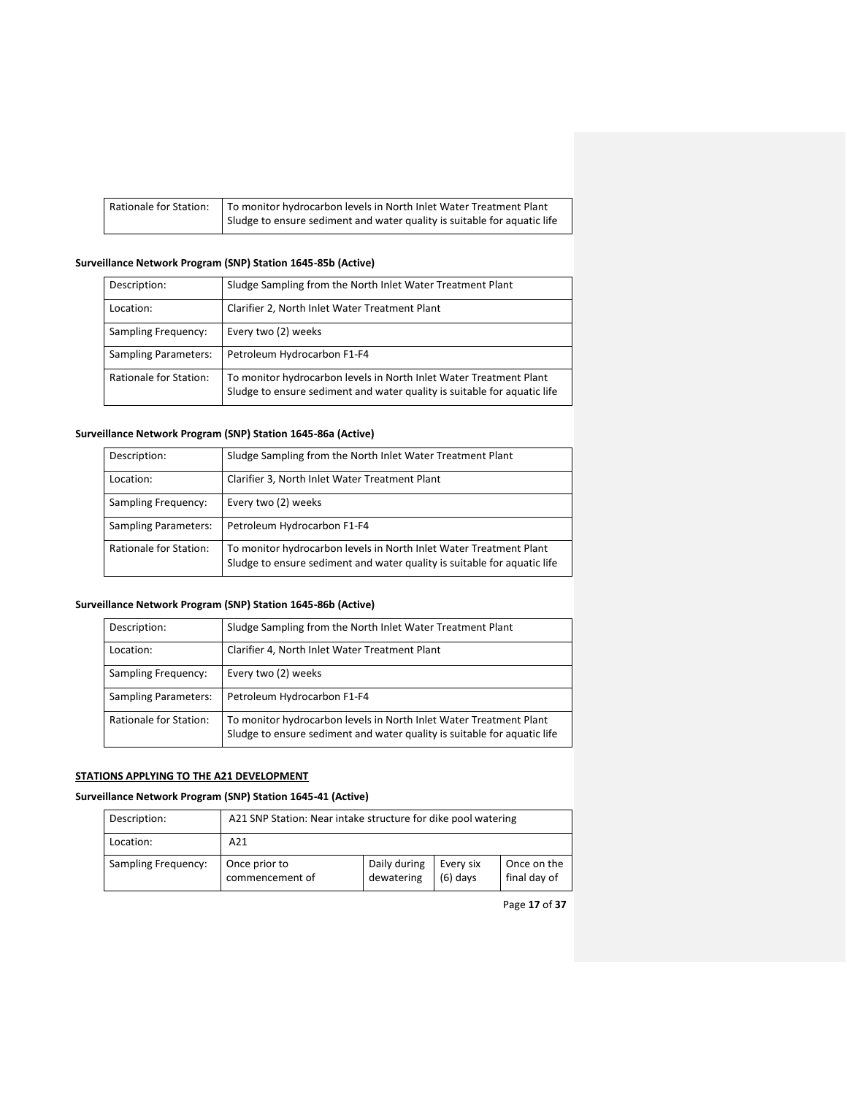| Rationale for Station: | To monitor hydrocarbon levels in North Inlet Water Treatment Plant       |
|------------------------|--------------------------------------------------------------------------|
|                        | Sludge to ensure sediment and water quality is suitable for aquatic life |

### **Surveillance Network Program (SNP) Station 1645-85b (Active)**

| Description:                  | Sludge Sampling from the North Inlet Water Treatment Plant                                                                                     |  |  |  |
|-------------------------------|------------------------------------------------------------------------------------------------------------------------------------------------|--|--|--|
| Location:                     | Clarifier 2, North Inlet Water Treatment Plant                                                                                                 |  |  |  |
| Sampling Frequency:           | Every two (2) weeks                                                                                                                            |  |  |  |
| <b>Sampling Parameters:</b>   | Petroleum Hydrocarbon F1-F4                                                                                                                    |  |  |  |
| <b>Rationale for Station:</b> | To monitor hydrocarbon levels in North Inlet Water Treatment Plant<br>Sludge to ensure sediment and water quality is suitable for aquatic life |  |  |  |

## **Surveillance Network Program (SNP) Station 1645-86a (Active)**

| Description:                | Sludge Sampling from the North Inlet Water Treatment Plant                                                                                     |  |  |  |
|-----------------------------|------------------------------------------------------------------------------------------------------------------------------------------------|--|--|--|
| Location:                   | Clarifier 3, North Inlet Water Treatment Plant                                                                                                 |  |  |  |
| Sampling Frequency:         | Every two (2) weeks                                                                                                                            |  |  |  |
| <b>Sampling Parameters:</b> | Petroleum Hydrocarbon F1-F4                                                                                                                    |  |  |  |
| Rationale for Station:      | To monitor hydrocarbon levels in North Inlet Water Treatment Plant<br>Sludge to ensure sediment and water quality is suitable for aquatic life |  |  |  |

## **Surveillance Network Program (SNP) Station 1645-86b (Active)**

| Description:                  | Sludge Sampling from the North Inlet Water Treatment Plant                                                                                     |  |  |
|-------------------------------|------------------------------------------------------------------------------------------------------------------------------------------------|--|--|
| Location:                     | Clarifier 4, North Inlet Water Treatment Plant                                                                                                 |  |  |
| Sampling Frequency:           | Every two (2) weeks                                                                                                                            |  |  |
| <b>Sampling Parameters:</b>   | Petroleum Hydrocarbon F1-F4                                                                                                                    |  |  |
| <b>Rationale for Station:</b> | To monitor hydrocarbon levels in North Inlet Water Treatment Plant<br>Sludge to ensure sediment and water quality is suitable for aquatic life |  |  |

## **STATIONS APPLYING TO THE A21 DEVELOPMENT**

## **Surveillance Network Program (SNP) Station 1645-41 (Active)**

| Description:        | A21 SNP Station: Near intake structure for dike pool watering |                            |                         |                             |
|---------------------|---------------------------------------------------------------|----------------------------|-------------------------|-----------------------------|
| Location:           | A21                                                           |                            |                         |                             |
| Sampling Frequency: | Once prior to<br>commencement of                              | Daily during<br>dewatering | Every six<br>$(6)$ days | Once on the<br>final day of |

Page **17** of **37**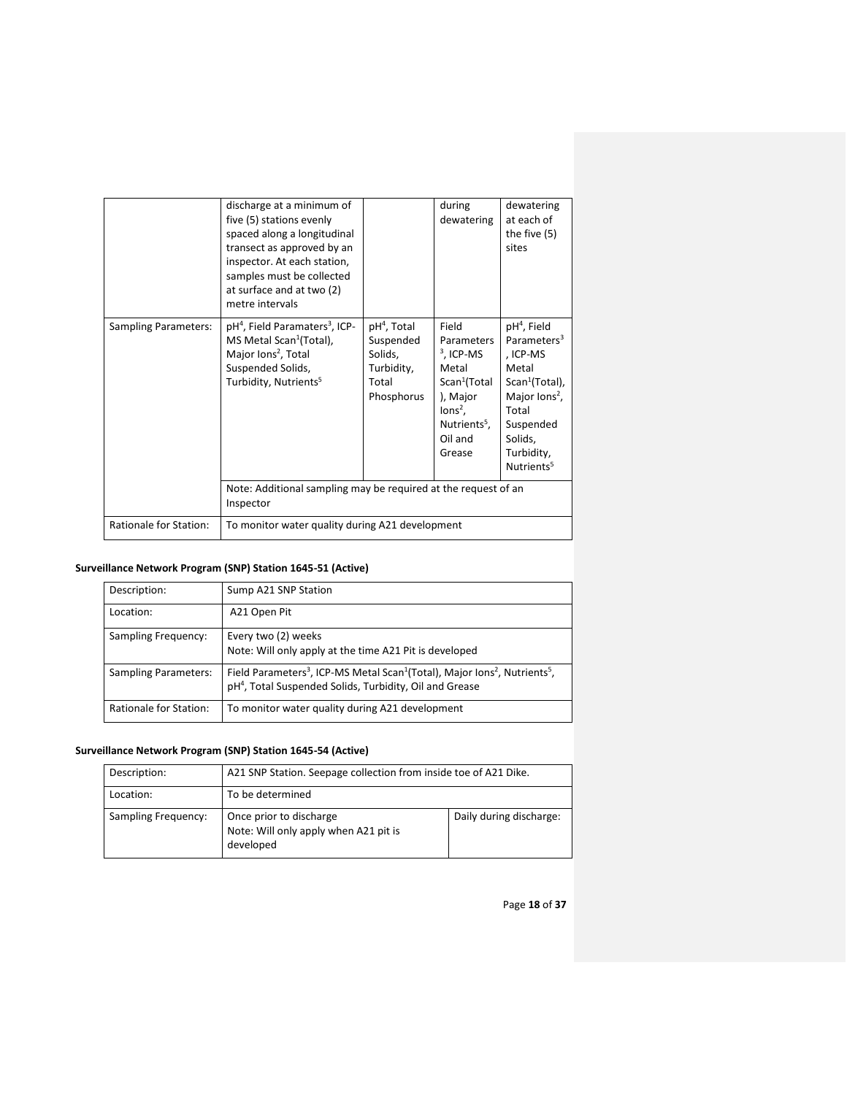|                             | discharge at a minimum of<br>five (5) stations evenly<br>spaced along a longitudinal<br>transect as approved by an<br>inspector. At each station,<br>samples must be collected<br>at surface and at two (2)<br>metre intervals |                                                                                      | during<br>dewatering                                                                                                                               | dewatering<br>at each of<br>the five $(5)$<br>sites                                                                                                                                                         |
|-----------------------------|--------------------------------------------------------------------------------------------------------------------------------------------------------------------------------------------------------------------------------|--------------------------------------------------------------------------------------|----------------------------------------------------------------------------------------------------------------------------------------------------|-------------------------------------------------------------------------------------------------------------------------------------------------------------------------------------------------------------|
| <b>Sampling Parameters:</b> | pH <sup>4</sup> , Field Paramaters <sup>3</sup> , ICP-<br>MS Metal Scan <sup>1</sup> (Total),<br>Major lons <sup>2</sup> , Total<br>Suspended Solids,<br>Turbidity, Nutrients <sup>5</sup>                                     | pH <sup>4</sup> , Total<br>Suspended<br>Solids,<br>Turbidity,<br>Total<br>Phosphorus | Field<br>Parameters<br>$3$ , ICP-MS<br>Metal<br>Scan <sup>1</sup> (Total<br>), Major<br>$Ions2$ ,<br>Nutrients <sup>5</sup> ,<br>Oil and<br>Grease | pH <sup>4</sup> , Field<br>Parameters <sup>3</sup><br>, ICP-MS<br>Metal<br>Scan <sup>1</sup> (Total),<br>Major lons <sup>2</sup> ,<br>Total<br>Suspended<br>Solids,<br>Turbidity,<br>Nutrients <sup>5</sup> |
|                             | Note: Additional sampling may be required at the request of an<br>Inspector                                                                                                                                                    |                                                                                      |                                                                                                                                                    |                                                                                                                                                                                                             |
| Rationale for Station:      | To monitor water quality during A21 development                                                                                                                                                                                |                                                                                      |                                                                                                                                                    |                                                                                                                                                                                                             |

# **Surveillance Network Program (SNP) Station 1645-51 (Active)**

| Description:                | Sump A21 SNP Station                                                                                                                                                                              |
|-----------------------------|---------------------------------------------------------------------------------------------------------------------------------------------------------------------------------------------------|
| Location:                   | A21 Open Pit                                                                                                                                                                                      |
| Sampling Frequency:         | Every two (2) weeks<br>Note: Will only apply at the time A21 Pit is developed                                                                                                                     |
| <b>Sampling Parameters:</b> | Field Parameters <sup>3</sup> , ICP-MS Metal Scan <sup>1</sup> (Total), Major Ions <sup>2</sup> , Nutrients <sup>5</sup> ,<br>pH <sup>4</sup> , Total Suspended Solids, Turbidity, Oil and Grease |
| Rationale for Station:      | To monitor water quality during A21 development                                                                                                                                                   |

## **Surveillance Network Program (SNP) Station 1645-54 (Active)**

| Description:        | A21 SNP Station. Seepage collection from inside toe of A21 Dike.              |                         |
|---------------------|-------------------------------------------------------------------------------|-------------------------|
| Location:           | To be determined                                                              |                         |
| Sampling Frequency: | Once prior to discharge<br>Note: Will only apply when A21 pit is<br>developed | Daily during discharge: |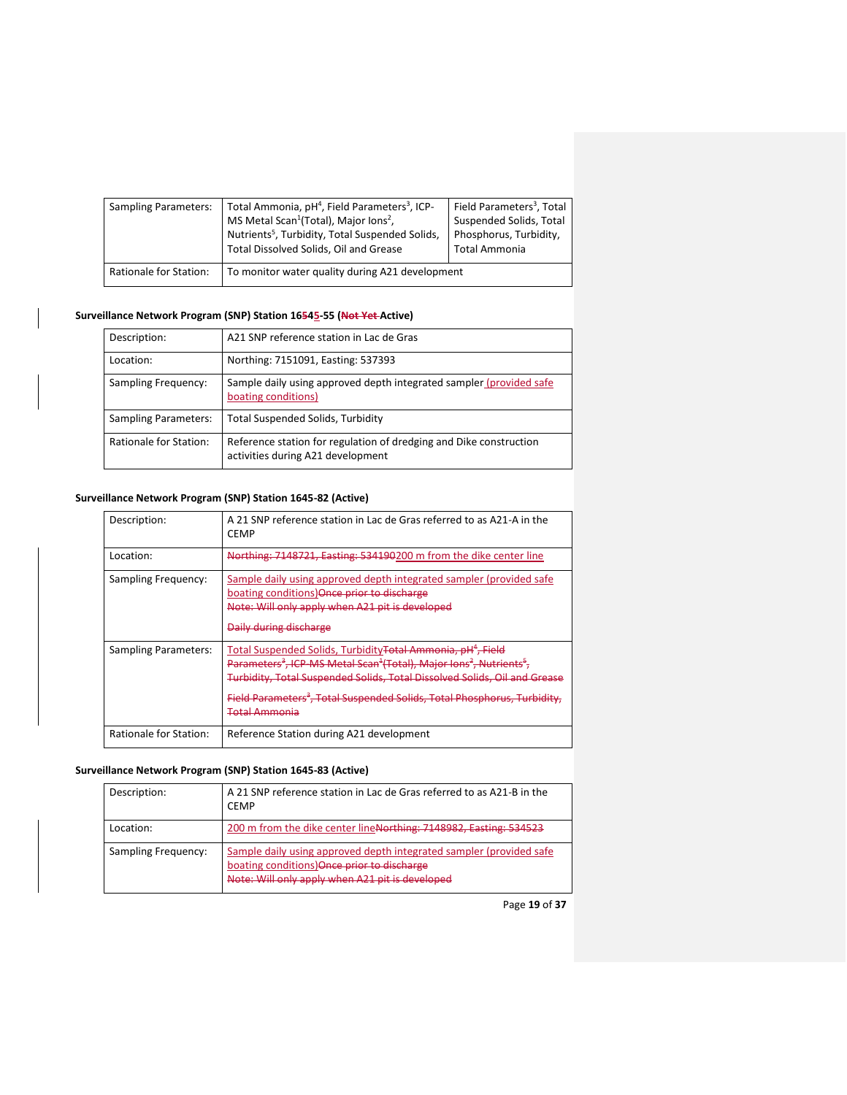| <b>Sampling Parameters:</b>   | Total Ammonia, pH <sup>4</sup> , Field Parameters <sup>3</sup> , ICP-<br>MS Metal Scan <sup>1</sup> (Total), Major Ions <sup>2</sup> ,<br>Nutrients <sup>5</sup> , Turbidity, Total Suspended Solids,<br>Total Dissolved Solids, Oil and Grease | Field Parameters <sup>3</sup> , Total<br>Suspended Solids, Total<br>Phosphorus, Turbidity,<br><b>Total Ammonia</b> |
|-------------------------------|-------------------------------------------------------------------------------------------------------------------------------------------------------------------------------------------------------------------------------------------------|--------------------------------------------------------------------------------------------------------------------|
| <b>Rationale for Station:</b> | To monitor water quality during A21 development                                                                                                                                                                                                 |                                                                                                                    |

## **Surveillance Network Program (SNP) Station 16545-55 (Not Yet Active)**

| Description:                | A21 SNP reference station in Lac de Gras                                                                |
|-----------------------------|---------------------------------------------------------------------------------------------------------|
| Location:                   | Northing: 7151091, Easting: 537393                                                                      |
| Sampling Frequency:         | Sample daily using approved depth integrated sampler (provided safe<br>boating conditions)              |
| <b>Sampling Parameters:</b> | Total Suspended Solids, Turbidity                                                                       |
| Rationale for Station:      | Reference station for regulation of dredging and Dike construction<br>activities during A21 development |

## **Surveillance Network Program (SNP) Station 1645-82 (Active)**

| Description:           | A 21 SNP reference station in Lac de Gras referred to as A21-A in the<br><b>CEMP</b>                                                                                                                                                                                                                                                                                                                       |
|------------------------|------------------------------------------------------------------------------------------------------------------------------------------------------------------------------------------------------------------------------------------------------------------------------------------------------------------------------------------------------------------------------------------------------------|
| Location:              | Northing: 7148721, Easting: 534190200 m from the dike center line                                                                                                                                                                                                                                                                                                                                          |
| Sampling Frequency:    | Sample daily using approved depth integrated sampler (provided safe<br>boating conditions) Once prior to discharge<br>Note: Will only apply when A21 pit is developed<br>Daily during discharge                                                                                                                                                                                                            |
| Sampling Parameters:   | Total Suspended Solids, Turbidity <del>Total Ammonia, pH<sup>4</sup>, Field</del><br>Parameters <sup>3</sup> , ICP-MS Metal Scan <sup>1</sup> (Total), Major Ions <sup>2</sup> , Nutrients <sup>5</sup> ,<br>Turbidity, Total Suspended Solids, Total Dissolved Solids, Oil and Grease<br>Field Parameters <sup>3</sup> , Total Suspended Solids, Total Phosphorus, Turbidity,<br><del>Total Ammonia</del> |
| Rationale for Station: | Reference Station during A21 development                                                                                                                                                                                                                                                                                                                                                                   |

## **Surveillance Network Program (SNP) Station 1645-83 (Active)**

| Description:        | A 21 SNP reference station in Lac de Gras referred to as A21-B in the<br><b>CEMP</b>                                                                                  |
|---------------------|-----------------------------------------------------------------------------------------------------------------------------------------------------------------------|
| Location:           | 200 m from the dike center line Northing: 7148982, Easting: 534523                                                                                                    |
| Sampling Frequency: | Sample daily using approved depth integrated sampler (provided safe<br>boating conditions) Once prior to discharge<br>Note: Will only apply when A21 pit is developed |

Page **19** of **37**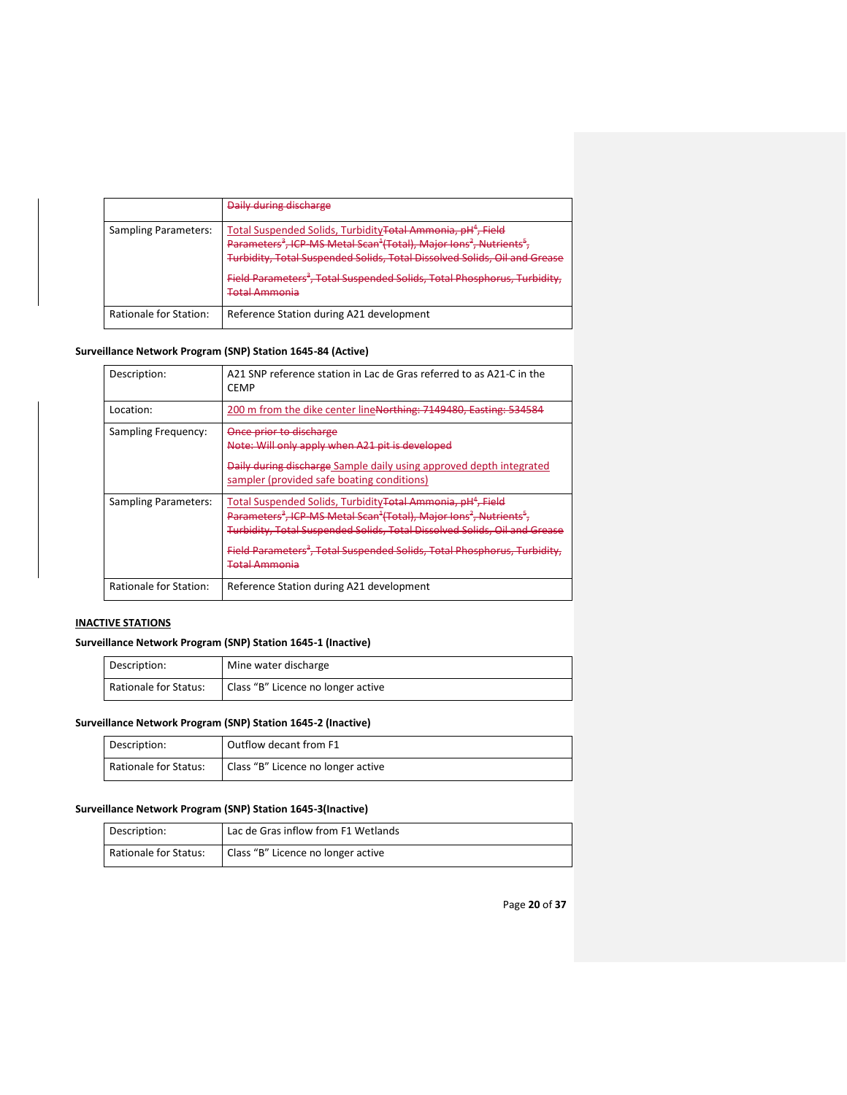|                        | <b>Daily during discharge</b>                                                                                        |
|------------------------|----------------------------------------------------------------------------------------------------------------------|
| Sampling Parameters:   | Total Suspended Solids, Turbidity <del>Total Ammonia, pH<sup>4</sup>, Field</del>                                    |
|                        | Parameters <sup>3</sup> , ICP-MS Metal Scan <sup>+</sup> (Total), Major Ions <sup>2</sup> , Nutrients <sup>5</sup> , |
|                        | Turbidity, Total Suspended Solids, Total Dissolved Solids, Oil and Grease                                            |
|                        | Field Parameters <sup>3</sup> , Total Suspended Solids, Total Phosphorus, Turbidity,<br><b>Total Ammonia</b>         |
| Rationale for Station: | Reference Station during A21 development                                                                             |

## **Surveillance Network Program (SNP) Station 1645-84 (Active)**

| Description:           | A21 SNP reference station in Lac de Gras referred to as A21-C in the<br><b>CEMP</b>                                                                                                                                                                                                           |
|------------------------|-----------------------------------------------------------------------------------------------------------------------------------------------------------------------------------------------------------------------------------------------------------------------------------------------|
| Location:              | 200 m from the dike center lineNorthing: 7149480, Easting: 534584                                                                                                                                                                                                                             |
| Sampling Frequency:    | Once prior to discharge                                                                                                                                                                                                                                                                       |
|                        | Note: Will only apply when A21 pit is developed                                                                                                                                                                                                                                               |
|                        | Daily during discharge Sample daily using approved depth integrated<br>sampler (provided safe boating conditions)                                                                                                                                                                             |
| Sampling Parameters:   | Total Suspended Solids, Turbidity <del>Total Ammonia, pH<sup>4</sup>, Field</del><br>Parameters <sup>3</sup> , ICP MS Metal Scan <sup>+</sup> (Total), Major Ions <sup>2</sup> , Nutrients <sup>5</sup> ,<br><b>Turbidity, Total Suspended Solids, Total Dissolved Solids, Oil and Grease</b> |
|                        | Field Parameters <sup>3</sup> , Total Suspended Solids, Total Phosphorus, Turbidity,<br><del>Total Ammonia</del>                                                                                                                                                                              |
| Rationale for Station: | Reference Station during A21 development                                                                                                                                                                                                                                                      |

### **INACTIVE STATIONS**

## **Surveillance Network Program (SNP) Station 1645-1 (Inactive)**

| Description:                 | Mine water discharge               |
|------------------------------|------------------------------------|
| <b>Rationale for Status:</b> | Class "B" Licence no longer active |

## **Surveillance Network Program (SNP) Station 1645-2 (Inactive)**

| Description:                 | Outflow decant from F1             |
|------------------------------|------------------------------------|
| <b>Rationale for Status:</b> | Class "B" Licence no longer active |

## **Surveillance Network Program (SNP) Station 1645-3(Inactive)**

| Description:          | Lac de Gras inflow from F1 Wetlands |
|-----------------------|-------------------------------------|
| Rationale for Status: | Class "B" Licence no longer active  |

Page **20** of **37**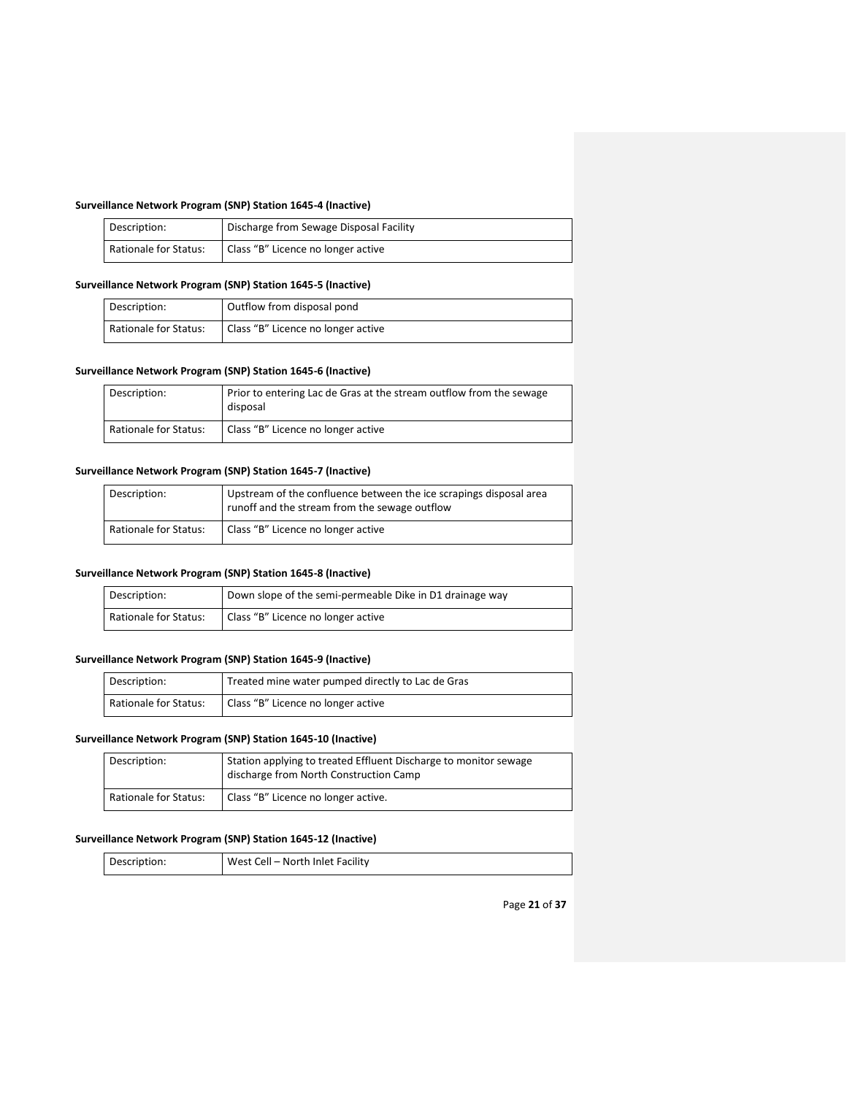#### **Surveillance Network Program (SNP) Station 1645-4 (Inactive)**

| Description:                 | Discharge from Sewage Disposal Facility |
|------------------------------|-----------------------------------------|
| <b>Rationale for Status:</b> | Class "B" Licence no longer active      |

#### **Surveillance Network Program (SNP) Station 1645-5 (Inactive)**

| Description:          | Outflow from disposal pond         |
|-----------------------|------------------------------------|
| Rationale for Status: | Class "B" Licence no longer active |

### **Surveillance Network Program (SNP) Station 1645-6 (Inactive)**

| Description:                 | Prior to entering Lac de Gras at the stream outflow from the sewage<br>disposal |
|------------------------------|---------------------------------------------------------------------------------|
| <b>Rationale for Status:</b> | Class "B" Licence no longer active                                              |

### **Surveillance Network Program (SNP) Station 1645-7 (Inactive)**

| Description:                 | Upstream of the confluence between the ice scrapings disposal area<br>runoff and the stream from the sewage outflow |
|------------------------------|---------------------------------------------------------------------------------------------------------------------|
| <b>Rationale for Status:</b> | Class "B" Licence no longer active                                                                                  |

### **Surveillance Network Program (SNP) Station 1645-8 (Inactive)**

| Description:                 | Down slope of the semi-permeable Dike in D1 drainage way |
|------------------------------|----------------------------------------------------------|
| <b>Rationale for Status:</b> | Class "B" Licence no longer active                       |

### **Surveillance Network Program (SNP) Station 1645-9 (Inactive)**

| Description:          | Treated mine water pumped directly to Lac de Gras |
|-----------------------|---------------------------------------------------|
| Rationale for Status: | Class "B" Licence no longer active                |

#### **Surveillance Network Program (SNP) Station 1645-10 (Inactive)**

| Description:                 | Station applying to treated Effluent Discharge to monitor sewage<br>discharge from North Construction Camp |
|------------------------------|------------------------------------------------------------------------------------------------------------|
| <b>Rationale for Status:</b> | Class "B" Licence no longer active.                                                                        |

#### **Surveillance Network Program (SNP) Station 1645-12 (Inactive)**

| Description: | West Cell - North Inlet Facility |
|--------------|----------------------------------|
|--------------|----------------------------------|

Page **21** of **37**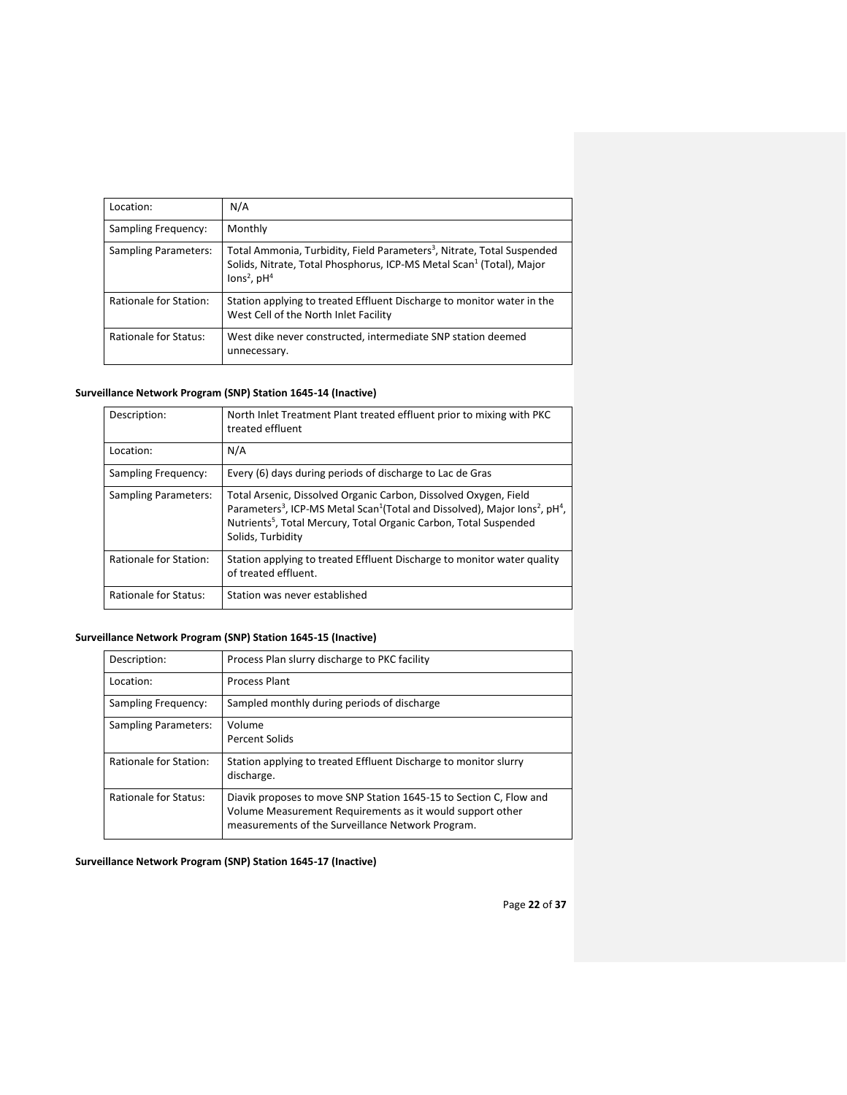| Location:                   | N/A                                                                                                                                                                                                 |  |
|-----------------------------|-----------------------------------------------------------------------------------------------------------------------------------------------------------------------------------------------------|--|
| Sampling Frequency:         | Monthly                                                                                                                                                                                             |  |
| <b>Sampling Parameters:</b> | Total Ammonia, Turbidity, Field Parameters <sup>3</sup> , Nitrate, Total Suspended<br>Solids, Nitrate, Total Phosphorus, ICP-MS Metal Scan <sup>1</sup> (Total), Major<br>lons <sup>2</sup> , $pH4$ |  |
| Rationale for Station:      | Station applying to treated Effluent Discharge to monitor water in the<br>West Cell of the North Inlet Facility                                                                                     |  |
| Rationale for Status:       | West dike never constructed, intermediate SNP station deemed<br>unnecessary.                                                                                                                        |  |

## **Surveillance Network Program (SNP) Station 1645-14 (Inactive)**

| Description:                | North Inlet Treatment Plant treated effluent prior to mixing with PKC<br>treated effluent                                                                                                                                                                                                             |  |
|-----------------------------|-------------------------------------------------------------------------------------------------------------------------------------------------------------------------------------------------------------------------------------------------------------------------------------------------------|--|
| Location:                   | N/A                                                                                                                                                                                                                                                                                                   |  |
| Sampling Frequency:         | Every (6) days during periods of discharge to Lac de Gras                                                                                                                                                                                                                                             |  |
| <b>Sampling Parameters:</b> | Total Arsenic, Dissolved Organic Carbon, Dissolved Oxygen, Field<br>Parameters <sup>3</sup> , ICP-MS Metal Scan <sup>1</sup> (Total and Dissolved), Major Ions <sup>2</sup> , pH <sup>4</sup> ,<br>Nutrients <sup>5</sup> , Total Mercury, Total Organic Carbon, Total Suspended<br>Solids, Turbidity |  |
| Rationale for Station:      | Station applying to treated Effluent Discharge to monitor water quality<br>of treated effluent.                                                                                                                                                                                                       |  |
| Rationale for Status:       | Station was never established                                                                                                                                                                                                                                                                         |  |

# **Surveillance Network Program (SNP) Station 1645-15 (Inactive)**

| Description:                | Process Plan slurry discharge to PKC facility                                                                                                                                        |
|-----------------------------|--------------------------------------------------------------------------------------------------------------------------------------------------------------------------------------|
| Location:                   | Process Plant                                                                                                                                                                        |
| Sampling Frequency:         | Sampled monthly during periods of discharge                                                                                                                                          |
| <b>Sampling Parameters:</b> | Volume<br>Percent Solids                                                                                                                                                             |
| Rationale for Station:      | Station applying to treated Effluent Discharge to monitor slurry<br>discharge.                                                                                                       |
| Rationale for Status:       | Diavik proposes to move SNP Station 1645-15 to Section C, Flow and<br>Volume Measurement Requirements as it would support other<br>measurements of the Surveillance Network Program. |

**Surveillance Network Program (SNP) Station 1645-17 (Inactive)**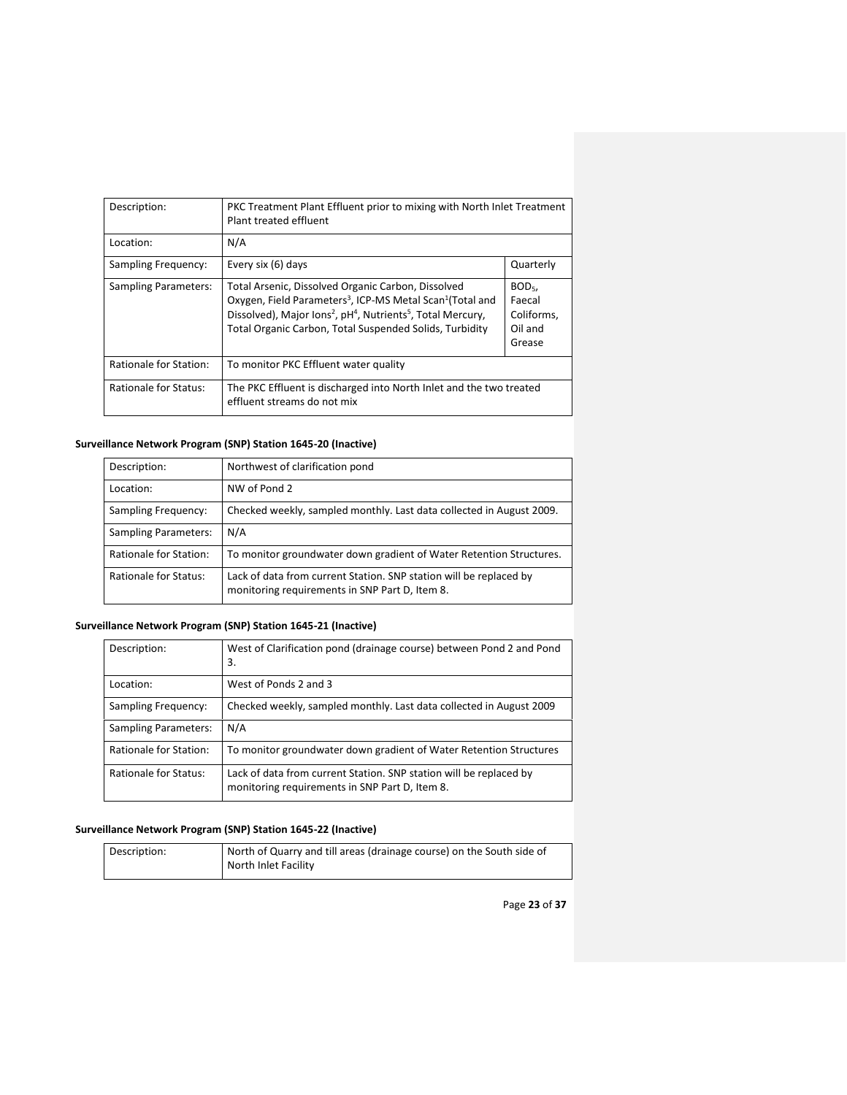| Description:                | PKC Treatment Plant Effluent prior to mixing with North Inlet Treatment<br>Plant treated effluent                                                                                                                                                                                                     |                                                                 |
|-----------------------------|-------------------------------------------------------------------------------------------------------------------------------------------------------------------------------------------------------------------------------------------------------------------------------------------------------|-----------------------------------------------------------------|
| Location:                   | N/A                                                                                                                                                                                                                                                                                                   |                                                                 |
| Sampling Frequency:         | Every six (6) days                                                                                                                                                                                                                                                                                    | Quarterly                                                       |
| <b>Sampling Parameters:</b> | Total Arsenic, Dissolved Organic Carbon, Dissolved<br>Oxygen, Field Parameters <sup>3</sup> , ICP-MS Metal Scan <sup>1</sup> (Total and<br>Dissolved), Major Ions <sup>2</sup> , pH <sup>4</sup> , Nutrients <sup>5</sup> , Total Mercury,<br>Total Organic Carbon, Total Suspended Solids, Turbidity | BOD <sub>5</sub> ,<br>Faecal<br>Coliforms.<br>Oil and<br>Grease |
| Rationale for Station:      | To monitor PKC Effluent water quality                                                                                                                                                                                                                                                                 |                                                                 |
| Rationale for Status:       | The PKC Effluent is discharged into North Inlet and the two treated<br>effluent streams do not mix                                                                                                                                                                                                    |                                                                 |

## **Surveillance Network Program (SNP) Station 1645-20 (Inactive)**

| Description:                | Northwest of clarification pond                                                                                      |
|-----------------------------|----------------------------------------------------------------------------------------------------------------------|
| Location:                   | NW of Pond 2                                                                                                         |
| Sampling Frequency:         | Checked weekly, sampled monthly. Last data collected in August 2009.                                                 |
| <b>Sampling Parameters:</b> | N/A                                                                                                                  |
| Rationale for Station:      | To monitor groundwater down gradient of Water Retention Structures.                                                  |
| Rationale for Status:       | Lack of data from current Station. SNP station will be replaced by<br>monitoring requirements in SNP Part D, Item 8. |

## **Surveillance Network Program (SNP) Station 1645-21 (Inactive)**

| Description:                | West of Clarification pond (drainage course) between Pond 2 and Pond<br>3.                                           |
|-----------------------------|----------------------------------------------------------------------------------------------------------------------|
| Location:                   | West of Ponds 2 and 3                                                                                                |
| Sampling Frequency:         | Checked weekly, sampled monthly. Last data collected in August 2009                                                  |
| <b>Sampling Parameters:</b> | N/A                                                                                                                  |
| Rationale for Station:      | To monitor groundwater down gradient of Water Retention Structures                                                   |
| Rationale for Status:       | Lack of data from current Station. SNP station will be replaced by<br>monitoring requirements in SNP Part D, Item 8. |

## **Surveillance Network Program (SNP) Station 1645-22 (Inactive)**

| Description: | North of Quarry and till areas (drainage course) on the South side of |
|--------------|-----------------------------------------------------------------------|
|              | North Inlet Facility                                                  |

Page **23** of **37**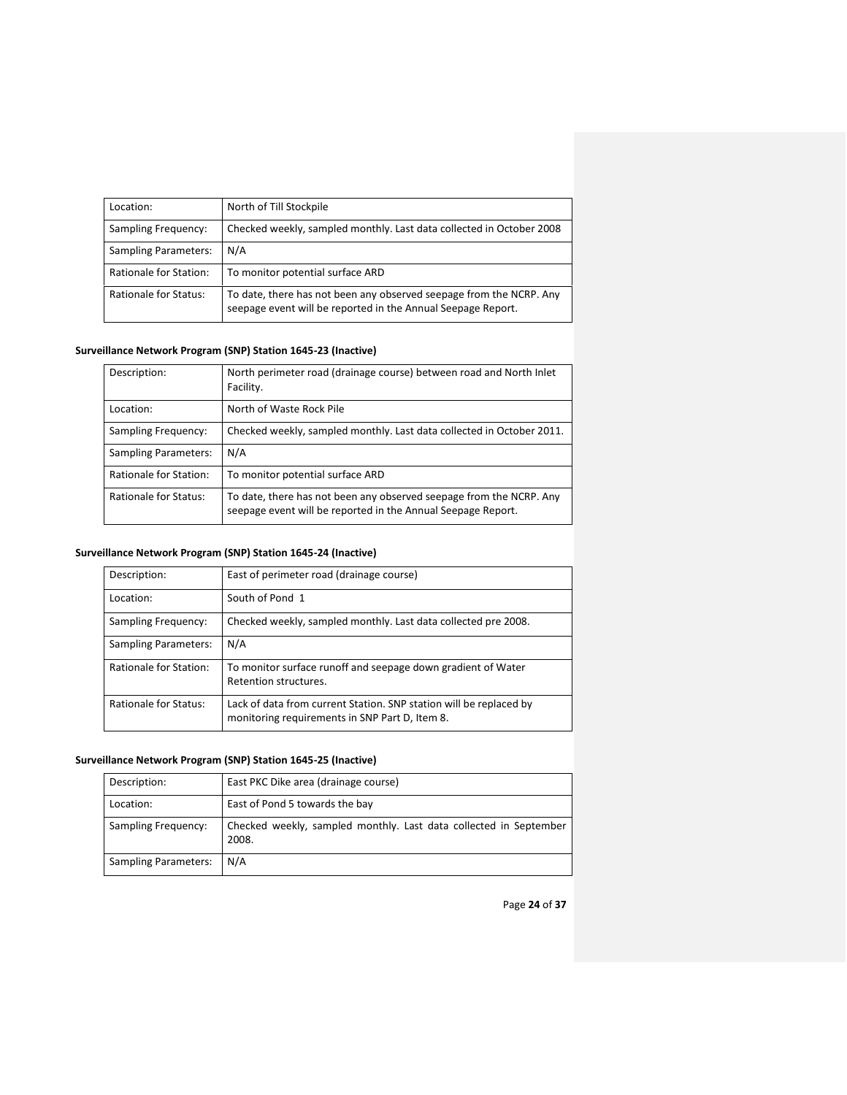| Location:                   | North of Till Stockpile                                                                                                             |
|-----------------------------|-------------------------------------------------------------------------------------------------------------------------------------|
| Sampling Frequency:         | Checked weekly, sampled monthly. Last data collected in October 2008                                                                |
| <b>Sampling Parameters:</b> | N/A                                                                                                                                 |
| Rationale for Station:      | To monitor potential surface ARD                                                                                                    |
| Rationale for Status:       | To date, there has not been any observed seepage from the NCRP. Any<br>seepage event will be reported in the Annual Seepage Report. |

## **Surveillance Network Program (SNP) Station 1645-23 (Inactive)**

| Description:                | North perimeter road (drainage course) between road and North Inlet<br>Facility.                                                    |
|-----------------------------|-------------------------------------------------------------------------------------------------------------------------------------|
| Location:                   | North of Waste Rock Pile                                                                                                            |
| Sampling Frequency:         | Checked weekly, sampled monthly. Last data collected in October 2011.                                                               |
| <b>Sampling Parameters:</b> | N/A                                                                                                                                 |
| Rationale for Station:      | To monitor potential surface ARD                                                                                                    |
| Rationale for Status:       | To date, there has not been any observed seepage from the NCRP. Any<br>seepage event will be reported in the Annual Seepage Report. |

# **Surveillance Network Program (SNP) Station 1645-24 (Inactive)**

| Description:                | East of perimeter road (drainage course)                                                                             |
|-----------------------------|----------------------------------------------------------------------------------------------------------------------|
| Location:                   | South of Pond 1                                                                                                      |
| Sampling Frequency:         | Checked weekly, sampled monthly. Last data collected pre 2008.                                                       |
| <b>Sampling Parameters:</b> | N/A                                                                                                                  |
| Rationale for Station:      | To monitor surface runoff and seepage down gradient of Water<br>Retention structures.                                |
| Rationale for Status:       | Lack of data from current Station. SNP station will be replaced by<br>monitoring requirements in SNP Part D, Item 8. |

## **Surveillance Network Program (SNP) Station 1645-25 (Inactive)**

| Description:                | East PKC Dike area (drainage course)                                       |
|-----------------------------|----------------------------------------------------------------------------|
| Location:                   | East of Pond 5 towards the bay                                             |
| Sampling Frequency:         | Checked weekly, sampled monthly. Last data collected in September<br>2008. |
| <b>Sampling Parameters:</b> | N/A                                                                        |

Page **24** of **37**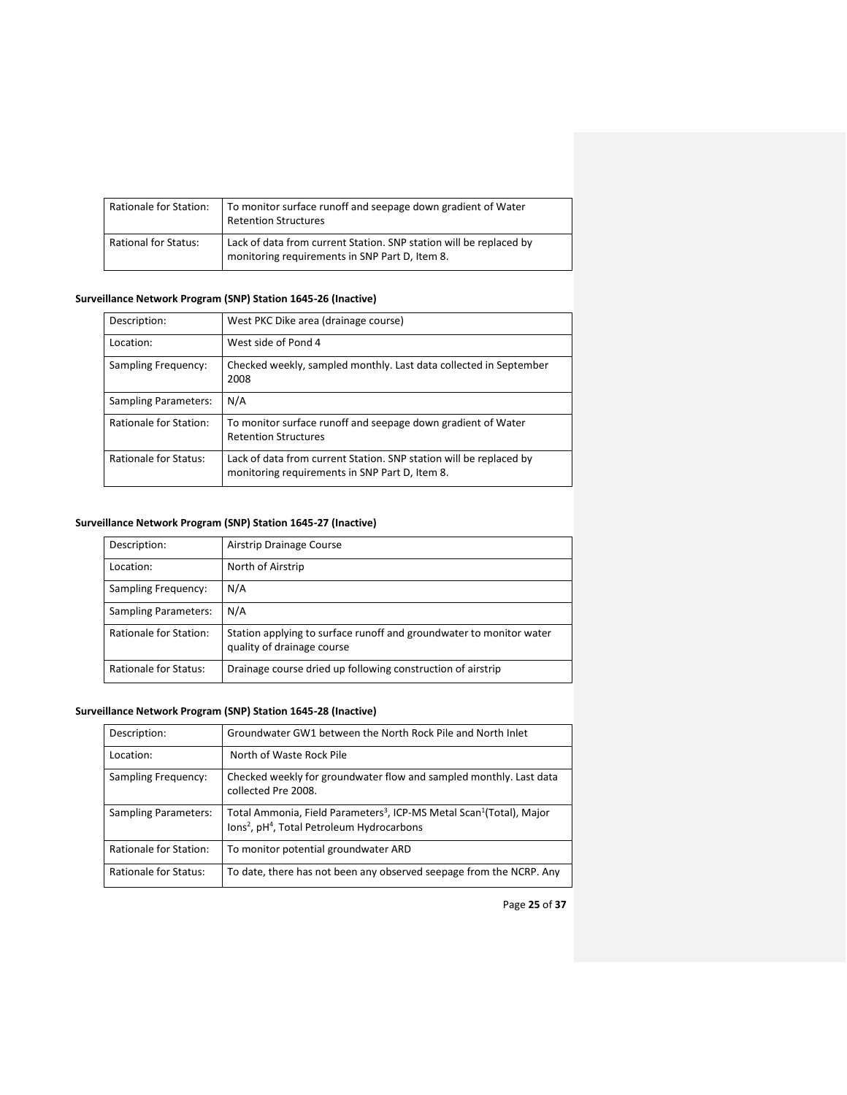| Rationale for Station:      | To monitor surface runoff and seepage down gradient of Water<br><b>Retention Structures</b>                          |
|-----------------------------|----------------------------------------------------------------------------------------------------------------------|
| <b>Rational for Status:</b> | Lack of data from current Station. SNP station will be replaced by<br>monitoring requirements in SNP Part D, Item 8. |

# **Surveillance Network Program (SNP) Station 1645-26 (Inactive)**

| Description:                 | West PKC Dike area (drainage course)                                                                                 |
|------------------------------|----------------------------------------------------------------------------------------------------------------------|
| Location:                    | West side of Pond 4                                                                                                  |
| Sampling Frequency:          | Checked weekly, sampled monthly. Last data collected in September<br>2008                                            |
| <b>Sampling Parameters:</b>  | N/A                                                                                                                  |
| Rationale for Station:       | To monitor surface runoff and seepage down gradient of Water<br><b>Retention Structures</b>                          |
| <b>Rationale for Status:</b> | Lack of data from current Station. SNP station will be replaced by<br>monitoring requirements in SNP Part D, Item 8. |

# **Surveillance Network Program (SNP) Station 1645-27 (Inactive)**

| Description:                 | Airstrip Drainage Course                                                                          |
|------------------------------|---------------------------------------------------------------------------------------------------|
| Location:                    | North of Airstrip                                                                                 |
| Sampling Frequency:          | N/A                                                                                               |
| <b>Sampling Parameters:</b>  | N/A                                                                                               |
| Rationale for Station:       | Station applying to surface runoff and groundwater to monitor water<br>quality of drainage course |
| <b>Rationale for Status:</b> | Drainage course dried up following construction of airstrip                                       |

## **Surveillance Network Program (SNP) Station 1645-28 (Inactive)**

| Description:           | Groundwater GW1 between the North Rock Pile and North Inlet                                                                                                        |
|------------------------|--------------------------------------------------------------------------------------------------------------------------------------------------------------------|
| Location:              | North of Waste Rock Pile                                                                                                                                           |
| Sampling Frequency:    | Checked weekly for groundwater flow and sampled monthly. Last data<br>collected Pre 2008.                                                                          |
| Sampling Parameters:   | Total Ammonia, Field Parameters <sup>3</sup> , ICP-MS Metal Scan <sup>1</sup> (Total), Major<br>lons <sup>2</sup> , pH <sup>4</sup> , Total Petroleum Hydrocarbons |
| Rationale for Station: | To monitor potential groundwater ARD                                                                                                                               |
| Rationale for Status:  | To date, there has not been any observed seepage from the NCRP. Any                                                                                                |

Page **25** of **37**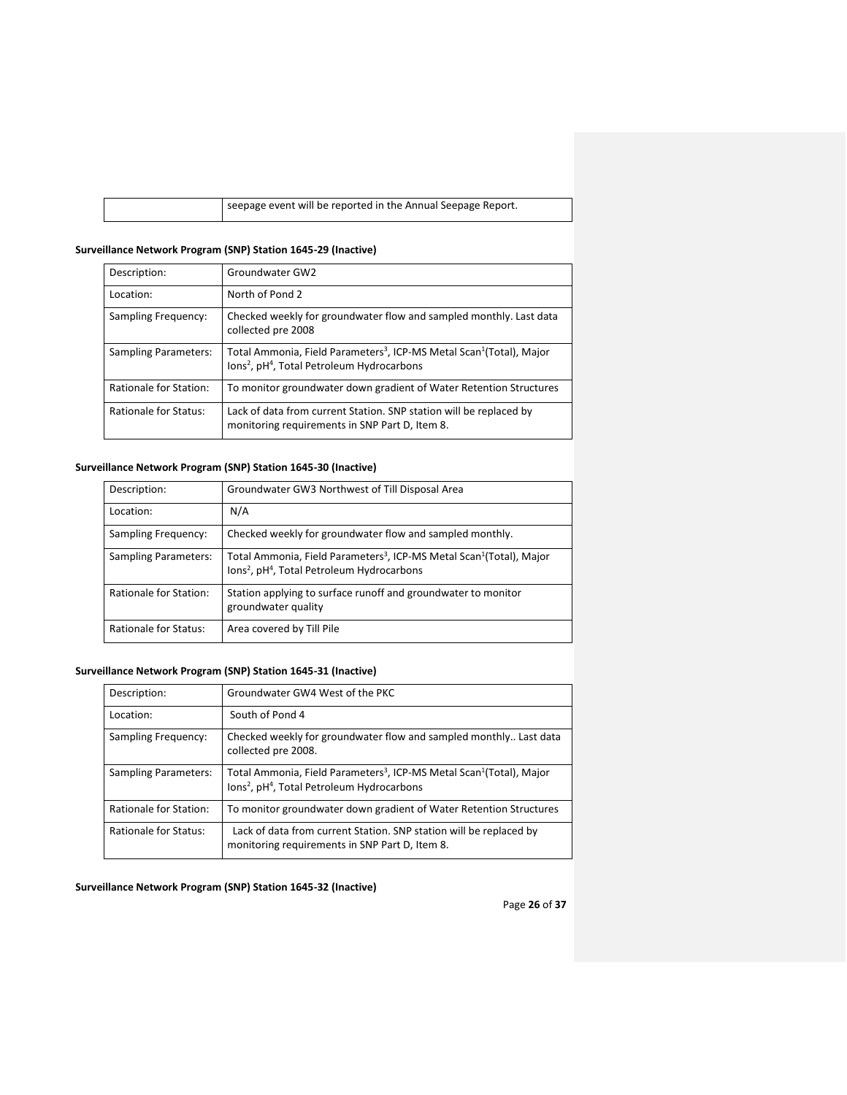| seepage event will be reported in the Annual Seepage Report. |
|--------------------------------------------------------------|
|                                                              |

# **Surveillance Network Program (SNP) Station 1645-29 (Inactive)**

| Description:                | Groundwater GW2                                                                                                                                                    |
|-----------------------------|--------------------------------------------------------------------------------------------------------------------------------------------------------------------|
| Location:                   | North of Pond 2                                                                                                                                                    |
| Sampling Frequency:         | Checked weekly for groundwater flow and sampled monthly. Last data<br>collected pre 2008                                                                           |
| <b>Sampling Parameters:</b> | Total Ammonia, Field Parameters <sup>3</sup> , ICP-MS Metal Scan <sup>1</sup> (Total), Major<br>lons <sup>2</sup> , pH <sup>4</sup> , Total Petroleum Hydrocarbons |
| Rationale for Station:      | To monitor groundwater down gradient of Water Retention Structures                                                                                                 |
| Rationale for Status:       | Lack of data from current Station. SNP station will be replaced by<br>monitoring requirements in SNP Part D, Item 8.                                               |

## **Surveillance Network Program (SNP) Station 1645-30 (Inactive)**

| Description:                 | Groundwater GW3 Northwest of Till Disposal Area                                                                                                                    |
|------------------------------|--------------------------------------------------------------------------------------------------------------------------------------------------------------------|
| Location:                    | N/A                                                                                                                                                                |
| Sampling Frequency:          | Checked weekly for groundwater flow and sampled monthly.                                                                                                           |
| <b>Sampling Parameters:</b>  | Total Ammonia, Field Parameters <sup>3</sup> , ICP-MS Metal Scan <sup>1</sup> (Total), Major<br>lons <sup>2</sup> , pH <sup>4</sup> , Total Petroleum Hydrocarbons |
| Rationale for Station:       | Station applying to surface runoff and groundwater to monitor<br>groundwater quality                                                                               |
| <b>Rationale for Status:</b> | Area covered by Till Pile                                                                                                                                          |

# **Surveillance Network Program (SNP) Station 1645-31 (Inactive)**

| Description:                | Groundwater GW4 West of the PKC                                                                                                                                    |
|-----------------------------|--------------------------------------------------------------------------------------------------------------------------------------------------------------------|
| Location:                   | South of Pond 4                                                                                                                                                    |
| Sampling Frequency:         | Checked weekly for groundwater flow and sampled monthly Last data<br>collected pre 2008.                                                                           |
| <b>Sampling Parameters:</b> | Total Ammonia, Field Parameters <sup>3</sup> , ICP-MS Metal Scan <sup>1</sup> (Total), Major<br>lons <sup>2</sup> , pH <sup>4</sup> , Total Petroleum Hydrocarbons |
| Rationale for Station:      | To monitor groundwater down gradient of Water Retention Structures                                                                                                 |
| Rationale for Status:       | Lack of data from current Station. SNP station will be replaced by<br>monitoring requirements in SNP Part D, Item 8.                                               |

**Surveillance Network Program (SNP) Station 1645-32 (Inactive)**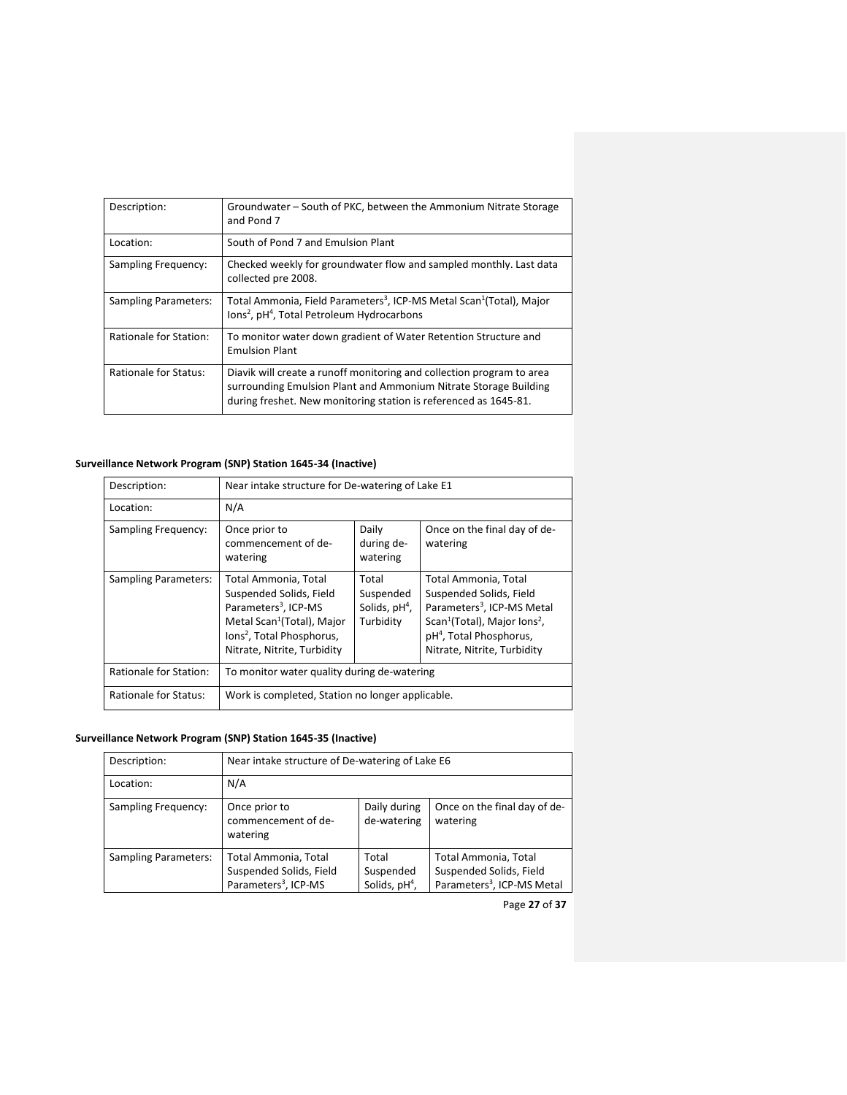| Description:                 | Groundwater – South of PKC, between the Ammonium Nitrate Storage<br>and Pond 7                                                                                                                                |
|------------------------------|---------------------------------------------------------------------------------------------------------------------------------------------------------------------------------------------------------------|
| Location:                    | South of Pond 7 and Emulsion Plant                                                                                                                                                                            |
| Sampling Frequency:          | Checked weekly for groundwater flow and sampled monthly. Last data<br>collected pre 2008.                                                                                                                     |
| Sampling Parameters:         | Total Ammonia, Field Parameters <sup>3</sup> , ICP-MS Metal Scan <sup>1</sup> (Total), Major<br>lons <sup>2</sup> , pH <sup>4</sup> , Total Petroleum Hydrocarbons                                            |
| Rationale for Station:       | To monitor water down gradient of Water Retention Structure and<br><b>Emulsion Plant</b>                                                                                                                      |
| <b>Rationale for Status:</b> | Diavik will create a runoff monitoring and collection program to area<br>surrounding Emulsion Plant and Ammonium Nitrate Storage Building<br>during freshet. New monitoring station is referenced as 1645-81. |

## **Surveillance Network Program (SNP) Station 1645-34 (Inactive)**

| Description:                 | Near intake structure for De-watering of Lake E1                                                                                                                                                      |                                                    |                                                                                                                                                                                                                         |
|------------------------------|-------------------------------------------------------------------------------------------------------------------------------------------------------------------------------------------------------|----------------------------------------------------|-------------------------------------------------------------------------------------------------------------------------------------------------------------------------------------------------------------------------|
| Location:                    | N/A                                                                                                                                                                                                   |                                                    |                                                                                                                                                                                                                         |
| Sampling Frequency:          | Once prior to<br>commencement of de-<br>watering                                                                                                                                                      | Daily<br>during de-<br>watering                    | Once on the final day of de-<br>watering                                                                                                                                                                                |
| <b>Sampling Parameters:</b>  | Total Ammonia, Total<br>Suspended Solids, Field<br>Parameters <sup>3</sup> . ICP-MS<br>Metal Scan <sup>1</sup> (Total), Major<br>lons <sup>2</sup> , Total Phosphorus,<br>Nitrate, Nitrite, Turbidity | Total<br>Suspended<br>Solids, $pH4$ ,<br>Turbidity | Total Ammonia, Total<br>Suspended Solids, Field<br>Parameters <sup>3</sup> , ICP-MS Metal<br>Scan <sup>1</sup> (Total), Major Ions <sup>2</sup> ,<br>pH <sup>4</sup> , Total Phosphorus,<br>Nitrate, Nitrite, Turbidity |
| Rationale for Station:       | To monitor water quality during de-watering                                                                                                                                                           |                                                    |                                                                                                                                                                                                                         |
| <b>Rationale for Status:</b> | Work is completed, Station no longer applicable.                                                                                                                                                      |                                                    |                                                                                                                                                                                                                         |

## **Surveillance Network Program (SNP) Station 1645-35 (Inactive)**

| Description:                | Near intake structure of De-watering of Lake E6                                     |                                       |                                                                                           |
|-----------------------------|-------------------------------------------------------------------------------------|---------------------------------------|-------------------------------------------------------------------------------------------|
| Location:                   | N/A                                                                                 |                                       |                                                                                           |
| Sampling Frequency:         | Once prior to<br>commencement of de-<br>watering                                    | Daily during<br>de-watering           | Once on the final day of de-<br>watering                                                  |
| <b>Sampling Parameters:</b> | Total Ammonia, Total<br>Suspended Solids, Field<br>Parameters <sup>3</sup> , ICP-MS | Total<br>Suspended<br>Solids, $pH4$ , | Total Ammonia, Total<br>Suspended Solids, Field<br>Parameters <sup>3</sup> , ICP-MS Metal |

Page **27** of **37**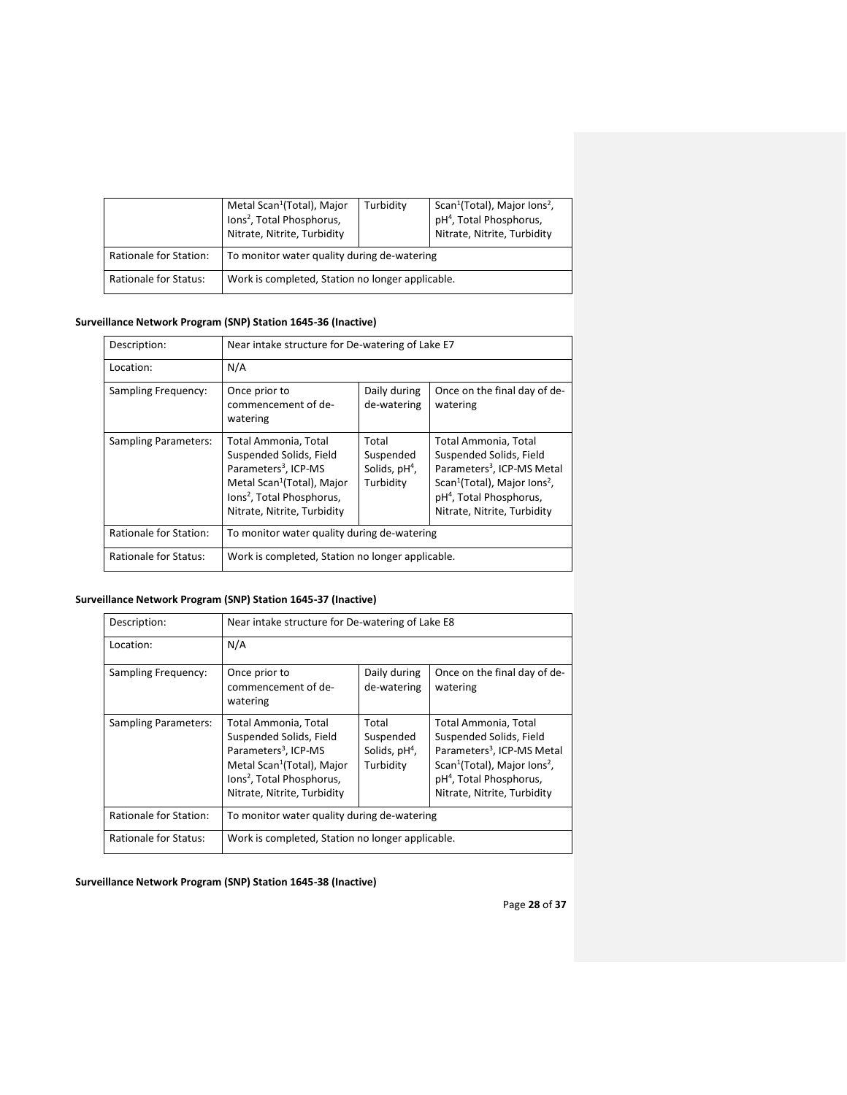|                              | Metal Scan <sup>1</sup> (Total), Major<br>Ions <sup>2</sup> , Total Phosphorus,<br>Nitrate, Nitrite, Turbidity | Turbidity | Scan <sup>1</sup> (Total), Major lons <sup>2</sup> ,<br>pH <sup>4</sup> , Total Phosphorus,<br>Nitrate, Nitrite, Turbidity |
|------------------------------|----------------------------------------------------------------------------------------------------------------|-----------|----------------------------------------------------------------------------------------------------------------------------|
| Rationale for Station:       | To monitor water quality during de-watering                                                                    |           |                                                                                                                            |
| <b>Rationale for Status:</b> | Work is completed, Station no longer applicable.                                                               |           |                                                                                                                            |

## **Surveillance Network Program (SNP) Station 1645-36 (Inactive)**

| Description:           | Near intake structure for De-watering of Lake E7                                                                                                                                                                                                                                                                                                                                                                                                                                       |  |  |  |
|------------------------|----------------------------------------------------------------------------------------------------------------------------------------------------------------------------------------------------------------------------------------------------------------------------------------------------------------------------------------------------------------------------------------------------------------------------------------------------------------------------------------|--|--|--|
| Location:              | N/A                                                                                                                                                                                                                                                                                                                                                                                                                                                                                    |  |  |  |
| Sampling Frequency:    | Daily during<br>Once on the final day of de-<br>Once prior to<br>commencement of de-<br>de-watering<br>watering<br>watering                                                                                                                                                                                                                                                                                                                                                            |  |  |  |
| Sampling Parameters:   | Total<br>Total Ammonia, Total<br>Total Ammonia, Total<br>Suspended Solids, Field<br>Suspended Solids, Field<br>Suspended<br>Parameters <sup>3</sup> , ICP-MS<br>Parameters <sup>3</sup> , ICP-MS Metal<br>Solids, $pH4$ ,<br>Metal Scan <sup>1</sup> (Total), Major<br>Scan <sup>1</sup> (Total), Major Ions <sup>2</sup> ,<br>Turbidity<br>pH <sup>4</sup> , Total Phosphorus,<br>lons <sup>2</sup> , Total Phosphorus,<br>Nitrate, Nitrite, Turbidity<br>Nitrate, Nitrite, Turbidity |  |  |  |
| Rationale for Station: | To monitor water quality during de-watering                                                                                                                                                                                                                                                                                                                                                                                                                                            |  |  |  |
| Rationale for Status:  | Work is completed, Station no longer applicable.                                                                                                                                                                                                                                                                                                                                                                                                                                       |  |  |  |

# **Surveillance Network Program (SNP) Station 1645-37 (Inactive)**

| Description:                | Near intake structure for De-watering of Lake E8                                                                                                                                                                                                                                                                                                                                                                                                                                       |                             |                                          |
|-----------------------------|----------------------------------------------------------------------------------------------------------------------------------------------------------------------------------------------------------------------------------------------------------------------------------------------------------------------------------------------------------------------------------------------------------------------------------------------------------------------------------------|-----------------------------|------------------------------------------|
| Location:                   | N/A                                                                                                                                                                                                                                                                                                                                                                                                                                                                                    |                             |                                          |
| Sampling Frequency:         | Once prior to<br>commencement of de-<br>watering                                                                                                                                                                                                                                                                                                                                                                                                                                       | Daily during<br>de-watering | Once on the final day of de-<br>watering |
| <b>Sampling Parameters:</b> | Total<br>Total Ammonia, Total<br>Total Ammonia, Total<br>Suspended Solids, Field<br>Suspended Solids, Field<br>Suspended<br>Parameters <sup>3</sup> . ICP-MS<br>Parameters <sup>3</sup> , ICP-MS Metal<br>Solids, $pH4$ ,<br>Metal Scan <sup>1</sup> (Total), Major<br>Scan <sup>1</sup> (Total), Major Ions <sup>2</sup> ,<br>Turbidity<br>lons <sup>2</sup> , Total Phosphorus,<br>pH <sup>4</sup> , Total Phosphorus,<br>Nitrate, Nitrite, Turbidity<br>Nitrate, Nitrite, Turbidity |                             |                                          |
| Rationale for Station:      | To monitor water quality during de-watering                                                                                                                                                                                                                                                                                                                                                                                                                                            |                             |                                          |
| Rationale for Status:       | Work is completed, Station no longer applicable.                                                                                                                                                                                                                                                                                                                                                                                                                                       |                             |                                          |

**Surveillance Network Program (SNP) Station 1645-38 (Inactive)**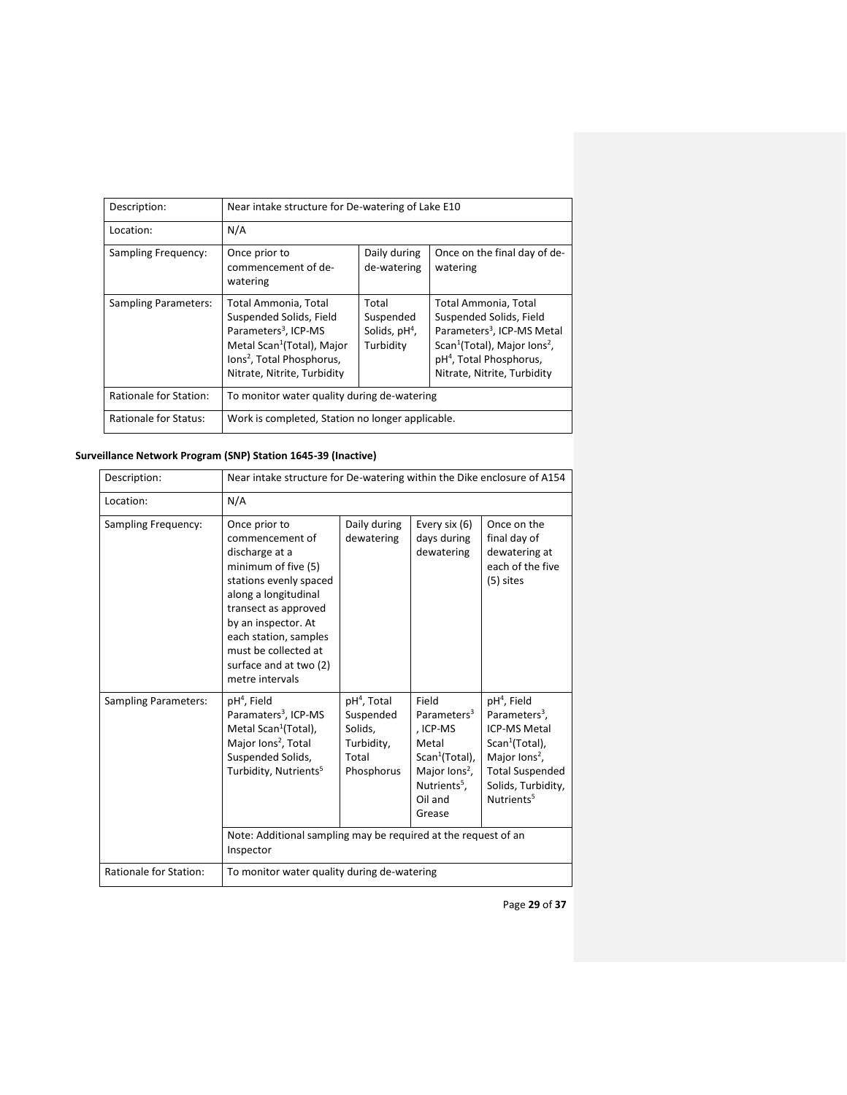| Description:                | Near intake structure for De-watering of Lake E10                                                                                                                                                     |                                                    |                                                                                                                                                                                                                         |
|-----------------------------|-------------------------------------------------------------------------------------------------------------------------------------------------------------------------------------------------------|----------------------------------------------------|-------------------------------------------------------------------------------------------------------------------------------------------------------------------------------------------------------------------------|
| Location:                   | N/A                                                                                                                                                                                                   |                                                    |                                                                                                                                                                                                                         |
| Sampling Frequency:         | Once prior to<br>commencement of de-<br>watering                                                                                                                                                      | Daily during<br>de-watering                        | Once on the final day of de-<br>watering                                                                                                                                                                                |
| <b>Sampling Parameters:</b> | Total Ammonia, Total<br>Suspended Solids, Field<br>Parameters <sup>3</sup> . ICP-MS<br>Metal Scan <sup>1</sup> (Total), Major<br>lons <sup>2</sup> , Total Phosphorus,<br>Nitrate, Nitrite, Turbidity | Total<br>Suspended<br>Solids, $pH4$ ,<br>Turbidity | Total Ammonia, Total<br>Suspended Solids, Field<br>Parameters <sup>3</sup> , ICP-MS Metal<br>Scan <sup>1</sup> (Total), Major Ions <sup>2</sup> ,<br>pH <sup>4</sup> , Total Phosphorus,<br>Nitrate, Nitrite, Turbidity |
| Rationale for Station:      | To monitor water quality during de-watering                                                                                                                                                           |                                                    |                                                                                                                                                                                                                         |
| Rationale for Status:       | Work is completed, Station no longer applicable.                                                                                                                                                      |                                                    |                                                                                                                                                                                                                         |

# **Surveillance Network Program (SNP) Station 1645-39 (Inactive)**

| Description:                | Near intake structure for De-watering within the Dike enclosure of A154                                                                                                                                                                                                     |                                                                                      |                                                                                                                                                                   |                                                                                                                                                                                                        |
|-----------------------------|-----------------------------------------------------------------------------------------------------------------------------------------------------------------------------------------------------------------------------------------------------------------------------|--------------------------------------------------------------------------------------|-------------------------------------------------------------------------------------------------------------------------------------------------------------------|--------------------------------------------------------------------------------------------------------------------------------------------------------------------------------------------------------|
| Location:                   | N/A                                                                                                                                                                                                                                                                         |                                                                                      |                                                                                                                                                                   |                                                                                                                                                                                                        |
| Sampling Frequency:         | Once prior to<br>commencement of<br>discharge at a<br>minimum of five (5)<br>stations evenly spaced<br>along a longitudinal<br>transect as approved<br>by an inspector. At<br>each station, samples<br>must be collected at<br>surface and at two (2)<br>metre intervals    | Daily during<br>dewatering                                                           | Every six (6)<br>days during<br>dewatering                                                                                                                        | Once on the<br>final day of<br>dewatering at<br>each of the five<br>(5) sites                                                                                                                          |
| <b>Sampling Parameters:</b> | pH <sup>4</sup> , Field<br>Paramaters <sup>3</sup> , ICP-MS<br>Metal Scan <sup>1</sup> (Total),<br>Major lons <sup>2</sup> , Total<br>Suspended Solids,<br>Turbidity, Nutrients <sup>5</sup><br>Note: Additional sampling may be required at the request of an<br>Inspector | pH <sup>4</sup> , Total<br>Suspended<br>Solids,<br>Turbidity,<br>Total<br>Phosphorus | Field<br>Parameters <sup>3</sup><br>, ICP-MS<br>Metal<br>Scan <sup>1</sup> (Total),<br>Major lons <sup>2</sup> ,<br>Nutrients <sup>5</sup> ,<br>Oil and<br>Grease | pH <sup>4</sup> , Field<br>Parameters <sup>3</sup> ,<br><b>ICP-MS Metal</b><br>Scan <sup>1</sup> (Total),<br>Major $lons2$ ,<br><b>Total Suspended</b><br>Solids, Turbidity,<br>Nutrients <sup>5</sup> |
| Rationale for Station:      | To monitor water quality during de-watering                                                                                                                                                                                                                                 |                                                                                      |                                                                                                                                                                   |                                                                                                                                                                                                        |

Page **29** of **37**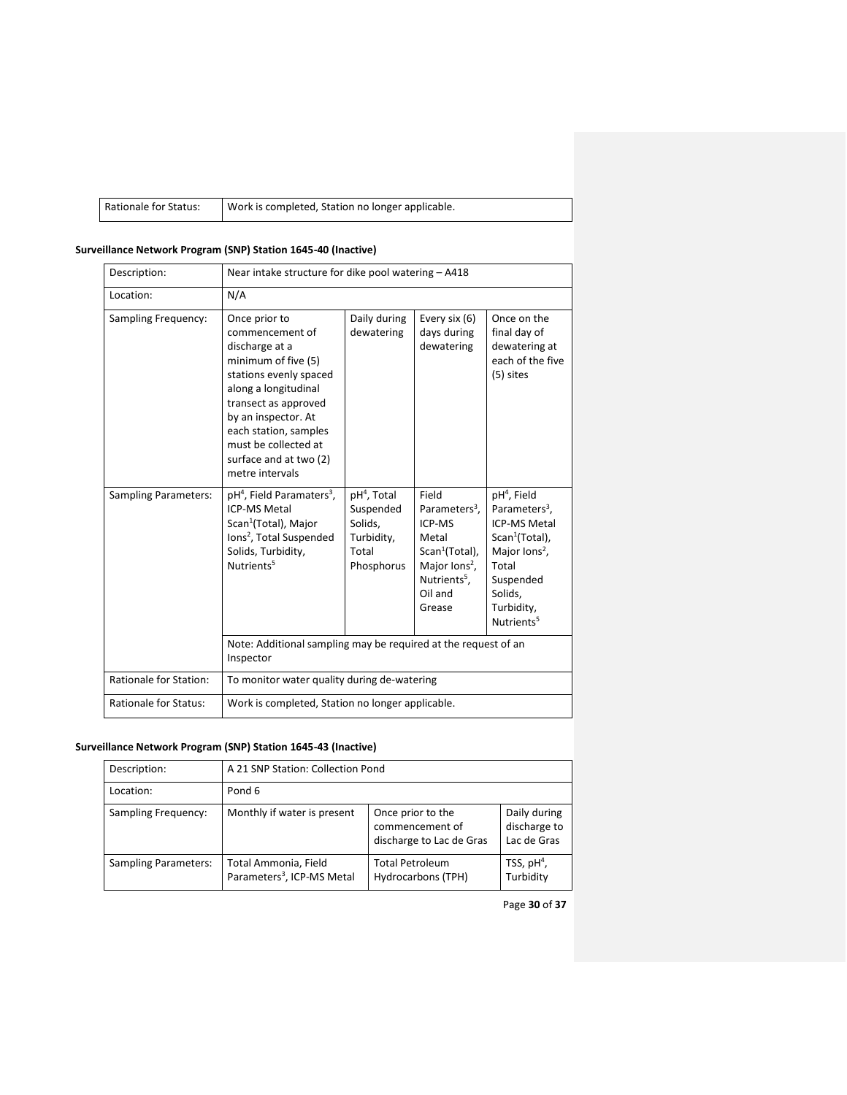| Rationale for Status: | Work is completed, Station no longer applicable. |
|-----------------------|--------------------------------------------------|
|-----------------------|--------------------------------------------------|

# **Surveillance Network Program (SNP) Station 1645-40 (Inactive)**

| Description:                 | Near intake structure for dike pool watering - A418                                                                                                                                                                                                                      |                                                                                      |                                                                                                                                                                                                                                                                                                                                                                                                                                                        |                                                                               |
|------------------------------|--------------------------------------------------------------------------------------------------------------------------------------------------------------------------------------------------------------------------------------------------------------------------|--------------------------------------------------------------------------------------|--------------------------------------------------------------------------------------------------------------------------------------------------------------------------------------------------------------------------------------------------------------------------------------------------------------------------------------------------------------------------------------------------------------------------------------------------------|-------------------------------------------------------------------------------|
| Location:                    | N/A                                                                                                                                                                                                                                                                      |                                                                                      |                                                                                                                                                                                                                                                                                                                                                                                                                                                        |                                                                               |
| Sampling Frequency:          | Once prior to<br>commencement of<br>discharge at a<br>minimum of five (5)<br>stations evenly spaced<br>along a longitudinal<br>transect as approved<br>by an inspector. At<br>each station, samples<br>must be collected at<br>surface and at two (2)<br>metre intervals | Daily during<br>dewatering                                                           | Every six (6)<br>days during<br>dewatering                                                                                                                                                                                                                                                                                                                                                                                                             | Once on the<br>final day of<br>dewatering at<br>each of the five<br>(5) sites |
| <b>Sampling Parameters:</b>  | pH <sup>4</sup> , Field Paramaters <sup>3</sup> ,<br><b>ICP-MS Metal</b><br>Scan <sup>1</sup> (Total), Major<br>Ions <sup>2</sup> , Total Suspended<br>Solids, Turbidity,<br>Nutrients <sup>5</sup><br>Inspector                                                         | pH <sup>4</sup> , Total<br>Suspended<br>Solids,<br>Turbidity,<br>Total<br>Phosphorus | pH <sup>4</sup> , Field<br>Field<br>Parameters <sup>3</sup> ,<br>Parameters <sup>3</sup> ,<br><b>ICP-MS Metal</b><br>ICP-MS<br>Scan <sup>1</sup> (Total),<br>Metal<br>Scan <sup>1</sup> (Total),<br>Major lons <sup>2</sup> ,<br>Major lons <sup>2</sup> ,<br>Total<br>Nutrients <sup>5</sup> ,<br>Suspended<br>Oil and<br>Solids,<br>Turbidity,<br>Grease<br>Nutrients <sup>5</sup><br>Note: Additional sampling may be required at the request of an |                                                                               |
| Rationale for Station:       | To monitor water quality during de-watering                                                                                                                                                                                                                              |                                                                                      |                                                                                                                                                                                                                                                                                                                                                                                                                                                        |                                                                               |
| <b>Rationale for Status:</b> | Work is completed, Station no longer applicable.                                                                                                                                                                                                                         |                                                                                      |                                                                                                                                                                                                                                                                                                                                                                                                                                                        |                                                                               |

# **Surveillance Network Program (SNP) Station 1645-43 (Inactive)**

| Description:                | A 21 SNP Station: Collection Pond                              |                                                                  |                                             |
|-----------------------------|----------------------------------------------------------------|------------------------------------------------------------------|---------------------------------------------|
| Location:                   | Pond 6                                                         |                                                                  |                                             |
| Sampling Frequency:         | Monthly if water is present                                    | Once prior to the<br>commencement of<br>discharge to Lac de Gras | Daily during<br>discharge to<br>Lac de Gras |
| <b>Sampling Parameters:</b> | Total Ammonia, Field<br>Parameters <sup>3</sup> , ICP-MS Metal | <b>Total Petroleum</b><br>Hydrocarbons (TPH)                     | TSS, $pH4$ ,<br>Turbidity                   |

Page **30** of **37**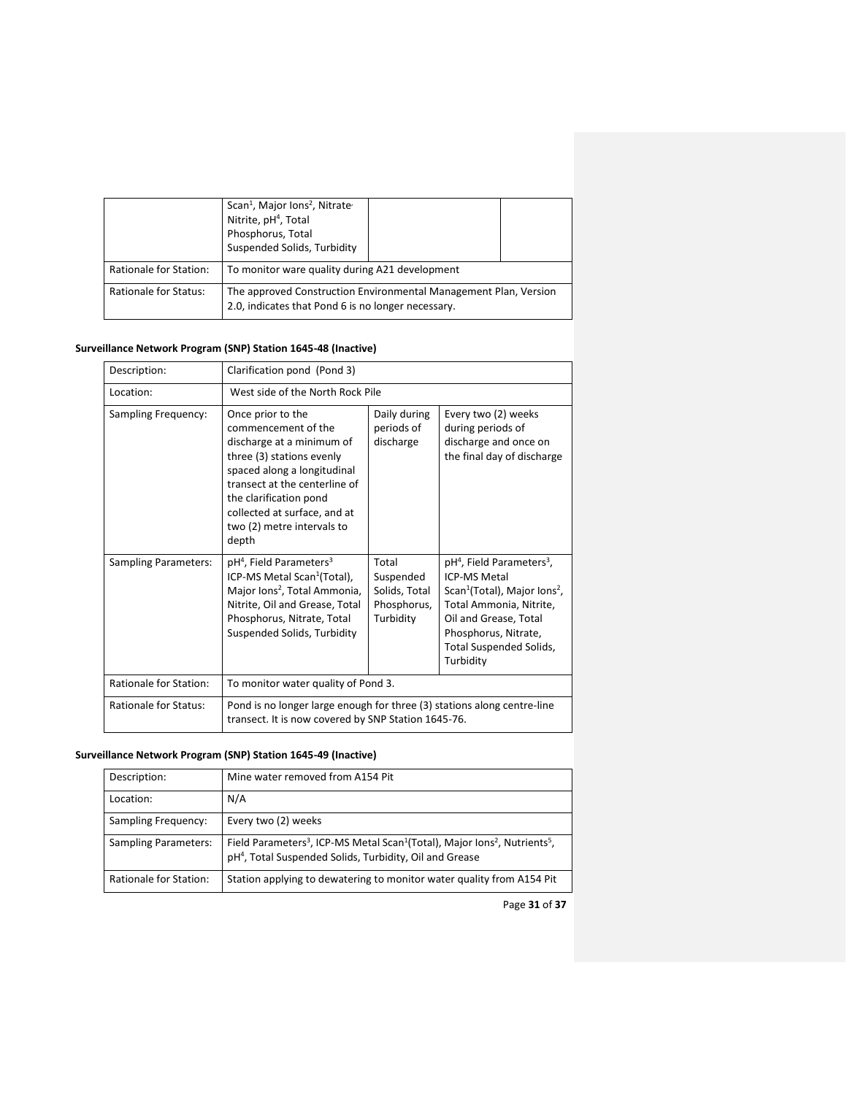|                        | Scan <sup>1</sup> , Major Ions <sup>2</sup> , Nitrate<br>Nitrite, pH <sup>4</sup> , Total<br>Phosphorus, Total<br>Suspended Solids, Turbidity |  |
|------------------------|-----------------------------------------------------------------------------------------------------------------------------------------------|--|
| Rationale for Station: | To monitor ware quality during A21 development                                                                                                |  |
| Rationale for Status:  | The approved Construction Environmental Management Plan, Version<br>2.0, indicates that Pond 6 is no longer necessary.                        |  |

# **Surveillance Network Program (SNP) Station 1645-48 (Inactive)**

| Description:                | Clarification pond (Pond 3)                                                                                                                                                                                                                                         |                                                                 |                                                                                                                                                                                                                                                             |
|-----------------------------|---------------------------------------------------------------------------------------------------------------------------------------------------------------------------------------------------------------------------------------------------------------------|-----------------------------------------------------------------|-------------------------------------------------------------------------------------------------------------------------------------------------------------------------------------------------------------------------------------------------------------|
| Location:                   | West side of the North Rock Pile                                                                                                                                                                                                                                    |                                                                 |                                                                                                                                                                                                                                                             |
| Sampling Frequency:         | Once prior to the<br>commencement of the<br>discharge at a minimum of<br>three (3) stations evenly<br>spaced along a longitudinal<br>transect at the centerline of<br>the clarification pond<br>collected at surface, and at<br>two (2) metre intervals to<br>depth | Daily during<br>periods of<br>discharge                         | Every two (2) weeks<br>during periods of<br>discharge and once on<br>the final day of discharge                                                                                                                                                             |
| <b>Sampling Parameters:</b> | pH <sup>4</sup> , Field Parameters <sup>3</sup><br>ICP-MS Metal Scan <sup>1</sup> (Total),<br>Major Ions <sup>2</sup> , Total Ammonia,<br>Nitrite, Oil and Grease, Total<br>Phosphorus, Nitrate, Total<br>Suspended Solids, Turbidity                               | Total<br>Suspended<br>Solids, Total<br>Phosphorus,<br>Turbidity | pH <sup>4</sup> , Field Parameters <sup>3</sup> ,<br><b>ICP-MS Metal</b><br>Scan <sup>1</sup> (Total), Major Ions <sup>2</sup> ,<br>Total Ammonia, Nitrite,<br>Oil and Grease, Total<br>Phosphorus, Nitrate,<br><b>Total Suspended Solids,</b><br>Turbidity |
| Rationale for Station:      | To monitor water quality of Pond 3.                                                                                                                                                                                                                                 |                                                                 |                                                                                                                                                                                                                                                             |
| Rationale for Status:       | Pond is no longer large enough for three (3) stations along centre-line<br>transect. It is now covered by SNP Station 1645-76.                                                                                                                                      |                                                                 |                                                                                                                                                                                                                                                             |

# **Surveillance Network Program (SNP) Station 1645-49 (Inactive)**

| Description:                | Mine water removed from A154 Pit                                                                                                                                                                  |
|-----------------------------|---------------------------------------------------------------------------------------------------------------------------------------------------------------------------------------------------|
| Location:                   | N/A                                                                                                                                                                                               |
| Sampling Frequency:         | Every two (2) weeks                                                                                                                                                                               |
| <b>Sampling Parameters:</b> | Field Parameters <sup>3</sup> , ICP-MS Metal Scan <sup>1</sup> (Total), Major Ions <sup>2</sup> , Nutrients <sup>5</sup> ,<br>pH <sup>4</sup> , Total Suspended Solids, Turbidity, Oil and Grease |
| Rationale for Station:      | Station applying to dewatering to monitor water quality from A154 Pit                                                                                                                             |

Page **31** of **37**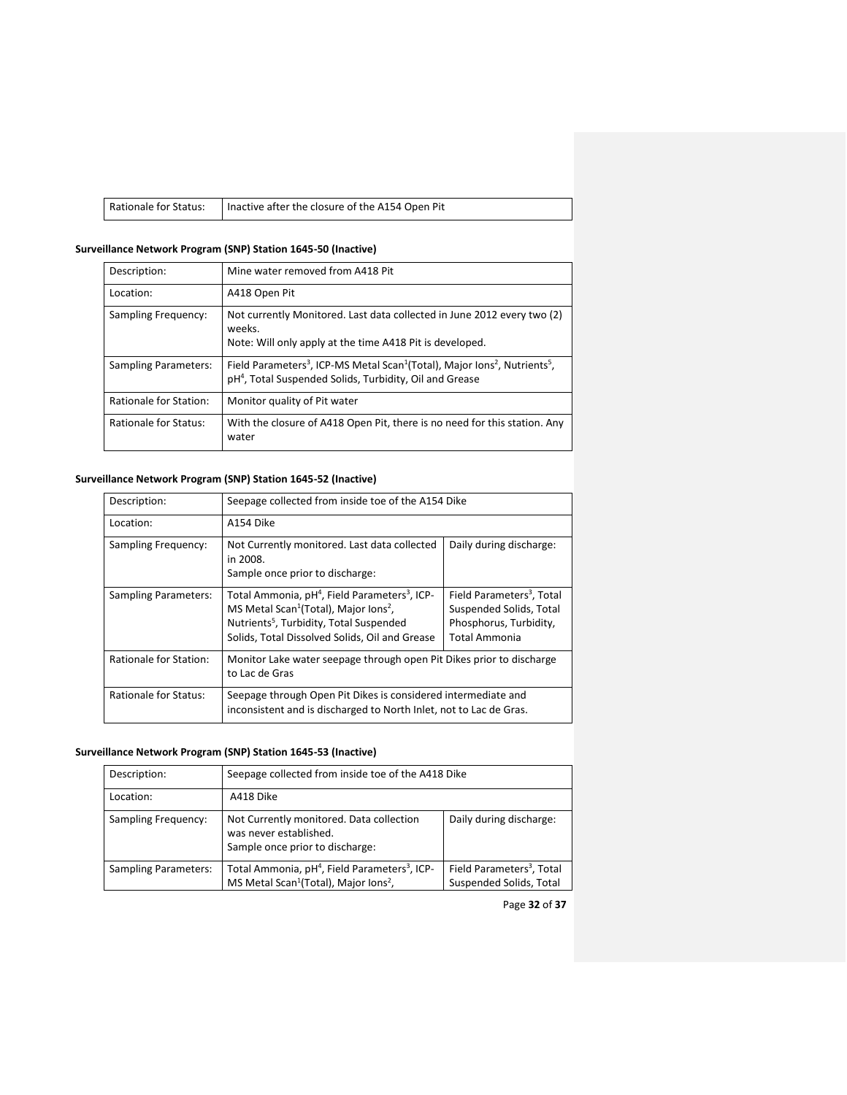| Rationale for Status: | Inactive after the closure of the A154 Open Pit |
|-----------------------|-------------------------------------------------|
|                       |                                                 |

## **Surveillance Network Program (SNP) Station 1645-50 (Inactive)**

| Description:                | Mine water removed from A418 Pit                                                                                                                                                                  |
|-----------------------------|---------------------------------------------------------------------------------------------------------------------------------------------------------------------------------------------------|
| Location:                   | A418 Open Pit                                                                                                                                                                                     |
| Sampling Frequency:         | Not currently Monitored. Last data collected in June 2012 every two (2)<br>weeks.<br>Note: Will only apply at the time A418 Pit is developed.                                                     |
| <b>Sampling Parameters:</b> | Field Parameters <sup>3</sup> , ICP-MS Metal Scan <sup>1</sup> (Total), Major Ions <sup>2</sup> , Nutrients <sup>5</sup> ,<br>pH <sup>4</sup> , Total Suspended Solids, Turbidity, Oil and Grease |
| Rationale for Station:      | Monitor quality of Pit water                                                                                                                                                                      |
| Rationale for Status:       | With the closure of A418 Open Pit, there is no need for this station. Any<br>water                                                                                                                |

## **Surveillance Network Program (SNP) Station 1645-52 (Inactive)**

| Description:                | Seepage collected from inside toe of the A154 Dike                                                                                                                                                                                              |                                                                                                             |
|-----------------------------|-------------------------------------------------------------------------------------------------------------------------------------------------------------------------------------------------------------------------------------------------|-------------------------------------------------------------------------------------------------------------|
| Location:                   | A154 Dike                                                                                                                                                                                                                                       |                                                                                                             |
| Sampling Frequency:         | Not Currently monitored. Last data collected<br>in 2008.<br>Sample once prior to discharge:                                                                                                                                                     | Daily during discharge:                                                                                     |
| <b>Sampling Parameters:</b> | Total Ammonia, pH <sup>4</sup> , Field Parameters <sup>3</sup> , ICP-<br>MS Metal Scan <sup>1</sup> (Total), Major Ions <sup>2</sup> ,<br>Nutrients <sup>5</sup> , Turbidity, Total Suspended<br>Solids, Total Dissolved Solids, Oil and Grease | Field Parameters <sup>3</sup> , Total<br>Suspended Solids, Total<br>Phosphorus, Turbidity,<br>Total Ammonia |
| Rationale for Station:      | Monitor Lake water seepage through open Pit Dikes prior to discharge<br>to Lac de Gras                                                                                                                                                          |                                                                                                             |
| Rationale for Status:       | Seepage through Open Pit Dikes is considered intermediate and<br>inconsistent and is discharged to North Inlet, not to Lac de Gras.                                                                                                             |                                                                                                             |

# **Surveillance Network Program (SNP) Station 1645-53 (Inactive)**

| Description:                | Seepage collected from inside toe of the A418 Dike                                                                                     |                                                                  |
|-----------------------------|----------------------------------------------------------------------------------------------------------------------------------------|------------------------------------------------------------------|
| Location:                   | A418 Dike                                                                                                                              |                                                                  |
| Sampling Frequency:         | Not Currently monitored. Data collection<br>was never established.<br>Sample once prior to discharge:                                  | Daily during discharge:                                          |
| <b>Sampling Parameters:</b> | Total Ammonia, pH <sup>4</sup> , Field Parameters <sup>3</sup> , ICP-<br>MS Metal Scan <sup>1</sup> (Total), Major Ions <sup>2</sup> , | Field Parameters <sup>3</sup> , Total<br>Suspended Solids, Total |

Page **32** of **37**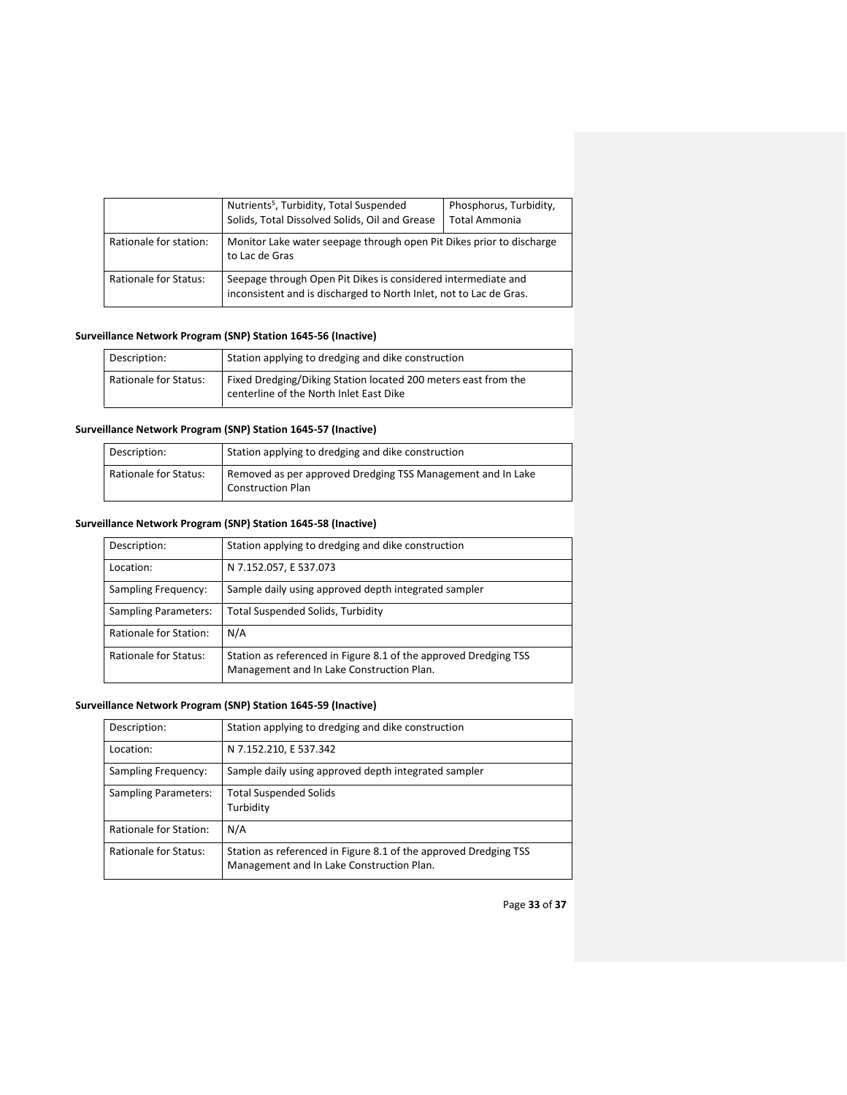|                              | Nutrients <sup>5</sup> , Turbidity, Total Suspended<br>Solids, Total Dissolved Solids, Oil and Grease                               | Phosphorus, Turbidity,<br><b>Total Ammonia</b> |
|------------------------------|-------------------------------------------------------------------------------------------------------------------------------------|------------------------------------------------|
| Rationale for station:       | Monitor Lake water seepage through open Pit Dikes prior to discharge<br>to Lac de Gras                                              |                                                |
| <b>Rationale for Status:</b> | Seepage through Open Pit Dikes is considered intermediate and<br>inconsistent and is discharged to North Inlet, not to Lac de Gras. |                                                |

## **Surveillance Network Program (SNP) Station 1645-56 (Inactive)**

| Description:                 | Station applying to dredging and dike construction                                                        |
|------------------------------|-----------------------------------------------------------------------------------------------------------|
| <b>Rationale for Status:</b> | Fixed Dredging/Diking Station located 200 meters east from the<br>centerline of the North Inlet East Dike |

## **Surveillance Network Program (SNP) Station 1645-57 (Inactive)**

| Description:          | Station applying to dredging and dike construction                                      |
|-----------------------|-----------------------------------------------------------------------------------------|
| Rationale for Status: | Removed as per approved Dredging TSS Management and In Lake<br><b>Construction Plan</b> |

# **Surveillance Network Program (SNP) Station 1645-58 (Inactive)**

| Description:                | Station applying to dredging and dike construction                                                            |
|-----------------------------|---------------------------------------------------------------------------------------------------------------|
| Location:                   | N 7.152.057, E 537.073                                                                                        |
| Sampling Frequency:         | Sample daily using approved depth integrated sampler                                                          |
| <b>Sampling Parameters:</b> | Total Suspended Solids, Turbidity                                                                             |
| Rationale for Station:      | N/A                                                                                                           |
| Rationale for Status:       | Station as referenced in Figure 8.1 of the approved Dredging TSS<br>Management and In Lake Construction Plan. |

## **Surveillance Network Program (SNP) Station 1645-59 (Inactive)**

| Description:                | Station applying to dredging and dike construction                                                            |
|-----------------------------|---------------------------------------------------------------------------------------------------------------|
| Location:                   | N 7.152.210, E 537.342                                                                                        |
| Sampling Frequency:         | Sample daily using approved depth integrated sampler                                                          |
| <b>Sampling Parameters:</b> | <b>Total Suspended Solids</b><br>Turbidity                                                                    |
| Rationale for Station:      | N/A                                                                                                           |
| Rationale for Status:       | Station as referenced in Figure 8.1 of the approved Dredging TSS<br>Management and In Lake Construction Plan. |

Page **33** of **37**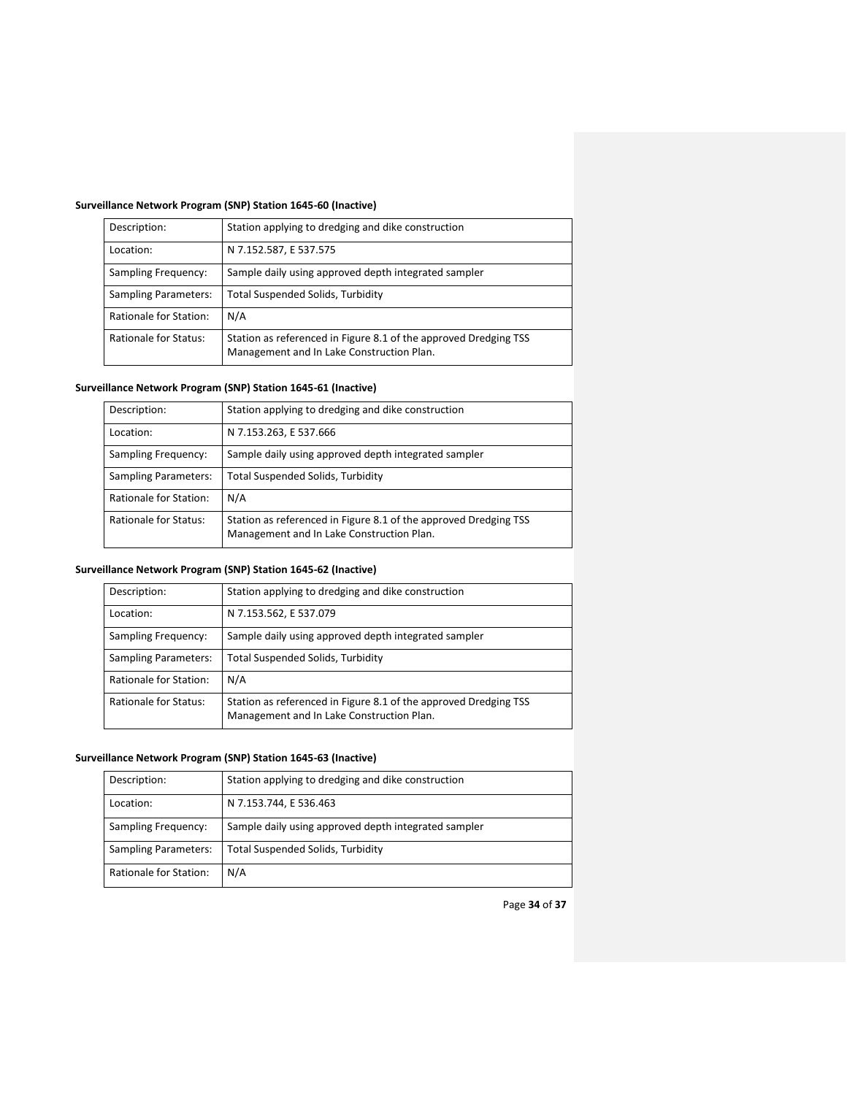# **Surveillance Network Program (SNP) Station 1645-60 (Inactive)**

| Description:                | Station applying to dredging and dike construction                                                            |
|-----------------------------|---------------------------------------------------------------------------------------------------------------|
| Location:                   | N 7.152.587, E 537.575                                                                                        |
| Sampling Frequency:         | Sample daily using approved depth integrated sampler                                                          |
| <b>Sampling Parameters:</b> | <b>Total Suspended Solids, Turbidity</b>                                                                      |
| Rationale for Station:      | N/A                                                                                                           |
| Rationale for Status:       | Station as referenced in Figure 8.1 of the approved Dredging TSS<br>Management and In Lake Construction Plan. |

## **Surveillance Network Program (SNP) Station 1645-61 (Inactive)**

| Description:                | Station applying to dredging and dike construction                                                            |
|-----------------------------|---------------------------------------------------------------------------------------------------------------|
| Location:                   | N 7.153.263, E 537.666                                                                                        |
| Sampling Frequency:         | Sample daily using approved depth integrated sampler                                                          |
| <b>Sampling Parameters:</b> | Total Suspended Solids, Turbidity                                                                             |
| Rationale for Station:      | N/A                                                                                                           |
| Rationale for Status:       | Station as referenced in Figure 8.1 of the approved Dredging TSS<br>Management and In Lake Construction Plan. |

# **Surveillance Network Program (SNP) Station 1645-62 (Inactive)**

| Description:                | Station applying to dredging and dike construction                                                            |
|-----------------------------|---------------------------------------------------------------------------------------------------------------|
| Location:                   | N 7.153.562, E 537.079                                                                                        |
| Sampling Frequency:         | Sample daily using approved depth integrated sampler                                                          |
| <b>Sampling Parameters:</b> | Total Suspended Solids, Turbidity                                                                             |
| Rationale for Station:      | N/A                                                                                                           |
| Rationale for Status:       | Station as referenced in Figure 8.1 of the approved Dredging TSS<br>Management and In Lake Construction Plan. |

### **Surveillance Network Program (SNP) Station 1645-63 (Inactive)**

| Description:                | Station applying to dredging and dike construction   |
|-----------------------------|------------------------------------------------------|
| Location:                   | N 7.153.744, E 536.463                               |
| Sampling Frequency:         | Sample daily using approved depth integrated sampler |
| <b>Sampling Parameters:</b> | <b>Total Suspended Solids, Turbidity</b>             |
| Rationale for Station:      | N/A                                                  |

Page **34** of **37**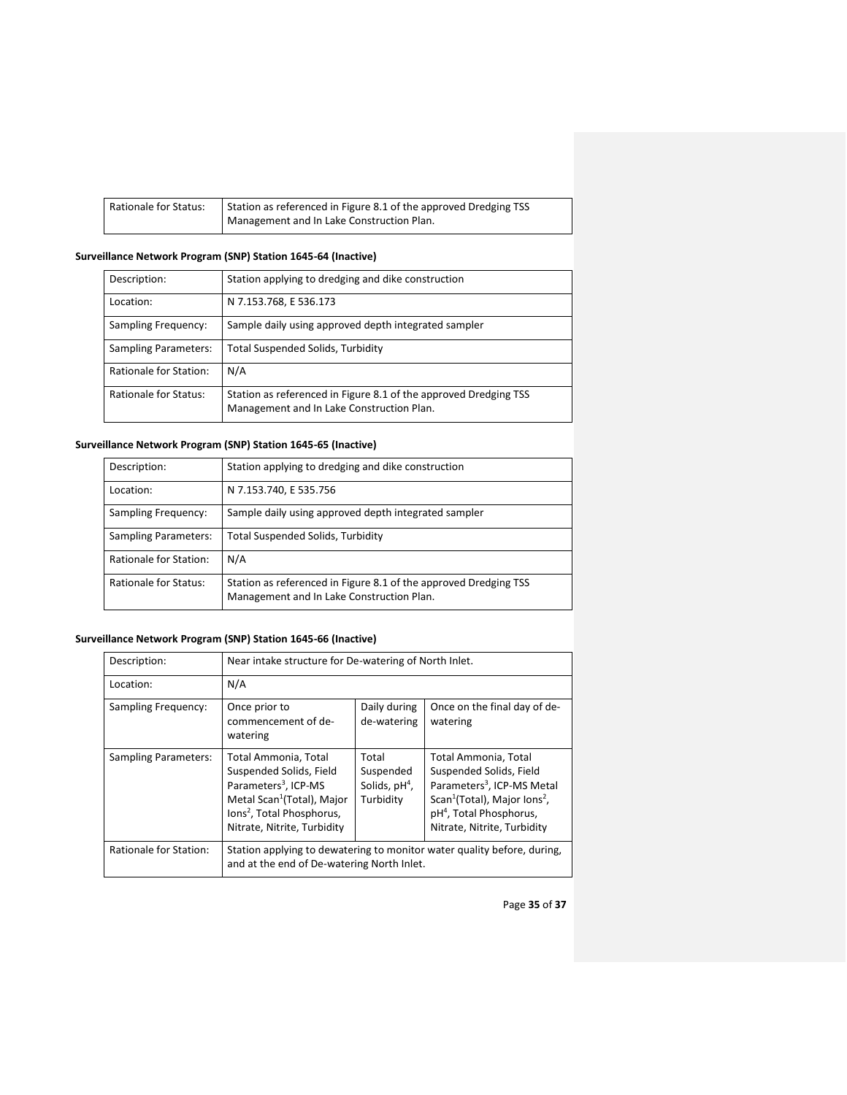| Rationale for Status: | Station as referenced in Figure 8.1 of the approved Dredging TSS |  |
|-----------------------|------------------------------------------------------------------|--|
|                       | Management and In Lake Construction Plan.                        |  |

## **Surveillance Network Program (SNP) Station 1645-64 (Inactive)**

| Description:                | Station applying to dredging and dike construction                                                            |
|-----------------------------|---------------------------------------------------------------------------------------------------------------|
| Location:                   | N 7.153.768, E 536.173                                                                                        |
| Sampling Frequency:         | Sample daily using approved depth integrated sampler                                                          |
| <b>Sampling Parameters:</b> | Total Suspended Solids, Turbidity                                                                             |
| Rationale for Station:      | N/A                                                                                                           |
| Rationale for Status:       | Station as referenced in Figure 8.1 of the approved Dredging TSS<br>Management and In Lake Construction Plan. |

## **Surveillance Network Program (SNP) Station 1645-65 (Inactive)**

| Description:                | Station applying to dredging and dike construction                                                            |
|-----------------------------|---------------------------------------------------------------------------------------------------------------|
| Location:                   | N 7.153.740, E 535.756                                                                                        |
| Sampling Frequency:         | Sample daily using approved depth integrated sampler                                                          |
| <b>Sampling Parameters:</b> | <b>Total Suspended Solids, Turbidity</b>                                                                      |
| Rationale for Station:      | N/A                                                                                                           |
| Rationale for Status:       | Station as referenced in Figure 8.1 of the approved Dredging TSS<br>Management and In Lake Construction Plan. |

## **Surveillance Network Program (SNP) Station 1645-66 (Inactive)**

| Description:                  | Near intake structure for De-watering of North Inlet.                                                                                                                                                 |                                                    |                                                                                                                                                                                                                         |
|-------------------------------|-------------------------------------------------------------------------------------------------------------------------------------------------------------------------------------------------------|----------------------------------------------------|-------------------------------------------------------------------------------------------------------------------------------------------------------------------------------------------------------------------------|
| Location:                     | N/A                                                                                                                                                                                                   |                                                    |                                                                                                                                                                                                                         |
| Sampling Frequency:           | Once prior to<br>commencement of de-<br>watering                                                                                                                                                      | Daily during<br>de-watering                        | Once on the final day of de-<br>watering                                                                                                                                                                                |
| <b>Sampling Parameters:</b>   | Total Ammonia, Total<br>Suspended Solids, Field<br>Parameters <sup>3</sup> , ICP-MS<br>Metal Scan <sup>1</sup> (Total), Major<br>lons <sup>2</sup> , Total Phosphorus,<br>Nitrate, Nitrite, Turbidity | Total<br>Suspended<br>Solids, $pH4$ ,<br>Turbidity | Total Ammonia, Total<br>Suspended Solids, Field<br>Parameters <sup>3</sup> , ICP-MS Metal<br>Scan <sup>1</sup> (Total), Major Ions <sup>2</sup> ,<br>pH <sup>4</sup> , Total Phosphorus,<br>Nitrate, Nitrite, Turbidity |
| <b>Rationale for Station:</b> | and at the end of De-watering North Inlet.                                                                                                                                                            |                                                    | Station applying to dewatering to monitor water quality before, during,                                                                                                                                                 |

Page **35** of **37**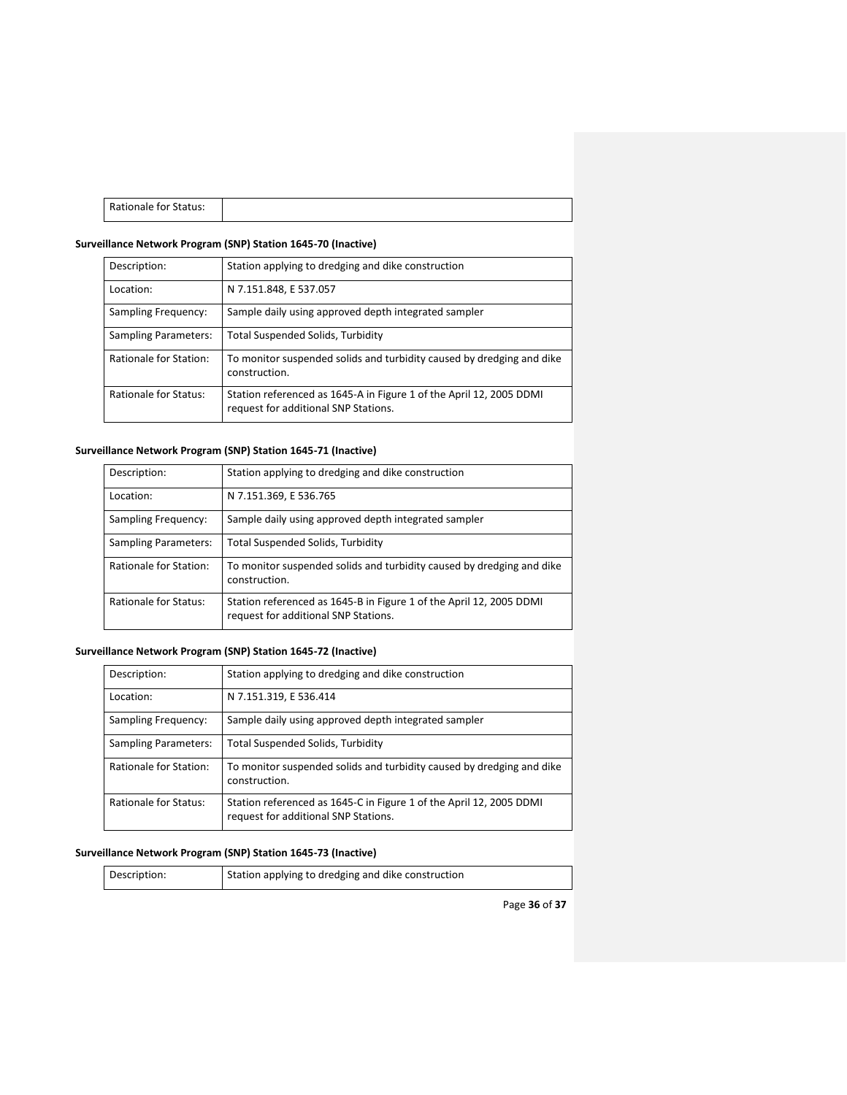|--|

## **Surveillance Network Program (SNP) Station 1645-70 (Inactive)**

| Description:                | Station applying to dredging and dike construction                                                          |
|-----------------------------|-------------------------------------------------------------------------------------------------------------|
| Location:                   | N 7.151.848, E 537.057                                                                                      |
| Sampling Frequency:         | Sample daily using approved depth integrated sampler                                                        |
| <b>Sampling Parameters:</b> | Total Suspended Solids, Turbidity                                                                           |
| Rationale for Station:      | To monitor suspended solids and turbidity caused by dredging and dike<br>construction.                      |
| Rationale for Status:       | Station referenced as 1645-A in Figure 1 of the April 12, 2005 DDMI<br>request for additional SNP Stations. |

## **Surveillance Network Program (SNP) Station 1645-71 (Inactive)**

| Description:                | Station applying to dredging and dike construction                                                          |
|-----------------------------|-------------------------------------------------------------------------------------------------------------|
| Location:                   | N 7.151.369, E 536.765                                                                                      |
| Sampling Frequency:         | Sample daily using approved depth integrated sampler                                                        |
| <b>Sampling Parameters:</b> | <b>Total Suspended Solids, Turbidity</b>                                                                    |
| Rationale for Station:      | To monitor suspended solids and turbidity caused by dredging and dike<br>construction.                      |
| Rationale for Status:       | Station referenced as 1645-B in Figure 1 of the April 12, 2005 DDMI<br>request for additional SNP Stations. |

## **Surveillance Network Program (SNP) Station 1645-72 (Inactive)**

| Description:                  | Station applying to dredging and dike construction                                                          |
|-------------------------------|-------------------------------------------------------------------------------------------------------------|
| Location:                     | N 7.151.319, E 536.414                                                                                      |
| Sampling Frequency:           | Sample daily using approved depth integrated sampler                                                        |
| <b>Sampling Parameters:</b>   | <b>Total Suspended Solids, Turbidity</b>                                                                    |
| <b>Rationale for Station:</b> | To monitor suspended solids and turbidity caused by dredging and dike<br>construction.                      |
| <b>Rationale for Status:</b>  | Station referenced as 1645-C in Figure 1 of the April 12, 2005 DDMI<br>request for additional SNP Stations. |

## **Surveillance Network Program (SNP) Station 1645-73 (Inactive)**

| Description: | Station applying to dredging and dike construction |
|--------------|----------------------------------------------------|
|--------------|----------------------------------------------------|

Page **36** of **37**